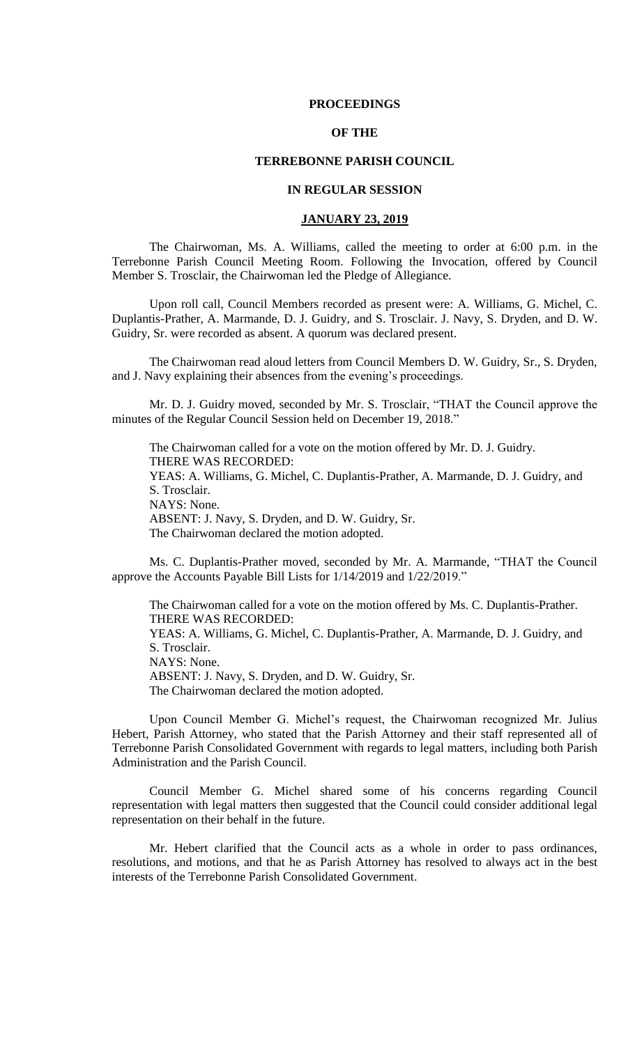## **PROCEEDINGS**

# **OF THE**

## **TERREBONNE PARISH COUNCIL**

## **IN REGULAR SESSION**

#### **JANUARY 23, 2019**

The Chairwoman, Ms. A. Williams, called the meeting to order at 6:00 p.m. in the Terrebonne Parish Council Meeting Room. Following the Invocation, offered by Council Member S. Trosclair, the Chairwoman led the Pledge of Allegiance.

Upon roll call, Council Members recorded as present were: A. Williams, G. Michel, C. Duplantis-Prather, A. Marmande, D. J. Guidry, and S. Trosclair. J. Navy, S. Dryden, and D. W. Guidry, Sr. were recorded as absent. A quorum was declared present.

The Chairwoman read aloud letters from Council Members D. W. Guidry, Sr., S. Dryden, and J. Navy explaining their absences from the evening's proceedings.

Mr. D. J. Guidry moved, seconded by Mr. S. Trosclair, "THAT the Council approve the minutes of the Regular Council Session held on December 19, 2018."

The Chairwoman called for a vote on the motion offered by Mr. D. J. Guidry. THERE WAS RECORDED: YEAS: A. Williams, G. Michel, C. Duplantis-Prather, A. Marmande, D. J. Guidry, and S. Trosclair. NAYS: None. ABSENT: J. Navy, S. Dryden, and D. W. Guidry, Sr. The Chairwoman declared the motion adopted.

Ms. C. Duplantis-Prather moved, seconded by Mr. A. Marmande, "THAT the Council approve the Accounts Payable Bill Lists for 1/14/2019 and 1/22/2019."

The Chairwoman called for a vote on the motion offered by Ms. C. Duplantis-Prather. THERE WAS RECORDED: YEAS: A. Williams, G. Michel, C. Duplantis-Prather, A. Marmande, D. J. Guidry, and S. Trosclair. NAYS: None. ABSENT: J. Navy, S. Dryden, and D. W. Guidry, Sr. The Chairwoman declared the motion adopted.

Upon Council Member G. Michel's request, the Chairwoman recognized Mr. Julius Hebert, Parish Attorney, who stated that the Parish Attorney and their staff represented all of Terrebonne Parish Consolidated Government with regards to legal matters, including both Parish Administration and the Parish Council.

Council Member G. Michel shared some of his concerns regarding Council representation with legal matters then suggested that the Council could consider additional legal representation on their behalf in the future.

Mr. Hebert clarified that the Council acts as a whole in order to pass ordinances, resolutions, and motions, and that he as Parish Attorney has resolved to always act in the best interests of the Terrebonne Parish Consolidated Government.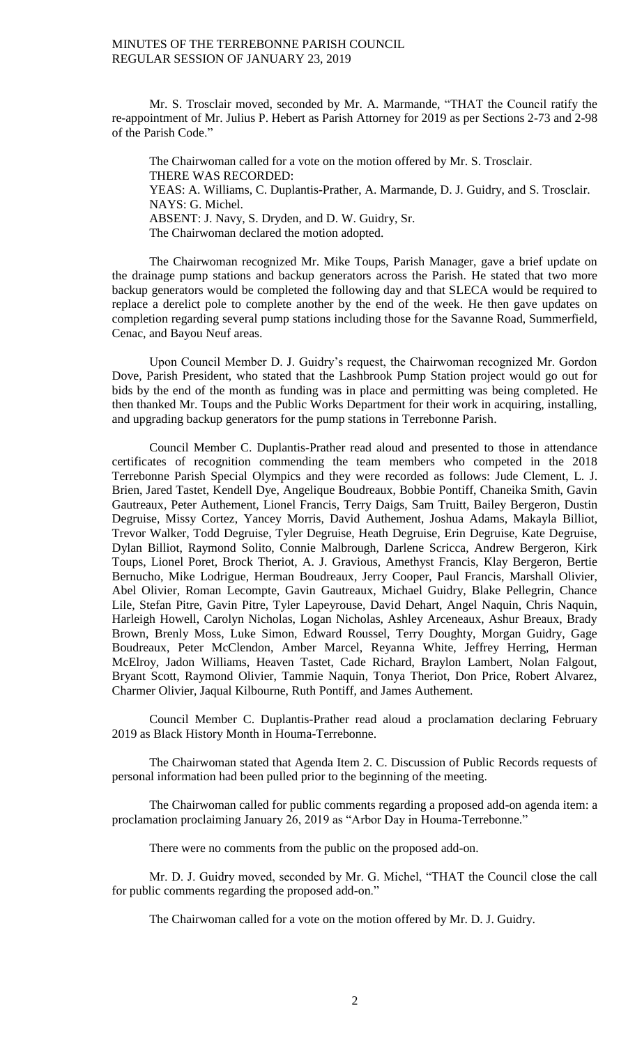Mr. S. Trosclair moved, seconded by Mr. A. Marmande, "THAT the Council ratify the re-appointment of Mr. Julius P. Hebert as Parish Attorney for 2019 as per Sections 2-73 and 2-98 of the Parish Code."

The Chairwoman called for a vote on the motion offered by Mr. S. Trosclair. THERE WAS RECORDED: YEAS: A. Williams, C. Duplantis-Prather, A. Marmande, D. J. Guidry, and S. Trosclair. NAYS: G. Michel. ABSENT: J. Navy, S. Dryden, and D. W. Guidry, Sr. The Chairwoman declared the motion adopted.

The Chairwoman recognized Mr. Mike Toups, Parish Manager, gave a brief update on the drainage pump stations and backup generators across the Parish. He stated that two more backup generators would be completed the following day and that SLECA would be required to replace a derelict pole to complete another by the end of the week. He then gave updates on completion regarding several pump stations including those for the Savanne Road, Summerfield, Cenac, and Bayou Neuf areas.

Upon Council Member D. J. Guidry's request, the Chairwoman recognized Mr. Gordon Dove, Parish President, who stated that the Lashbrook Pump Station project would go out for bids by the end of the month as funding was in place and permitting was being completed. He then thanked Mr. Toups and the Public Works Department for their work in acquiring, installing, and upgrading backup generators for the pump stations in Terrebonne Parish.

Council Member C. Duplantis-Prather read aloud and presented to those in attendance certificates of recognition commending the team members who competed in the 2018 Terrebonne Parish Special Olympics and they were recorded as follows: Jude Clement, L. J. Brien, Jared Tastet, Kendell Dye, Angelique Boudreaux, Bobbie Pontiff, Chaneika Smith, Gavin Gautreaux, Peter Authement, Lionel Francis, Terry Daigs, Sam Truitt, Bailey Bergeron, Dustin Degruise, Missy Cortez, Yancey Morris, David Authement, Joshua Adams, Makayla Billiot, Trevor Walker, Todd Degruise, Tyler Degruise, Heath Degruise, Erin Degruise, Kate Degruise, Dylan Billiot, Raymond Solito, Connie Malbrough, Darlene Scricca, Andrew Bergeron, Kirk Toups, Lionel Poret, Brock Theriot, A. J. Gravious, Amethyst Francis, Klay Bergeron, Bertie Bernucho, Mike Lodrigue, Herman Boudreaux, Jerry Cooper, Paul Francis, Marshall Olivier, Abel Olivier, Roman Lecompte, Gavin Gautreaux, Michael Guidry, Blake Pellegrin, Chance Lile, Stefan Pitre, Gavin Pitre, Tyler Lapeyrouse, David Dehart, Angel Naquin, Chris Naquin, Harleigh Howell, Carolyn Nicholas, Logan Nicholas, Ashley Arceneaux, Ashur Breaux, Brady Brown, Brenly Moss, Luke Simon, Edward Roussel, Terry Doughty, Morgan Guidry, Gage Boudreaux, Peter McClendon, Amber Marcel, Reyanna White, Jeffrey Herring, Herman McElroy, Jadon Williams, Heaven Tastet, Cade Richard, Braylon Lambert, Nolan Falgout, Bryant Scott, Raymond Olivier, Tammie Naquin, Tonya Theriot, Don Price, Robert Alvarez, Charmer Olivier, Jaqual Kilbourne, Ruth Pontiff, and James Authement.

Council Member C. Duplantis-Prather read aloud a proclamation declaring February 2019 as Black History Month in Houma-Terrebonne.

The Chairwoman stated that Agenda Item 2. C. Discussion of Public Records requests of personal information had been pulled prior to the beginning of the meeting.

The Chairwoman called for public comments regarding a proposed add-on agenda item: a proclamation proclaiming January 26, 2019 as "Arbor Day in Houma-Terrebonne."

There were no comments from the public on the proposed add-on.

Mr. D. J. Guidry moved, seconded by Mr. G. Michel, "THAT the Council close the call for public comments regarding the proposed add-on."

The Chairwoman called for a vote on the motion offered by Mr. D. J. Guidry.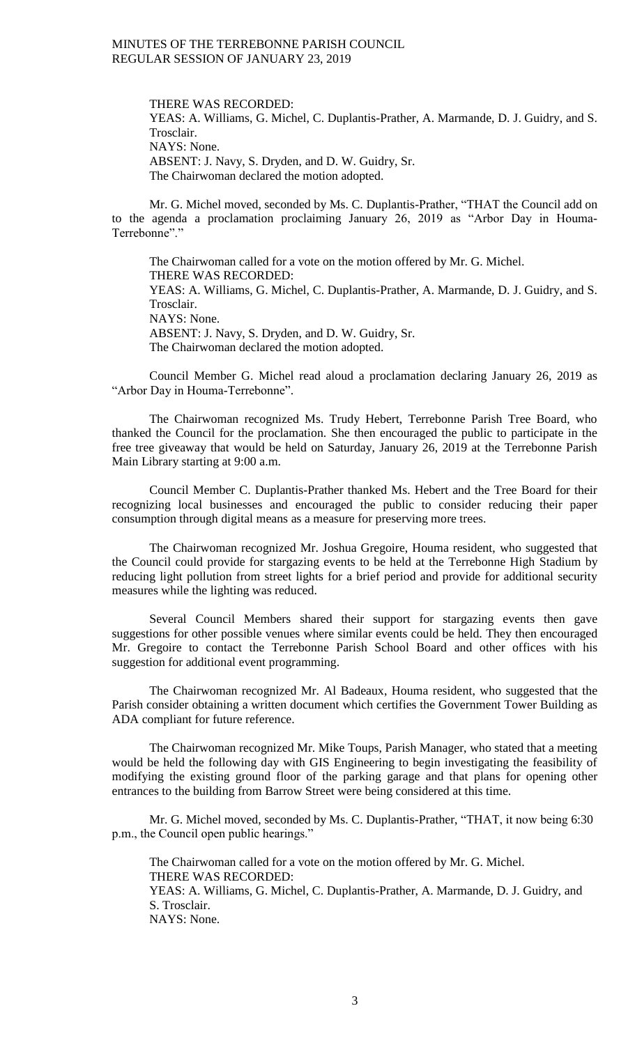THERE WAS RECORDED: YEAS: A. Williams, G. Michel, C. Duplantis-Prather, A. Marmande, D. J. Guidry, and S. Trosclair. NAYS: None. ABSENT: J. Navy, S. Dryden, and D. W. Guidry, Sr. The Chairwoman declared the motion adopted.

Mr. G. Michel moved, seconded by Ms. C. Duplantis-Prather, "THAT the Council add on to the agenda a proclamation proclaiming January 26, 2019 as "Arbor Day in Houma-Terrebonne"."

The Chairwoman called for a vote on the motion offered by Mr. G. Michel. THERE WAS RECORDED: YEAS: A. Williams, G. Michel, C. Duplantis-Prather, A. Marmande, D. J. Guidry, and S. Trosclair. NAYS: None. ABSENT: J. Navy, S. Dryden, and D. W. Guidry, Sr. The Chairwoman declared the motion adopted.

Council Member G. Michel read aloud a proclamation declaring January 26, 2019 as "Arbor Day in Houma-Terrebonne".

The Chairwoman recognized Ms. Trudy Hebert, Terrebonne Parish Tree Board, who thanked the Council for the proclamation. She then encouraged the public to participate in the free tree giveaway that would be held on Saturday, January 26, 2019 at the Terrebonne Parish Main Library starting at 9:00 a.m.

Council Member C. Duplantis-Prather thanked Ms. Hebert and the Tree Board for their recognizing local businesses and encouraged the public to consider reducing their paper consumption through digital means as a measure for preserving more trees.

The Chairwoman recognized Mr. Joshua Gregoire, Houma resident, who suggested that the Council could provide for stargazing events to be held at the Terrebonne High Stadium by reducing light pollution from street lights for a brief period and provide for additional security measures while the lighting was reduced.

Several Council Members shared their support for stargazing events then gave suggestions for other possible venues where similar events could be held. They then encouraged Mr. Gregoire to contact the Terrebonne Parish School Board and other offices with his suggestion for additional event programming.

The Chairwoman recognized Mr. Al Badeaux, Houma resident, who suggested that the Parish consider obtaining a written document which certifies the Government Tower Building as ADA compliant for future reference.

The Chairwoman recognized Mr. Mike Toups, Parish Manager, who stated that a meeting would be held the following day with GIS Engineering to begin investigating the feasibility of modifying the existing ground floor of the parking garage and that plans for opening other entrances to the building from Barrow Street were being considered at this time.

Mr. G. Michel moved, seconded by Ms. C. Duplantis-Prather, "THAT, it now being 6:30 p.m., the Council open public hearings."

The Chairwoman called for a vote on the motion offered by Mr. G. Michel. THERE WAS RECORDED: YEAS: A. Williams, G. Michel, C. Duplantis-Prather, A. Marmande, D. J. Guidry, and S. Trosclair. NAYS: None.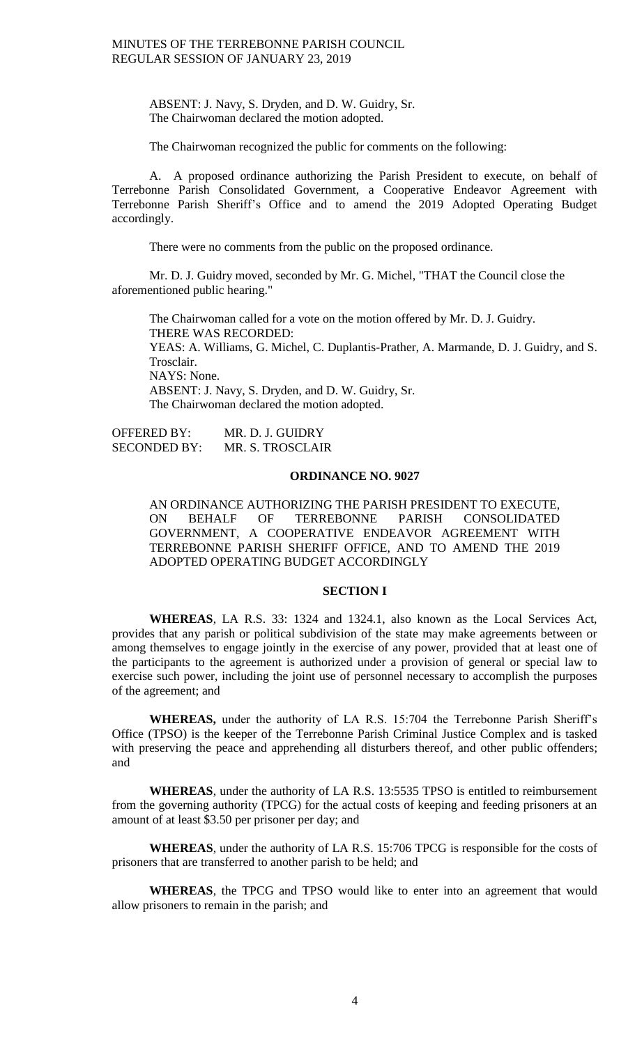ABSENT: J. Navy, S. Dryden, and D. W. Guidry, Sr. The Chairwoman declared the motion adopted.

The Chairwoman recognized the public for comments on the following:

A. A proposed ordinance authorizing the Parish President to execute, on behalf of Terrebonne Parish Consolidated Government, a Cooperative Endeavor Agreement with Terrebonne Parish Sheriff's Office and to amend the 2019 Adopted Operating Budget accordingly.

There were no comments from the public on the proposed ordinance.

Mr. D. J. Guidry moved, seconded by Mr. G. Michel, "THAT the Council close the aforementioned public hearing."

The Chairwoman called for a vote on the motion offered by Mr. D. J. Guidry. THERE WAS RECORDED: YEAS: A. Williams, G. Michel, C. Duplantis-Prather, A. Marmande, D. J. Guidry, and S. Trosclair. NAYS: None. ABSENT: J. Navy, S. Dryden, and D. W. Guidry, Sr. The Chairwoman declared the motion adopted.

OFFERED BY: MR. D. J. GUIDRY SECONDED BY: MR. S. TROSCLAIR

## **ORDINANCE NO. 9027**

AN ORDINANCE AUTHORIZING THE PARISH PRESIDENT TO EXECUTE, ON BEHALF OF TERREBONNE PARISH CONSOLIDATED GOVERNMENT, A COOPERATIVE ENDEAVOR AGREEMENT WITH TERREBONNE PARISH SHERIFF OFFICE, AND TO AMEND THE 2019 ADOPTED OPERATING BUDGET ACCORDINGLY

## **SECTION I**

**WHEREAS**, LA R.S. 33: 1324 and 1324.1, also known as the Local Services Act, provides that any parish or political subdivision of the state may make agreements between or among themselves to engage jointly in the exercise of any power, provided that at least one of the participants to the agreement is authorized under a provision of general or special law to exercise such power, including the joint use of personnel necessary to accomplish the purposes of the agreement; and

**WHEREAS,** under the authority of LA R.S. 15:704 the Terrebonne Parish Sheriff's Office (TPSO) is the keeper of the Terrebonne Parish Criminal Justice Complex and is tasked with preserving the peace and apprehending all disturbers thereof, and other public offenders; and

**WHEREAS**, under the authority of LA R.S. 13:5535 TPSO is entitled to reimbursement from the governing authority (TPCG) for the actual costs of keeping and feeding prisoners at an amount of at least \$3.50 per prisoner per day; and

**WHEREAS**, under the authority of LA R.S. 15:706 TPCG is responsible for the costs of prisoners that are transferred to another parish to be held; and

**WHEREAS**, the TPCG and TPSO would like to enter into an agreement that would allow prisoners to remain in the parish; and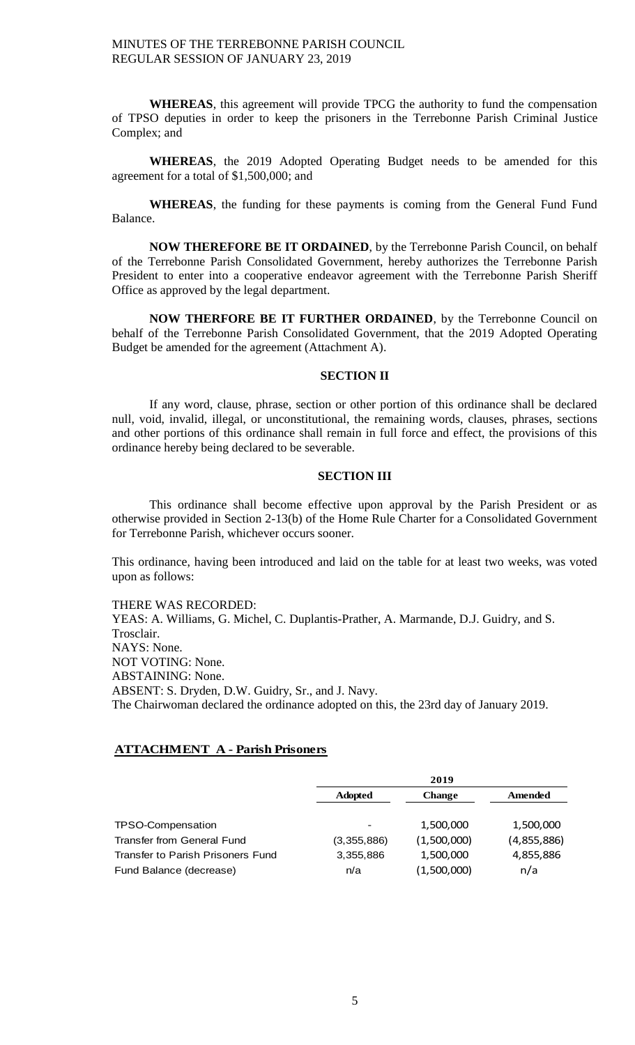**WHEREAS**, this agreement will provide TPCG the authority to fund the compensation of TPSO deputies in order to keep the prisoners in the Terrebonne Parish Criminal Justice Complex; and

**WHEREAS**, the 2019 Adopted Operating Budget needs to be amended for this agreement for a total of \$1,500,000; and

**WHEREAS**, the funding for these payments is coming from the General Fund Fund Balance.

**NOW THEREFORE BE IT ORDAINED**, by the Terrebonne Parish Council, on behalf of the Terrebonne Parish Consolidated Government, hereby authorizes the Terrebonne Parish President to enter into a cooperative endeavor agreement with the Terrebonne Parish Sheriff Office as approved by the legal department.

**NOW THERFORE BE IT FURTHER ORDAINED**, by the Terrebonne Council on behalf of the Terrebonne Parish Consolidated Government, that the 2019 Adopted Operating Budget be amended for the agreement (Attachment A).

#### **SECTION II**

If any word, clause, phrase, section or other portion of this ordinance shall be declared null, void, invalid, illegal, or unconstitutional, the remaining words, clauses, phrases, sections and other portions of this ordinance shall remain in full force and effect, the provisions of this ordinance hereby being declared to be severable.

## **SECTION III**

This ordinance shall become effective upon approval by the Parish President or as otherwise provided in Section 2-13(b) of the Home Rule Charter for a Consolidated Government for Terrebonne Parish, whichever occurs sooner.

This ordinance, having been introduced and laid on the table for at least two weeks, was voted upon as follows:

THERE WAS RECORDED:

YEAS: A. Williams, G. Michel, C. Duplantis-Prather, A. Marmande, D.J. Guidry, and S. Trosclair. NAYS: None. NOT VOTING: None. ABSTAINING: None. ABSENT: S. Dryden, D.W. Guidry, Sr., and J. Navy. The Chairwoman declared the ordinance adopted on this, the 23rd day of January 2019.

## **ATTACHMENT A - Parish Prisoners**

|                                   |                | 2019          |             |
|-----------------------------------|----------------|---------------|-------------|
|                                   | <b>Adopted</b> | <b>Change</b> | Amended     |
|                                   |                |               |             |
| TPSO-Compensation                 | -              | 1,500,000     | 1,500,000   |
| Transfer from General Fund        | (3,355,886)    | (1,500,000)   | (4,855,886) |
| Transfer to Parish Prisoners Fund | 3,355,886      | 1,500,000     | 4,855,886   |
| Fund Balance (decrease)           | n/a            | (1,500,000)   | n/a         |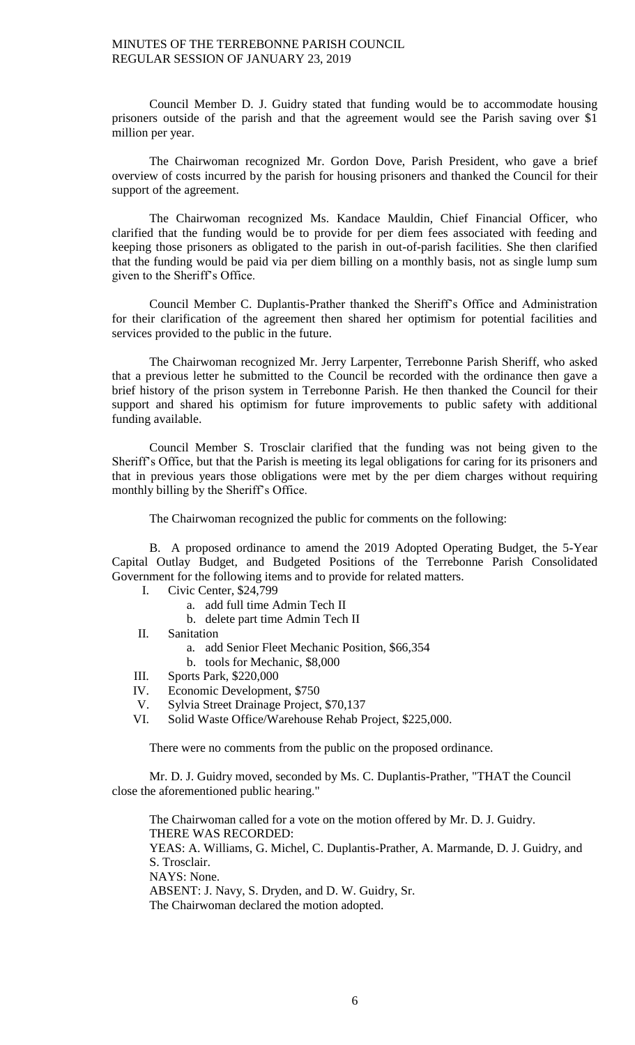Council Member D. J. Guidry stated that funding would be to accommodate housing prisoners outside of the parish and that the agreement would see the Parish saving over \$1 million per year.

The Chairwoman recognized Mr. Gordon Dove, Parish President, who gave a brief overview of costs incurred by the parish for housing prisoners and thanked the Council for their support of the agreement.

The Chairwoman recognized Ms. Kandace Mauldin, Chief Financial Officer, who clarified that the funding would be to provide for per diem fees associated with feeding and keeping those prisoners as obligated to the parish in out-of-parish facilities. She then clarified that the funding would be paid via per diem billing on a monthly basis, not as single lump sum given to the Sheriff's Office.

Council Member C. Duplantis-Prather thanked the Sheriff's Office and Administration for their clarification of the agreement then shared her optimism for potential facilities and services provided to the public in the future.

The Chairwoman recognized Mr. Jerry Larpenter, Terrebonne Parish Sheriff, who asked that a previous letter he submitted to the Council be recorded with the ordinance then gave a brief history of the prison system in Terrebonne Parish. He then thanked the Council for their support and shared his optimism for future improvements to public safety with additional funding available.

Council Member S. Trosclair clarified that the funding was not being given to the Sheriff's Office, but that the Parish is meeting its legal obligations for caring for its prisoners and that in previous years those obligations were met by the per diem charges without requiring monthly billing by the Sheriff's Office.

The Chairwoman recognized the public for comments on the following:

B. A proposed ordinance to amend the 2019 Adopted Operating Budget, the 5-Year Capital Outlay Budget, and Budgeted Positions of the Terrebonne Parish Consolidated Government for the following items and to provide for related matters.

- I. Civic Center, \$24,799
	- a. add full time Admin Tech II
	- b. delete part time Admin Tech II
- II. Sanitation
	- a. add Senior Fleet Mechanic Position, \$66,354
	- b. tools for Mechanic, \$8,000
- III. Sports Park, \$220,000<br>IV. Economic Development
- IV. Economic Development, \$750<br>V. Sylvia Street Drainage Project,
- Sylvia Street Drainage Project, \$70,137
- VI. Solid Waste Office/Warehouse Rehab Project, \$225,000.

There were no comments from the public on the proposed ordinance.

Mr. D. J. Guidry moved, seconded by Ms. C. Duplantis-Prather, "THAT the Council close the aforementioned public hearing."

The Chairwoman called for a vote on the motion offered by Mr. D. J. Guidry. THERE WAS RECORDED: YEAS: A. Williams, G. Michel, C. Duplantis-Prather, A. Marmande, D. J. Guidry, and S. Trosclair. NAYS: None. ABSENT: J. Navy, S. Dryden, and D. W. Guidry, Sr. The Chairwoman declared the motion adopted.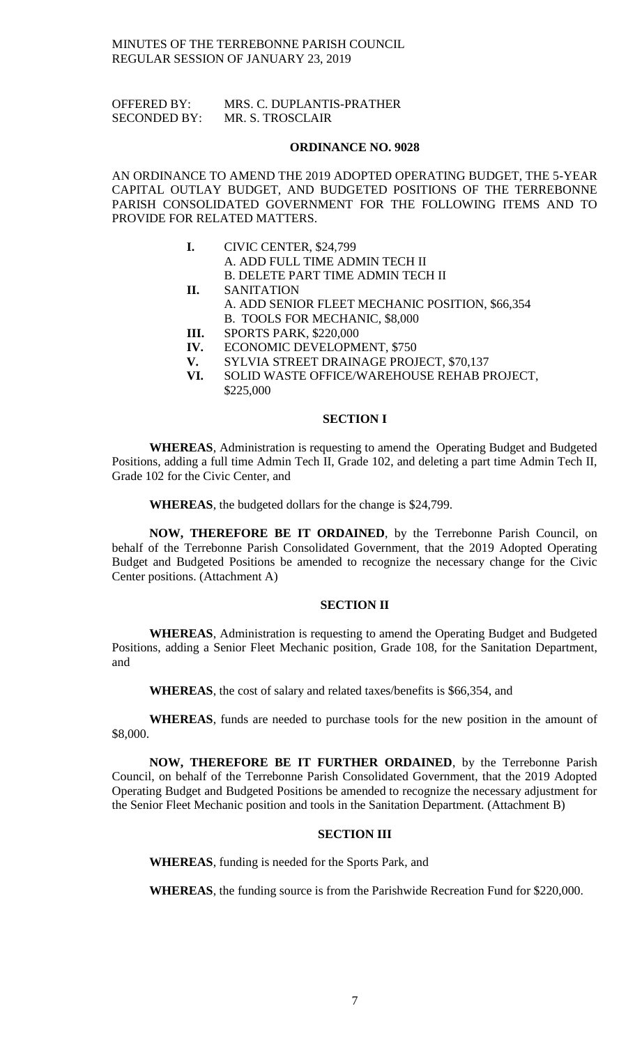OFFERED BY: MRS. C. DUPLANTIS-PRATHER SECONDED BY: MR. S. TROSCLAIR

#### **ORDINANCE NO. 9028**

AN ORDINANCE TO AMEND THE 2019 ADOPTED OPERATING BUDGET, THE 5-YEAR CAPITAL OUTLAY BUDGET, AND BUDGETED POSITIONS OF THE TERREBONNE PARISH CONSOLIDATED GOVERNMENT FOR THE FOLLOWING ITEMS AND TO PROVIDE FOR RELATED MATTERS.

- **I.** CIVIC CENTER, \$24,799 A. ADD FULL TIME ADMIN TECH II B. DELETE PART TIME ADMIN TECH II
- **II.** SANITATION A. ADD SENIOR FLEET MECHANIC POSITION, \$66,354 B. TOOLS FOR MECHANIC, \$8,000
	-
- **III.** SPORTS PARK, \$220,000
- **IV.** ECONOMIC DEVELOPMENT, \$750
- **V.** SYLVIA STREET DRAINAGE PROJECT, \$70,137
- **VI.** SOLID WASTE OFFICE/WAREHOUSE REHAB PROJECT, \$225,000

# **SECTION I**

**WHEREAS**, Administration is requesting to amend the Operating Budget and Budgeted Positions, adding a full time Admin Tech II, Grade 102, and deleting a part time Admin Tech II, Grade 102 for the Civic Center, and

**WHEREAS**, the budgeted dollars for the change is \$24,799.

**NOW, THEREFORE BE IT ORDAINED**, by the Terrebonne Parish Council, on behalf of the Terrebonne Parish Consolidated Government, that the 2019 Adopted Operating Budget and Budgeted Positions be amended to recognize the necessary change for the Civic Center positions. (Attachment A)

## **SECTION II**

**WHEREAS**, Administration is requesting to amend the Operating Budget and Budgeted Positions, adding a Senior Fleet Mechanic position, Grade 108, for the Sanitation Department, and

**WHEREAS**, the cost of salary and related taxes/benefits is \$66,354, and

**WHEREAS**, funds are needed to purchase tools for the new position in the amount of \$8,000.

**NOW, THEREFORE BE IT FURTHER ORDAINED**, by the Terrebonne Parish Council, on behalf of the Terrebonne Parish Consolidated Government, that the 2019 Adopted Operating Budget and Budgeted Positions be amended to recognize the necessary adjustment for the Senior Fleet Mechanic position and tools in the Sanitation Department. (Attachment B)

## **SECTION III**

**WHEREAS**, funding is needed for the Sports Park, and

**WHEREAS**, the funding source is from the Parishwide Recreation Fund for \$220,000.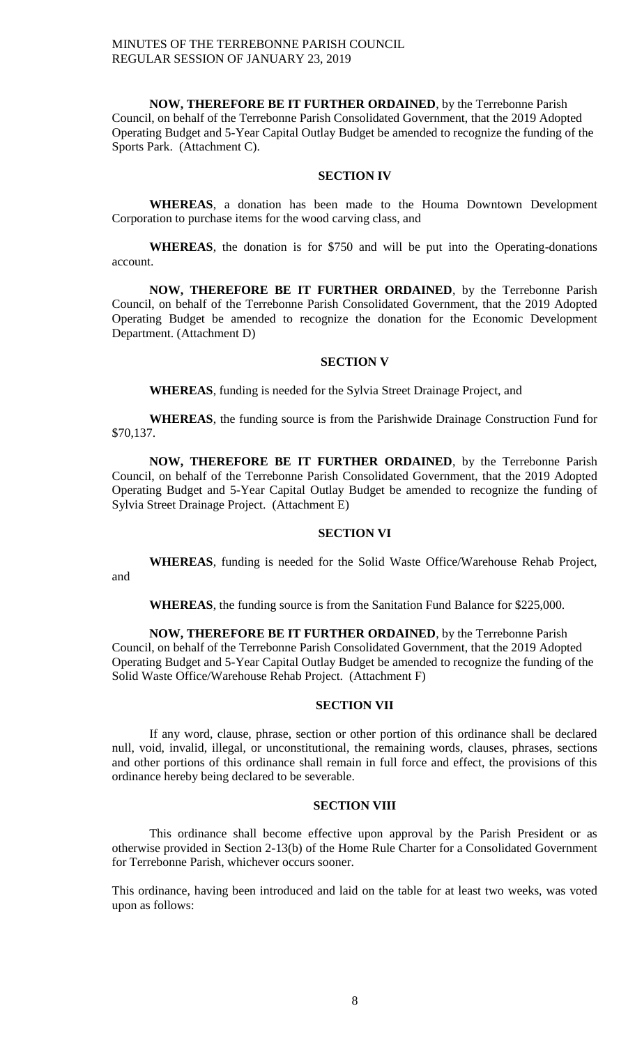**NOW, THEREFORE BE IT FURTHER ORDAINED**, by the Terrebonne Parish Council, on behalf of the Terrebonne Parish Consolidated Government, that the 2019 Adopted Operating Budget and 5-Year Capital Outlay Budget be amended to recognize the funding of the Sports Park. (Attachment C).

## **SECTION IV**

**WHEREAS**, a donation has been made to the Houma Downtown Development Corporation to purchase items for the wood carving class, and

**WHEREAS**, the donation is for \$750 and will be put into the Operating-donations account.

**NOW, THEREFORE BE IT FURTHER ORDAINED**, by the Terrebonne Parish Council, on behalf of the Terrebonne Parish Consolidated Government, that the 2019 Adopted Operating Budget be amended to recognize the donation for the Economic Development Department. (Attachment D)

#### **SECTION V**

**WHEREAS**, funding is needed for the Sylvia Street Drainage Project, and

**WHEREAS**, the funding source is from the Parishwide Drainage Construction Fund for \$70,137.

**NOW, THEREFORE BE IT FURTHER ORDAINED**, by the Terrebonne Parish Council, on behalf of the Terrebonne Parish Consolidated Government, that the 2019 Adopted Operating Budget and 5-Year Capital Outlay Budget be amended to recognize the funding of Sylvia Street Drainage Project. (Attachment E)

#### **SECTION VI**

**WHEREAS**, funding is needed for the Solid Waste Office/Warehouse Rehab Project, and

**WHEREAS**, the funding source is from the Sanitation Fund Balance for \$225,000.

**NOW, THEREFORE BE IT FURTHER ORDAINED**, by the Terrebonne Parish Council, on behalf of the Terrebonne Parish Consolidated Government, that the 2019 Adopted Operating Budget and 5-Year Capital Outlay Budget be amended to recognize the funding of the Solid Waste Office/Warehouse Rehab Project. (Attachment F)

## **SECTION VII**

If any word, clause, phrase, section or other portion of this ordinance shall be declared null, void, invalid, illegal, or unconstitutional, the remaining words, clauses, phrases, sections and other portions of this ordinance shall remain in full force and effect, the provisions of this ordinance hereby being declared to be severable.

## **SECTION VIII**

This ordinance shall become effective upon approval by the Parish President or as otherwise provided in Section 2-13(b) of the Home Rule Charter for a Consolidated Government for Terrebonne Parish, whichever occurs sooner.

This ordinance, having been introduced and laid on the table for at least two weeks, was voted upon as follows: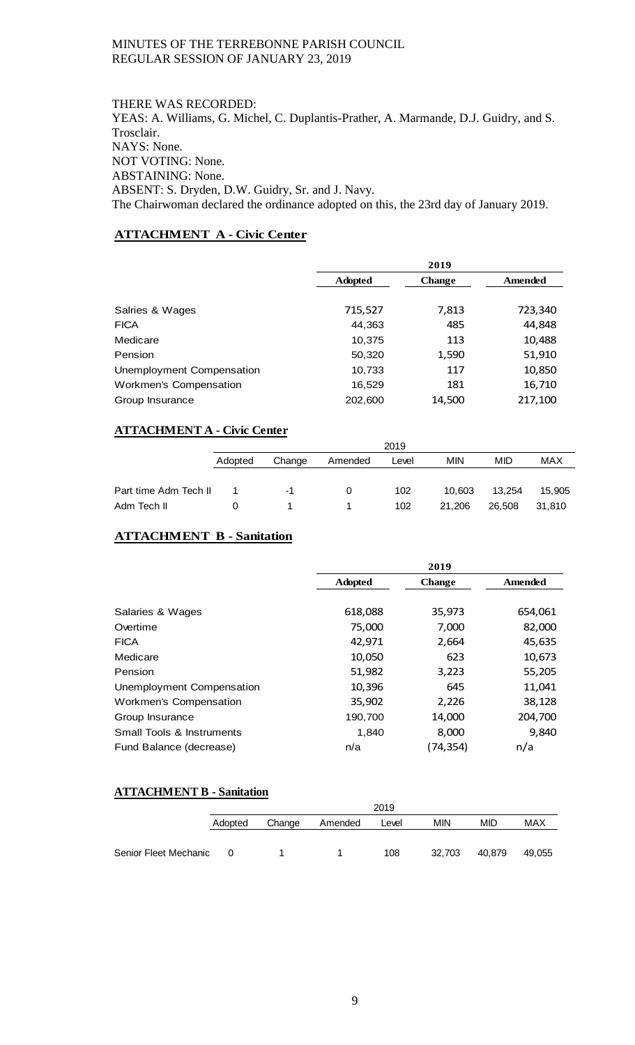THERE WAS RECORDED: YEAS: A. Williams, G. Michel, C. Duplantis-Prather, A. Marmande, D.J. Guidry, and S. Trosclair. NAYS: None. NOT VOTING: None. ABSTAINING: None. ABSENT: S. Dryden, D.W. Guidry, Sr. and J. Navy. The Chairwoman declared the ordinance adopted on this, the 23rd day of January 2019.

# **ATTACHMENT A - Civic Center**

|                               | 2019           |               |         |
|-------------------------------|----------------|---------------|---------|
|                               | <b>Adopted</b> | <b>Change</b> | Amended |
|                               |                |               |         |
| Salries & Wages               | 715,527        | 7,813         | 723,340 |
| <b>FICA</b>                   | 44,363         | 485           | 44,848  |
| Medicare                      | 10,375         | 113           | 10,488  |
| Pension                       | 50,320         | 1,590         | 51,910  |
| Unemployment Compensation     | 10,733         | 117           | 10,850  |
| <b>Workmen's Compensation</b> | 16,529         | 181           | 16,710  |
| Group Insurance               | 202,600        | 14,500        | 217,100 |

# **ATTACHMENT A - Civic Center**

|                       | 2019    |        |         |       |            |        |            |
|-----------------------|---------|--------|---------|-------|------------|--------|------------|
|                       | Adopted | Change | Amended | Level | <b>MIN</b> | MID    | <b>MAX</b> |
|                       |         |        |         |       |            |        |            |
| Part time Adm Tech II |         | -1     | 0       | 102   | 10.603     | 13.254 | 15,905     |
| Adm Tech II           |         |        |         | 102   | 21.206     | 26.508 | 31.810     |

# **ATTACHMENT B - Sanitation**

|                           |                | 2019          |         |
|---------------------------|----------------|---------------|---------|
|                           | <b>Adopted</b> | <b>Change</b> | Amended |
|                           |                |               |         |
| Salaries & Wages          | 618,088        | 35,973        | 654,061 |
| Overtime                  | 75,000         | 7,000         | 82,000  |
| <b>FICA</b>               | 42,971         | 2,664         | 45,635  |
| Medicare                  | 10,050         | 623           | 10,673  |
| Pension                   | 51,982         | 3,223         | 55,205  |
| Unemployment Compensation | 10,396         | 645           | 11,041  |
| Workmen's Compensation    | 35,902         | 2,226         | 38,128  |
| Group Insurance           | 190,700        | 14,000        | 204,700 |
| Small Tools & Instruments | 1,840          | 8,000         | 9,840   |
| Fund Balance (decrease)   | n/a            | (74,354)      | n/a     |

# **ATTACHMENT B - Sanitation**

|                       | 2019     |        |         |       |        |        |        |
|-----------------------|----------|--------|---------|-------|--------|--------|--------|
|                       | Adopted  | Change | Amended | Level | MIN    | MID    | MAX    |
|                       |          |        |         |       |        |        |        |
| Senior Fleet Mechanic | $\Omega$ |        |         | 108   | 32.703 | 40.879 | 49.055 |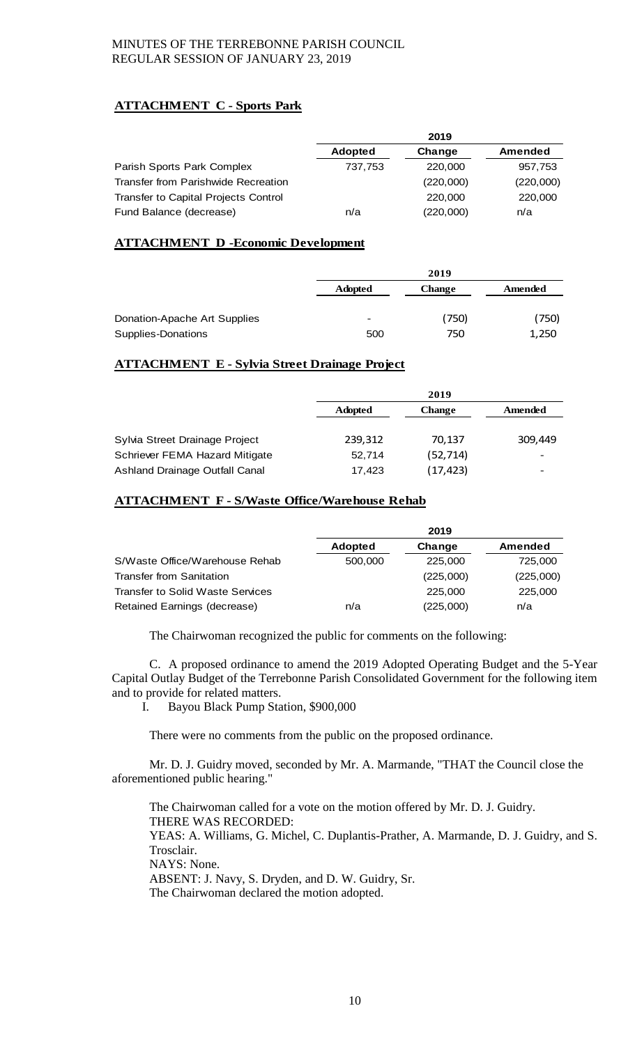# **ATTACHMENT C - Sports Park**

|                                      |                | 2019      |           |
|--------------------------------------|----------------|-----------|-----------|
|                                      | <b>Adopted</b> | Change    | Amended   |
| Parish Sports Park Complex           | 737,753        | 220,000   | 957,753   |
| Transfer from Parishwide Recreation  |                | (220,000) | (220,000) |
| Transfer to Capital Projects Control |                | 220,000   | 220,000   |
| Fund Balance (decrease)              | n/a            | (220,000) | n/a       |

# **ATTACHMENT D -Economic Development**

|                              | 2019                     |               |         |
|------------------------------|--------------------------|---------------|---------|
|                              | <b>Adopted</b>           | <b>Change</b> | Amended |
| Donation-Apache Art Supplies | $\overline{\phantom{a}}$ | (750)         | (750)   |
| Supplies-Donations           | 500                      | 750           | 1,250   |

# **ATTACHMENT E - Sylvia Street Drainage Project**

|                                | 2019           |               |         |
|--------------------------------|----------------|---------------|---------|
|                                | <b>Adopted</b> | <b>Change</b> | Amended |
|                                |                |               |         |
| Sylvia Street Drainage Project | 239,312        | 70.137        | 309,449 |
| Schriever FEMA Hazard Mitigate | 52,714         | (52, 714)     |         |
| Ashland Drainage Outfall Canal | 17,423         | (17, 423)     |         |

# **ATTACHMENT F - S/Waste Office/Warehouse Rehab**

|                                  |                | 2019      |           |
|----------------------------------|----------------|-----------|-----------|
|                                  | <b>Adopted</b> | Change    | Amended   |
| S/Waste Office/Warehouse Rehab   | 500,000        | 225,000   | 725,000   |
| <b>Transfer from Sanitation</b>  |                | (225,000) | (225,000) |
| Transfer to Solid Waste Services |                | 225,000   | 225,000   |
| Retained Earnings (decrease)     | n/a            | (225,000) | n/a       |

The Chairwoman recognized the public for comments on the following:

C. A proposed ordinance to amend the 2019 Adopted Operating Budget and the 5-Year Capital Outlay Budget of the Terrebonne Parish Consolidated Government for the following item and to provide for related matters.

I. Bayou Black Pump Station, \$900,000

There were no comments from the public on the proposed ordinance.

Mr. D. J. Guidry moved, seconded by Mr. A. Marmande, "THAT the Council close the aforementioned public hearing."

The Chairwoman called for a vote on the motion offered by Mr. D. J. Guidry. THERE WAS RECORDED: YEAS: A. Williams, G. Michel, C. Duplantis-Prather, A. Marmande, D. J. Guidry, and S. Trosclair. NAYS: None. ABSENT: J. Navy, S. Dryden, and D. W. Guidry, Sr. The Chairwoman declared the motion adopted.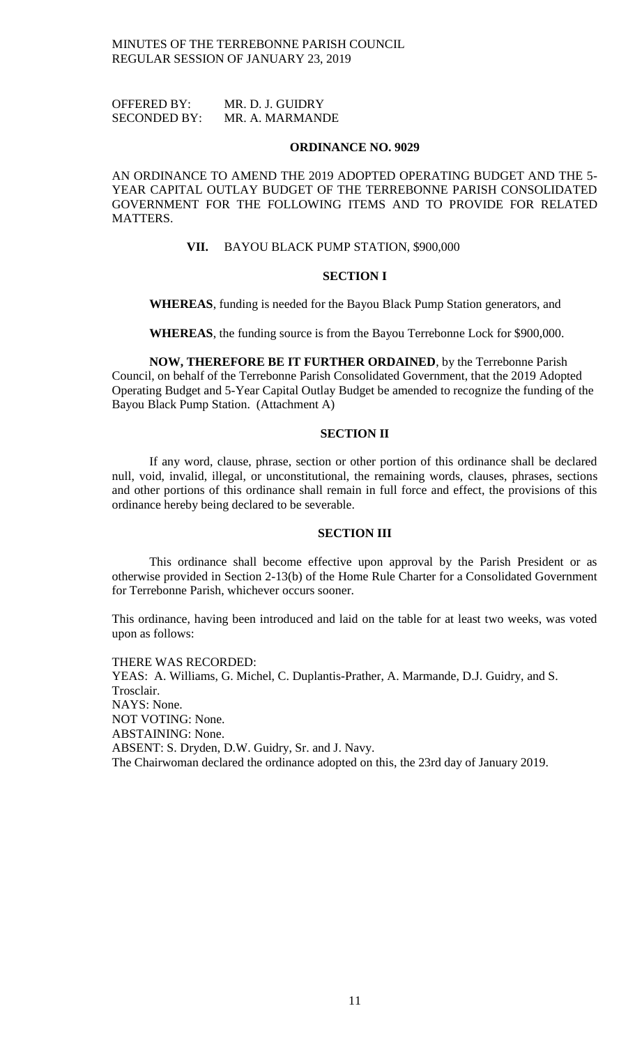OFFERED BY: MR. D. J. GUIDRY SECONDED BY: MR. A. MARMANDE

#### **ORDINANCE NO. 9029**

AN ORDINANCE TO AMEND THE 2019 ADOPTED OPERATING BUDGET AND THE 5- YEAR CAPITAL OUTLAY BUDGET OF THE TERREBONNE PARISH CONSOLIDATED GOVERNMENT FOR THE FOLLOWING ITEMS AND TO PROVIDE FOR RELATED MATTERS.

**VII.** BAYOU BLACK PUMP STATION, \$900,000

## **SECTION I**

**WHEREAS**, funding is needed for the Bayou Black Pump Station generators, and

**WHEREAS**, the funding source is from the Bayou Terrebonne Lock for \$900,000.

**NOW, THEREFORE BE IT FURTHER ORDAINED**, by the Terrebonne Parish Council, on behalf of the Terrebonne Parish Consolidated Government, that the 2019 Adopted Operating Budget and 5-Year Capital Outlay Budget be amended to recognize the funding of the Bayou Black Pump Station. (Attachment A)

# **SECTION II**

If any word, clause, phrase, section or other portion of this ordinance shall be declared null, void, invalid, illegal, or unconstitutional, the remaining words, clauses, phrases, sections and other portions of this ordinance shall remain in full force and effect, the provisions of this ordinance hereby being declared to be severable.

## **SECTION III**

This ordinance shall become effective upon approval by the Parish President or as otherwise provided in Section 2-13(b) of the Home Rule Charter for a Consolidated Government for Terrebonne Parish, whichever occurs sooner.

This ordinance, having been introduced and laid on the table for at least two weeks, was voted upon as follows:

THERE WAS RECORDED: YEAS: A. Williams, G. Michel, C. Duplantis-Prather, A. Marmande, D.J. Guidry, and S. Trosclair. NAYS: None. NOT VOTING: None. ABSTAINING: None. ABSENT: S. Dryden, D.W. Guidry, Sr. and J. Navy. The Chairwoman declared the ordinance adopted on this, the 23rd day of January 2019.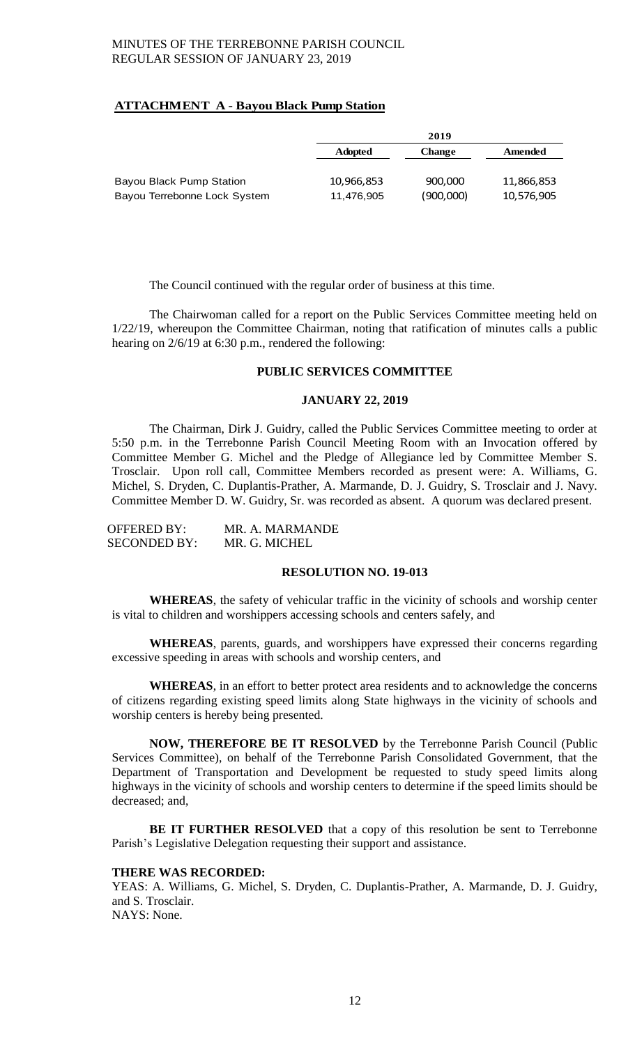# **ATTACHMENT A - Bayou Black Pump Station**

|                                 |                | 2019          |            |
|---------------------------------|----------------|---------------|------------|
|                                 | <b>Adopted</b> | <b>Change</b> | Amended    |
|                                 |                |               |            |
| <b>Bayou Black Pump Station</b> | 10,966,853     | 900,000       | 11,866,853 |
| Bayou Terrebonne Lock System    | 11,476,905     | (900,000)     | 10,576,905 |

The Council continued with the regular order of business at this time.

The Chairwoman called for a report on the Public Services Committee meeting held on 1/22/19, whereupon the Committee Chairman, noting that ratification of minutes calls a public hearing on  $2/6/19$  at 6:30 p.m., rendered the following:

## **PUBLIC SERVICES COMMITTEE**

## **JANUARY 22, 2019**

The Chairman, Dirk J. Guidry, called the Public Services Committee meeting to order at 5:50 p.m. in the Terrebonne Parish Council Meeting Room with an Invocation offered by Committee Member G. Michel and the Pledge of Allegiance led by Committee Member S. Trosclair. Upon roll call, Committee Members recorded as present were: A. Williams, G. Michel, S. Dryden, C. Duplantis-Prather, A. Marmande, D. J. Guidry, S. Trosclair and J. Navy. Committee Member D. W. Guidry, Sr. was recorded as absent. A quorum was declared present.

| OFFERED BY:         | MR. A. MARMANDE |
|---------------------|-----------------|
| <b>SECONDED BY:</b> | MR. G. MICHEL   |

## **RESOLUTION NO. 19-013**

**WHEREAS**, the safety of vehicular traffic in the vicinity of schools and worship center is vital to children and worshippers accessing schools and centers safely, and

**WHEREAS**, parents, guards, and worshippers have expressed their concerns regarding excessive speeding in areas with schools and worship centers, and

**WHEREAS**, in an effort to better protect area residents and to acknowledge the concerns of citizens regarding existing speed limits along State highways in the vicinity of schools and worship centers is hereby being presented.

**NOW, THEREFORE BE IT RESOLVED** by the Terrebonne Parish Council (Public Services Committee), on behalf of the Terrebonne Parish Consolidated Government, that the Department of Transportation and Development be requested to study speed limits along highways in the vicinity of schools and worship centers to determine if the speed limits should be decreased; and,

**BE IT FURTHER RESOLVED** that a copy of this resolution be sent to Terrebonne Parish's Legislative Delegation requesting their support and assistance.

## **THERE WAS RECORDED:**

YEAS: A. Williams, G. Michel, S. Dryden, C. Duplantis-Prather, A. Marmande, D. J. Guidry, and S. Trosclair. NAYS: None.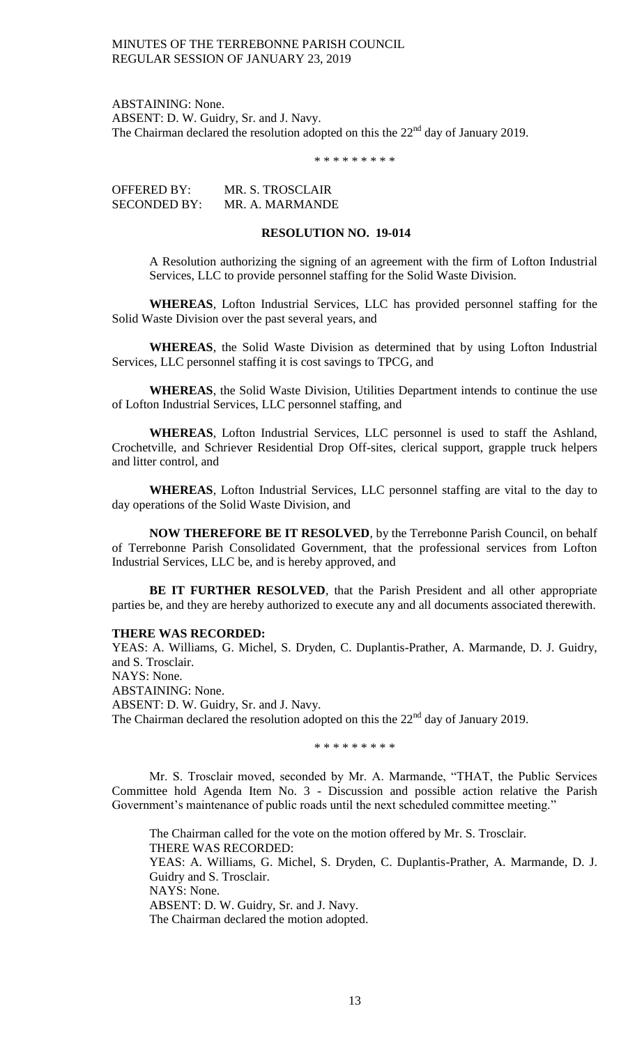ABSTAINING: None. ABSENT: D. W. Guidry, Sr. and J. Navy. The Chairman declared the resolution adopted on this the  $22<sup>nd</sup>$  day of January 2019.

\* \* \* \* \* \* \* \* \*

OFFERED BY: MR. S. TROSCLAIR SECONDED BY: MR. A. MARMANDE

## **RESOLUTION NO. 19-014**

A Resolution authorizing the signing of an agreement with the firm of Lofton Industrial Services, LLC to provide personnel staffing for the Solid Waste Division.

**WHEREAS**, Lofton Industrial Services, LLC has provided personnel staffing for the Solid Waste Division over the past several years, and

**WHEREAS**, the Solid Waste Division as determined that by using Lofton Industrial Services, LLC personnel staffing it is cost savings to TPCG, and

**WHEREAS**, the Solid Waste Division, Utilities Department intends to continue the use of Lofton Industrial Services, LLC personnel staffing, and

**WHEREAS**, Lofton Industrial Services, LLC personnel is used to staff the Ashland, Crochetville, and Schriever Residential Drop Off-sites, clerical support, grapple truck helpers and litter control, and

**WHEREAS**, Lofton Industrial Services, LLC personnel staffing are vital to the day to day operations of the Solid Waste Division, and

**NOW THEREFORE BE IT RESOLVED**, by the Terrebonne Parish Council, on behalf of Terrebonne Parish Consolidated Government, that the professional services from Lofton Industrial Services, LLC be, and is hereby approved, and

**BE IT FURTHER RESOLVED**, that the Parish President and all other appropriate parties be, and they are hereby authorized to execute any and all documents associated therewith.

## **THERE WAS RECORDED:**

YEAS: A. Williams, G. Michel, S. Dryden, C. Duplantis-Prather, A. Marmande, D. J. Guidry, and S. Trosclair. NAYS: None. ABSTAINING: None. ABSENT: D. W. Guidry, Sr. and J. Navy. The Chairman declared the resolution adopted on this the 22<sup>nd</sup> day of January 2019.

\* \* \* \* \* \* \* \* \*

Mr. S. Trosclair moved, seconded by Mr. A. Marmande, "THAT, the Public Services Committee hold Agenda Item No. 3 - Discussion and possible action relative the Parish Government's maintenance of public roads until the next scheduled committee meeting."

The Chairman called for the vote on the motion offered by Mr. S. Trosclair. THERE WAS RECORDED: YEAS: A. Williams, G. Michel, S. Dryden, C. Duplantis-Prather, A. Marmande, D. J. Guidry and S. Trosclair. NAYS: None. ABSENT: D. W. Guidry, Sr. and J. Navy. The Chairman declared the motion adopted.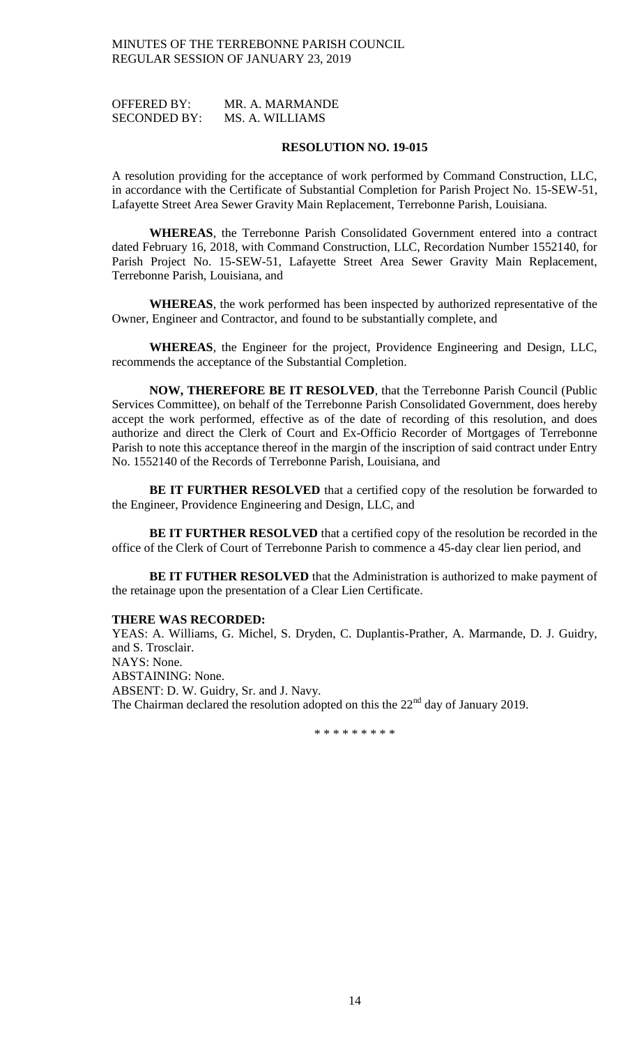OFFERED BY: MR. A. MARMANDE SECONDED BY: MS. A. WILLIAMS

#### **RESOLUTION NO. 19-015**

A resolution providing for the acceptance of work performed by Command Construction, LLC, in accordance with the Certificate of Substantial Completion for Parish Project No. 15-SEW-51, Lafayette Street Area Sewer Gravity Main Replacement, Terrebonne Parish, Louisiana.

**WHEREAS**, the Terrebonne Parish Consolidated Government entered into a contract dated February 16, 2018, with Command Construction, LLC, Recordation Number 1552140, for Parish Project No. 15-SEW-51, Lafayette Street Area Sewer Gravity Main Replacement, Terrebonne Parish, Louisiana, and

**WHEREAS**, the work performed has been inspected by authorized representative of the Owner, Engineer and Contractor, and found to be substantially complete, and

**WHEREAS**, the Engineer for the project, Providence Engineering and Design, LLC, recommends the acceptance of the Substantial Completion.

**NOW, THEREFORE BE IT RESOLVED**, that the Terrebonne Parish Council (Public Services Committee), on behalf of the Terrebonne Parish Consolidated Government, does hereby accept the work performed, effective as of the date of recording of this resolution, and does authorize and direct the Clerk of Court and Ex-Officio Recorder of Mortgages of Terrebonne Parish to note this acceptance thereof in the margin of the inscription of said contract under Entry No. 1552140 of the Records of Terrebonne Parish, Louisiana, and

**BE IT FURTHER RESOLVED** that a certified copy of the resolution be forwarded to the Engineer, Providence Engineering and Design, LLC, and

**BE IT FURTHER RESOLVED** that a certified copy of the resolution be recorded in the office of the Clerk of Court of Terrebonne Parish to commence a 45-day clear lien period, and

**BE IT FUTHER RESOLVED** that the Administration is authorized to make payment of the retainage upon the presentation of a Clear Lien Certificate.

#### **THERE WAS RECORDED:**

YEAS: A. Williams, G. Michel, S. Dryden, C. Duplantis-Prather, A. Marmande, D. J. Guidry, and S. Trosclair. NAYS: None. ABSTAINING: None. ABSENT: D. W. Guidry, Sr. and J. Navy. The Chairman declared the resolution adopted on this the  $22<sup>nd</sup>$  day of January 2019.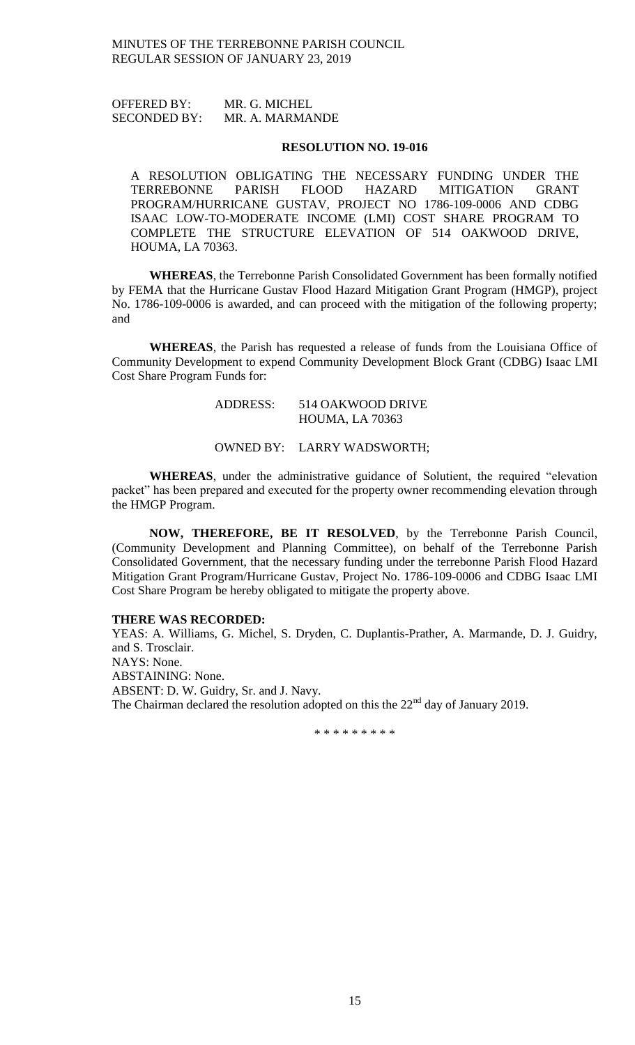OFFERED BY: MR. G. MICHEL SECONDED BY: MR. A. MARMANDE

#### **RESOLUTION NO. 19-016**

A RESOLUTION OBLIGATING THE NECESSARY FUNDING UNDER THE TERREBONNE PARISH FLOOD HAZARD MITIGATION GRANT PROGRAM/HURRICANE GUSTAV, PROJECT NO 1786-109-0006 AND CDBG ISAAC LOW-TO-MODERATE INCOME (LMI) COST SHARE PROGRAM TO COMPLETE THE STRUCTURE ELEVATION OF 514 OAKWOOD DRIVE, HOUMA, LA 70363.

**WHEREAS**, the Terrebonne Parish Consolidated Government has been formally notified by FEMA that the Hurricane Gustav Flood Hazard Mitigation Grant Program (HMGP), project No. 1786-109-0006 is awarded, and can proceed with the mitigation of the following property; and

**WHEREAS**, the Parish has requested a release of funds from the Louisiana Office of Community Development to expend Community Development Block Grant (CDBG) Isaac LMI Cost Share Program Funds for:

## ADDRESS: 514 OAKWOOD DRIVE HOUMA, LA 70363

## OWNED BY: LARRY WADSWORTH;

**WHEREAS**, under the administrative guidance of Solutient, the required "elevation packet" has been prepared and executed for the property owner recommending elevation through the HMGP Program.

**NOW, THEREFORE, BE IT RESOLVED**, by the Terrebonne Parish Council, (Community Development and Planning Committee), on behalf of the Terrebonne Parish Consolidated Government, that the necessary funding under the terrebonne Parish Flood Hazard Mitigation Grant Program/Hurricane Gustav, Project No. 1786-109-0006 and CDBG Isaac LMI Cost Share Program be hereby obligated to mitigate the property above.

#### **THERE WAS RECORDED:**

YEAS: A. Williams, G. Michel, S. Dryden, C. Duplantis-Prather, A. Marmande, D. J. Guidry, and S. Trosclair. NAYS: None. ABSTAINING: None. ABSENT: D. W. Guidry, Sr. and J. Navy. The Chairman declared the resolution adopted on this the  $22<sup>nd</sup>$  day of January 2019.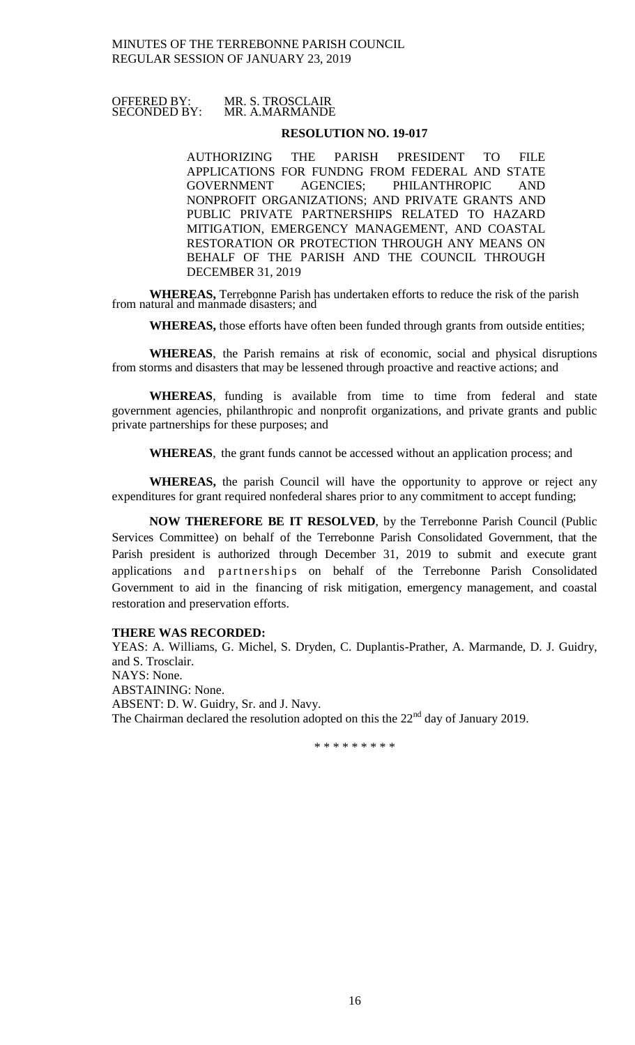## OFFERED BY: MR. S. TROSCLAIR SECONDED BY: MR. A.MARMANDE

## **RESOLUTION NO. 19-017**

AUTHORIZING THE PARISH PRESIDENT TO FILE APPLICATIONS FOR FUNDNG FROM FEDERAL AND STATE GOVERNMENT AGENCIES; PHILANTHROPIC AND NONPROFIT ORGANIZATIONS; AND PRIVATE GRANTS AND PUBLIC PRIVATE PARTNERSHIPS RELATED TO HAZARD MITIGATION, EMERGENCY MANAGEMENT, AND COASTAL RESTORATION OR PROTECTION THROUGH ANY MEANS ON BEHALF OF THE PARISH AND THE COUNCIL THROUGH DECEMBER 31, 2019

**WHEREAS,** Terrebonne Parish has undertaken efforts to reduce the risk of the parish from natural and manmade disasters; and

**WHEREAS,** those efforts have often been funded through grants from outside entities;

**WHEREAS**, the Parish remains at risk of economic, social and physical disruptions from storms and disasters that may be lessened through proactive and reactive actions; and

**WHEREAS**, funding is available from time to time from federal and state government agencies, philanthropic and nonprofit organizations, and private grants and public private partnerships for these purposes; and

**WHEREAS**, the grant funds cannot be accessed without an application process; and

**WHEREAS,** the parish Council will have the opportunity to approve or reject any expenditures for grant required nonfederal shares prior to any commitment to accept funding;

**NOW THEREFORE BE IT RESOLVED**, by the Terrebonne Parish Council (Public Services Committee) on behalf of the Terrebonne Parish Consolidated Government, that the Parish president is authorized through December 31, 2019 to submit and execute grant applications and partnerships on behalf of the Terrebonne Parish Consolidated Government to aid in the financing of risk mitigation, emergency management, and coastal restoration and preservation efforts.

# **THERE WAS RECORDED:**

YEAS: A. Williams, G. Michel, S. Dryden, C. Duplantis-Prather, A. Marmande, D. J. Guidry, and S. Trosclair. NAYS: None. ABSTAINING: None. ABSENT: D. W. Guidry, Sr. and J. Navy. The Chairman declared the resolution adopted on this the  $22<sup>nd</sup>$  day of January 2019.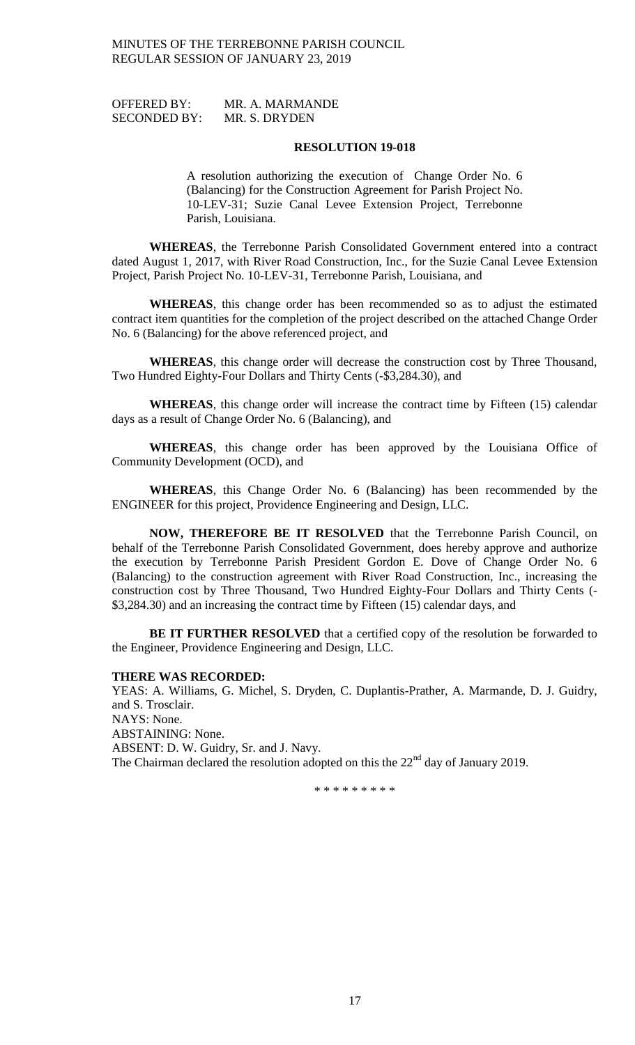| <b>OFFERED BY:</b>  | MR. A. MARMANDE |
|---------------------|-----------------|
| <b>SECONDED BY:</b> | MR. S. DRYDEN   |

#### **RESOLUTION 19-018**

A resolution authorizing the execution of Change Order No. 6 (Balancing) for the Construction Agreement for Parish Project No. 10-LEV-31; Suzie Canal Levee Extension Project, Terrebonne Parish, Louisiana.

**WHEREAS**, the Terrebonne Parish Consolidated Government entered into a contract dated August 1, 2017, with River Road Construction, Inc., for the Suzie Canal Levee Extension Project, Parish Project No. 10-LEV-31, Terrebonne Parish, Louisiana, and

**WHEREAS**, this change order has been recommended so as to adjust the estimated contract item quantities for the completion of the project described on the attached Change Order No. 6 (Balancing) for the above referenced project, and

**WHEREAS**, this change order will decrease the construction cost by Three Thousand, Two Hundred Eighty-Four Dollars and Thirty Cents (-\$3,284.30), and

**WHEREAS**, this change order will increase the contract time by Fifteen (15) calendar days as a result of Change Order No. 6 (Balancing), and

**WHEREAS**, this change order has been approved by the Louisiana Office of Community Development (OCD), and

**WHEREAS**, this Change Order No. 6 (Balancing) has been recommended by the ENGINEER for this project, Providence Engineering and Design, LLC.

**NOW, THEREFORE BE IT RESOLVED** that the Terrebonne Parish Council, on behalf of the Terrebonne Parish Consolidated Government, does hereby approve and authorize the execution by Terrebonne Parish President Gordon E. Dove of Change Order No. 6 (Balancing) to the construction agreement with River Road Construction, Inc., increasing the construction cost by Three Thousand, Two Hundred Eighty-Four Dollars and Thirty Cents (- \$3,284.30) and an increasing the contract time by Fifteen (15) calendar days, and

**BE IT FURTHER RESOLVED** that a certified copy of the resolution be forwarded to the Engineer, Providence Engineering and Design, LLC.

### **THERE WAS RECORDED:**

YEAS: A. Williams, G. Michel, S. Dryden, C. Duplantis-Prather, A. Marmande, D. J. Guidry, and S. Trosclair. NAYS: None. ABSTAINING: None. ABSENT: D. W. Guidry, Sr. and J. Navy.

The Chairman declared the resolution adopted on this the 22<sup>nd</sup> day of January 2019.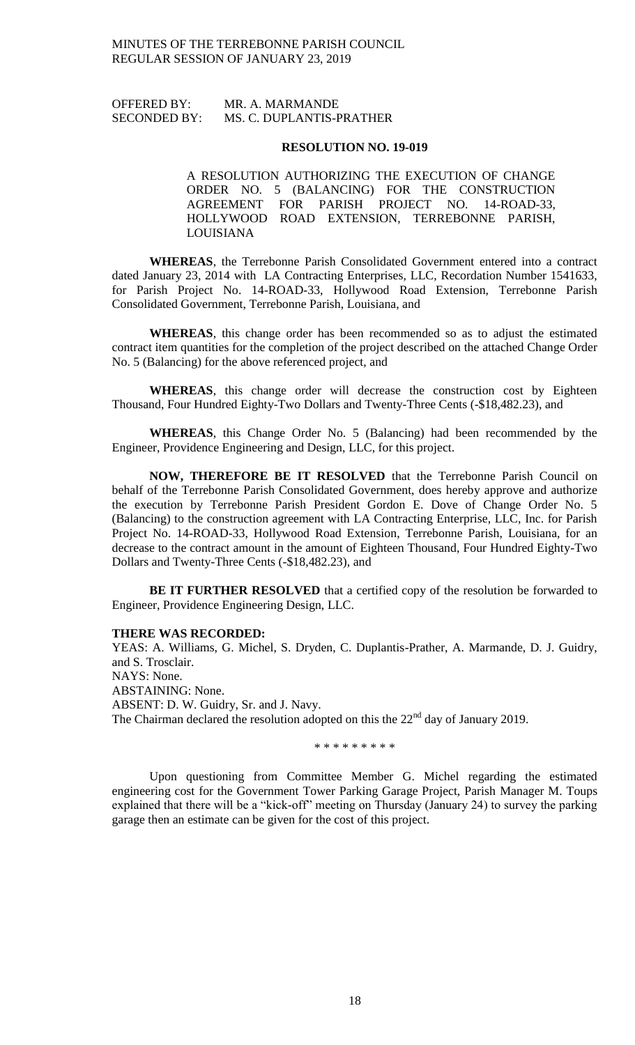# OFFERED BY: MR. A. MARMANDE SECONDED BY: MS. C. DUPLANTIS-PRATHER

### **RESOLUTION NO. 19-019**

A RESOLUTION AUTHORIZING THE EXECUTION OF CHANGE ORDER NO. 5 (BALANCING) FOR THE CONSTRUCTION AGREEMENT FOR PARISH PROJECT NO. 14-ROAD-33, HOLLYWOOD ROAD EXTENSION, TERREBONNE PARISH, LOUISIANA

**WHEREAS**, the Terrebonne Parish Consolidated Government entered into a contract dated January 23, 2014 with LA Contracting Enterprises, LLC, Recordation Number 1541633, for Parish Project No. 14-ROAD-33, Hollywood Road Extension, Terrebonne Parish Consolidated Government, Terrebonne Parish, Louisiana, and

**WHEREAS**, this change order has been recommended so as to adjust the estimated contract item quantities for the completion of the project described on the attached Change Order No. 5 (Balancing) for the above referenced project, and

**WHEREAS**, this change order will decrease the construction cost by Eighteen Thousand, Four Hundred Eighty-Two Dollars and Twenty-Three Cents (-\$18,482.23), and

**WHEREAS**, this Change Order No. 5 (Balancing) had been recommended by the Engineer, Providence Engineering and Design, LLC, for this project.

**NOW, THEREFORE BE IT RESOLVED** that the Terrebonne Parish Council on behalf of the Terrebonne Parish Consolidated Government, does hereby approve and authorize the execution by Terrebonne Parish President Gordon E. Dove of Change Order No. 5 (Balancing) to the construction agreement with LA Contracting Enterprise, LLC, Inc. for Parish Project No. 14-ROAD-33, Hollywood Road Extension, Terrebonne Parish, Louisiana, for an decrease to the contract amount in the amount of Eighteen Thousand, Four Hundred Eighty-Two Dollars and Twenty-Three Cents (-\$18,482.23), and

**BE IT FURTHER RESOLVED** that a certified copy of the resolution be forwarded to Engineer, Providence Engineering Design, LLC.

## **THERE WAS RECORDED:**

YEAS: A. Williams, G. Michel, S. Dryden, C. Duplantis-Prather, A. Marmande, D. J. Guidry, and S. Trosclair. NAYS: None. ABSTAINING: None. ABSENT: D. W. Guidry, Sr. and J. Navy. The Chairman declared the resolution adopted on this the 22<sup>nd</sup> day of January 2019.

\* \* \* \* \* \* \* \* \*

Upon questioning from Committee Member G. Michel regarding the estimated engineering cost for the Government Tower Parking Garage Project, Parish Manager M. Toups explained that there will be a "kick-off" meeting on Thursday (January 24) to survey the parking garage then an estimate can be given for the cost of this project.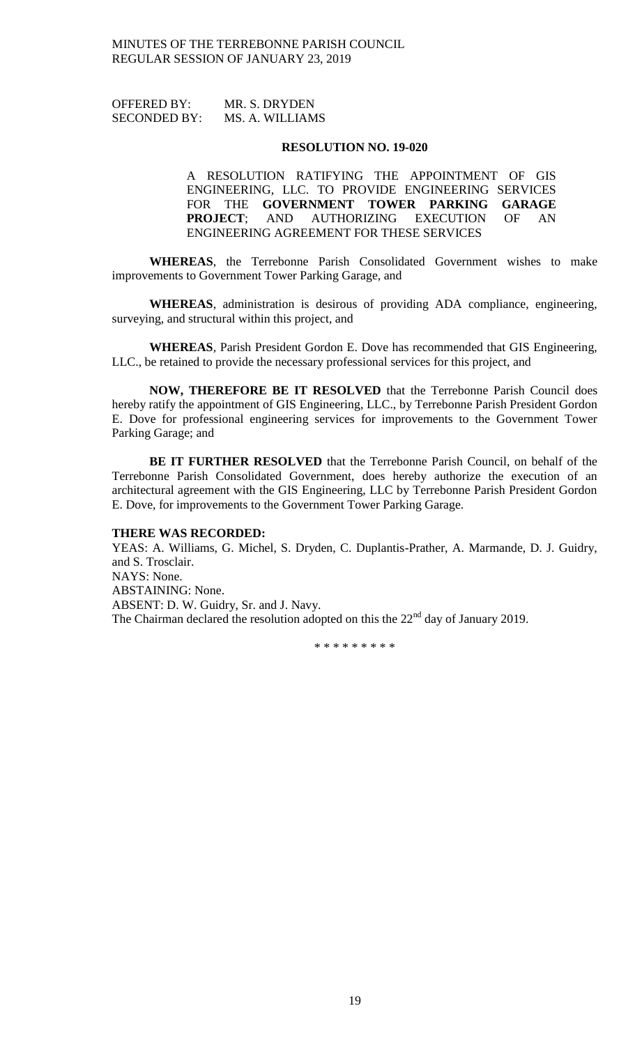OFFERED BY: MR. S. DRYDEN SECONDED BY: MS. A. WILLIAMS

#### **RESOLUTION NO. 19-020**

A RESOLUTION RATIFYING THE APPOINTMENT OF GIS ENGINEERING, LLC. TO PROVIDE ENGINEERING SERVICES FOR THE **GOVERNMENT TOWER PARKING GARAGE PROJECT**; AND AUTHORIZING EXECUTION OF AN ENGINEERING AGREEMENT FOR THESE SERVICES

**WHEREAS**, the Terrebonne Parish Consolidated Government wishes to make improvements to Government Tower Parking Garage, and

**WHEREAS**, administration is desirous of providing ADA compliance, engineering, surveying, and structural within this project, and

**WHEREAS**, Parish President Gordon E. Dove has recommended that GIS Engineering, LLC., be retained to provide the necessary professional services for this project, and

**NOW, THEREFORE BE IT RESOLVED** that the Terrebonne Parish Council does hereby ratify the appointment of GIS Engineering, LLC., by Terrebonne Parish President Gordon E. Dove for professional engineering services for improvements to the Government Tower Parking Garage; and

**BE IT FURTHER RESOLVED** that the Terrebonne Parish Council, on behalf of the Terrebonne Parish Consolidated Government, does hereby authorize the execution of an architectural agreement with the GIS Engineering, LLC by Terrebonne Parish President Gordon E. Dove, for improvements to the Government Tower Parking Garage.

## **THERE WAS RECORDED:**

YEAS: A. Williams, G. Michel, S. Dryden, C. Duplantis-Prather, A. Marmande, D. J. Guidry, and S. Trosclair. NAYS: None. ABSTAINING: None. ABSENT: D. W. Guidry, Sr. and J. Navy. The Chairman declared the resolution adopted on this the 22<sup>nd</sup> day of January 2019.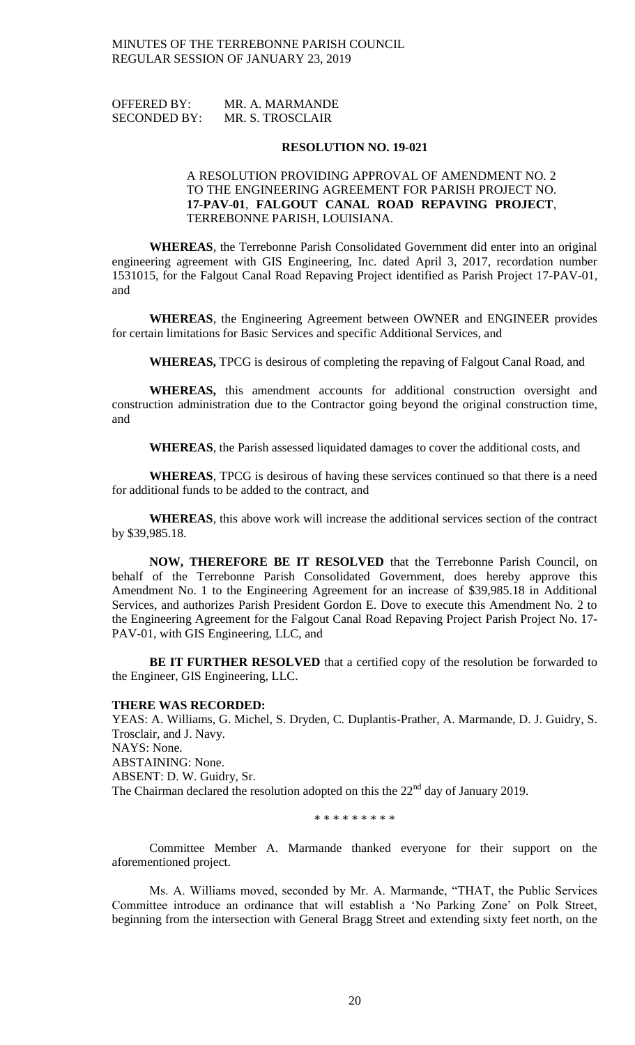| <b>OFFERED BY:</b>  | MR. A. MARMANDE  |
|---------------------|------------------|
| <b>SECONDED BY:</b> | MR. S. TROSCLAIR |

#### **RESOLUTION NO. 19-021**

## A RESOLUTION PROVIDING APPROVAL OF AMENDMENT NO. 2 TO THE ENGINEERING AGREEMENT FOR PARISH PROJECT NO. **17-PAV-01**, **FALGOUT CANAL ROAD REPAVING PROJECT**, TERREBONNE PARISH, LOUISIANA.

**WHEREAS**, the Terrebonne Parish Consolidated Government did enter into an original engineering agreement with GIS Engineering, Inc. dated April 3, 2017, recordation number 1531015, for the Falgout Canal Road Repaving Project identified as Parish Project 17-PAV-01, and

**WHEREAS**, the Engineering Agreement between OWNER and ENGINEER provides for certain limitations for Basic Services and specific Additional Services, and

**WHEREAS,** TPCG is desirous of completing the repaving of Falgout Canal Road, and

**WHEREAS,** this amendment accounts for additional construction oversight and construction administration due to the Contractor going beyond the original construction time, and

**WHEREAS**, the Parish assessed liquidated damages to cover the additional costs, and

**WHEREAS**, TPCG is desirous of having these services continued so that there is a need for additional funds to be added to the contract, and

**WHEREAS**, this above work will increase the additional services section of the contract by \$39,985.18.

**NOW, THEREFORE BE IT RESOLVED** that the Terrebonne Parish Council, on behalf of the Terrebonne Parish Consolidated Government, does hereby approve this Amendment No. 1 to the Engineering Agreement for an increase of \$39,985.18 in Additional Services, and authorizes Parish President Gordon E. Dove to execute this Amendment No. 2 to the Engineering Agreement for the Falgout Canal Road Repaving Project Parish Project No. 17- PAV-01, with GIS Engineering, LLC, and

**BE IT FURTHER RESOLVED** that a certified copy of the resolution be forwarded to the Engineer, GIS Engineering, LLC.

#### **THERE WAS RECORDED:**

YEAS: A. Williams, G. Michel, S. Dryden, C. Duplantis-Prather, A. Marmande, D. J. Guidry, S. Trosclair, and J. Navy. NAYS: None. ABSTAINING: None. ABSENT: D. W. Guidry, Sr. The Chairman declared the resolution adopted on this the 22<sup>nd</sup> day of January 2019.

\* \* \* \* \* \* \* \* \*

Committee Member A. Marmande thanked everyone for their support on the aforementioned project.

Ms. A. Williams moved, seconded by Mr. A. Marmande, "THAT, the Public Services Committee introduce an ordinance that will establish a 'No Parking Zone' on Polk Street, beginning from the intersection with General Bragg Street and extending sixty feet north, on the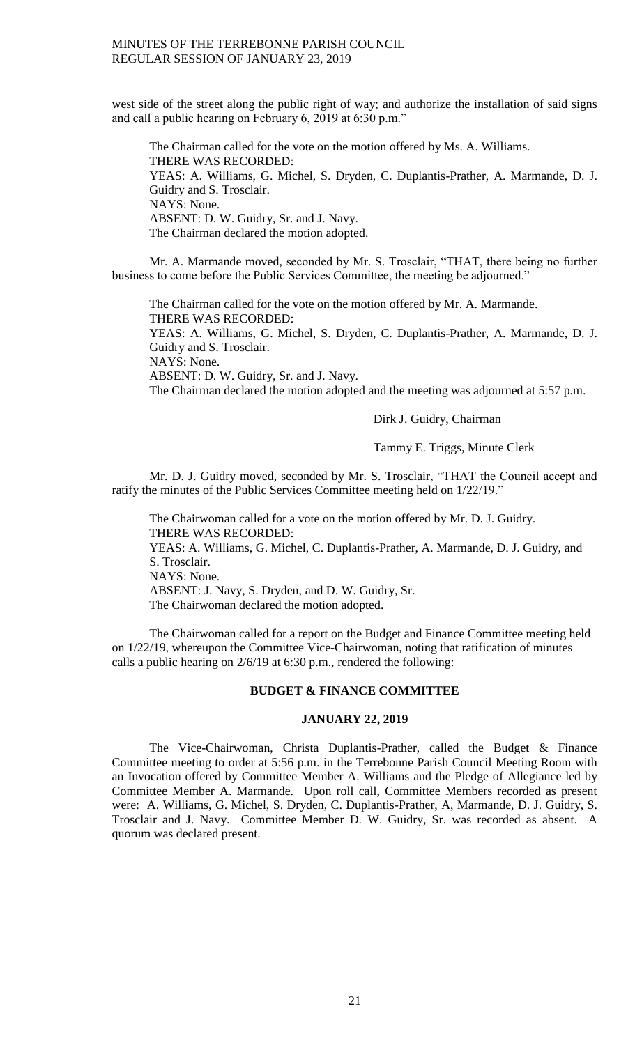west side of the street along the public right of way; and authorize the installation of said signs and call a public hearing on February 6, 2019 at 6:30 p.m."

The Chairman called for the vote on the motion offered by Ms. A. Williams. THERE WAS RECORDED: YEAS: A. Williams, G. Michel, S. Dryden, C. Duplantis-Prather, A. Marmande, D. J. Guidry and S. Trosclair. NAYS: None. ABSENT: D. W. Guidry, Sr. and J. Navy. The Chairman declared the motion adopted.

Mr. A. Marmande moved, seconded by Mr. S. Trosclair, "THAT, there being no further business to come before the Public Services Committee, the meeting be adjourned."

The Chairman called for the vote on the motion offered by Mr. A. Marmande. THERE WAS RECORDED: YEAS: A. Williams, G. Michel, S. Dryden, C. Duplantis-Prather, A. Marmande, D. J. Guidry and S. Trosclair. NAYS: None. ABSENT: D. W. Guidry, Sr. and J. Navy. The Chairman declared the motion adopted and the meeting was adjourned at 5:57 p.m.

# Dirk J. Guidry, Chairman

Tammy E. Triggs, Minute Clerk

Mr. D. J. Guidry moved, seconded by Mr. S. Trosclair, "THAT the Council accept and ratify the minutes of the Public Services Committee meeting held on 1/22/19."

The Chairwoman called for a vote on the motion offered by Mr. D. J. Guidry. THERE WAS RECORDED: YEAS: A. Williams, G. Michel, C. Duplantis-Prather, A. Marmande, D. J. Guidry, and S. Trosclair. NAYS: None. ABSENT: J. Navy, S. Dryden, and D. W. Guidry, Sr. The Chairwoman declared the motion adopted.

The Chairwoman called for a report on the Budget and Finance Committee meeting held on 1/22/19, whereupon the Committee Vice-Chairwoman, noting that ratification of minutes calls a public hearing on 2/6/19 at 6:30 p.m., rendered the following:

#### **BUDGET & FINANCE COMMITTEE**

## **JANUARY 22, 2019**

The Vice-Chairwoman, Christa Duplantis-Prather, called the Budget & Finance Committee meeting to order at 5:56 p.m. in the Terrebonne Parish Council Meeting Room with an Invocation offered by Committee Member A. Williams and the Pledge of Allegiance led by Committee Member A. Marmande. Upon roll call, Committee Members recorded as present were: A. Williams, G. Michel, S. Dryden, C. Duplantis-Prather, A, Marmande, D. J. Guidry, S. Trosclair and J. Navy. Committee Member D. W. Guidry, Sr. was recorded as absent. A quorum was declared present.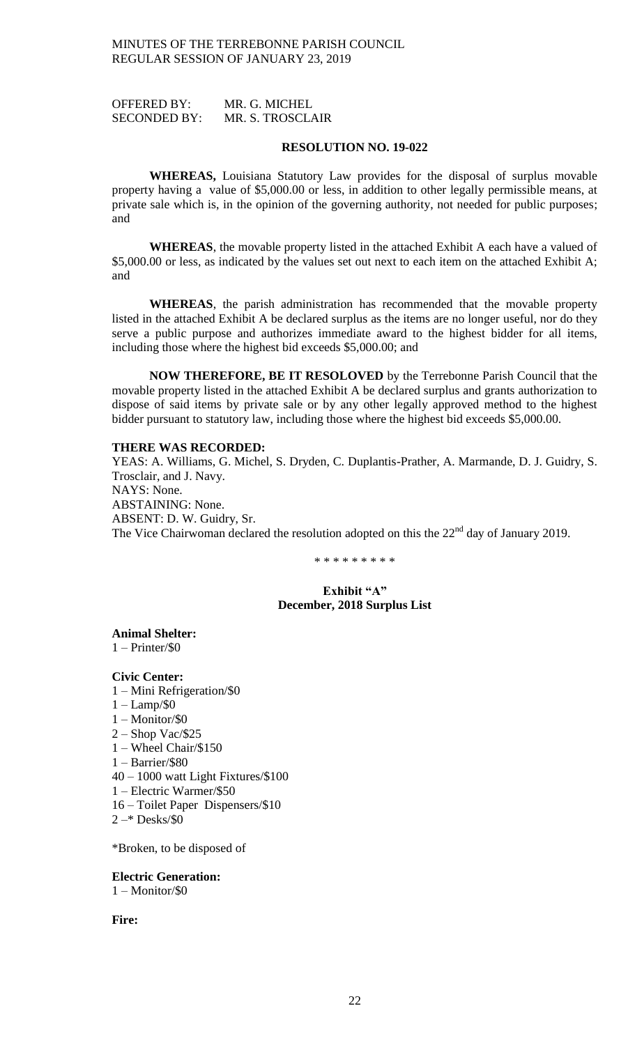OFFERED BY: MR. G. MICHEL SECONDED BY: MR. S. TROSCLAIR

#### **RESOLUTION NO. 19-022**

**WHEREAS,** Louisiana Statutory Law provides for the disposal of surplus movable property having a value of \$5,000.00 or less, in addition to other legally permissible means, at private sale which is, in the opinion of the governing authority, not needed for public purposes; and

**WHEREAS**, the movable property listed in the attached Exhibit A each have a valued of \$5,000.00 or less, as indicated by the values set out next to each item on the attached Exhibit A; and

**WHEREAS**, the parish administration has recommended that the movable property listed in the attached Exhibit A be declared surplus as the items are no longer useful, nor do they serve a public purpose and authorizes immediate award to the highest bidder for all items, including those where the highest bid exceeds \$5,000.00; and

**NOW THEREFORE, BE IT RESOLOVED** by the Terrebonne Parish Council that the movable property listed in the attached Exhibit A be declared surplus and grants authorization to dispose of said items by private sale or by any other legally approved method to the highest bidder pursuant to statutory law, including those where the highest bid exceeds \$5,000.00.

# **THERE WAS RECORDED:**

YEAS: A. Williams, G. Michel, S. Dryden, C. Duplantis-Prather, A. Marmande, D. J. Guidry, S. Trosclair, and J. Navy. NAYS: None. ABSTAINING: None. ABSENT: D. W. Guidry, Sr. The Vice Chairwoman declared the resolution adopted on this the 22<sup>nd</sup> day of January 2019.

\* \* \* \* \* \* \* \* \*

## **Exhibit "A" December, 2018 Surplus List**

**Animal Shelter:**  $1 - Printer/S0$ 

**Civic Center:**

- 1 Mini Refrigeration/\$0
- 1 Lamp/\$0
- 1 Monitor/\$0
- 2 Shop Vac/\$25
- 1 Wheel Chair/\$150
- 1 Barrier/\$80
- 40 1000 watt Light Fixtures/\$100
- 1 Electric Warmer/\$50
- 16 Toilet Paper Dispensers/\$10
- $2 * Desks/80$

\*Broken, to be disposed of

#### **Electric Generation:**

1 – Monitor/\$0

**Fire:**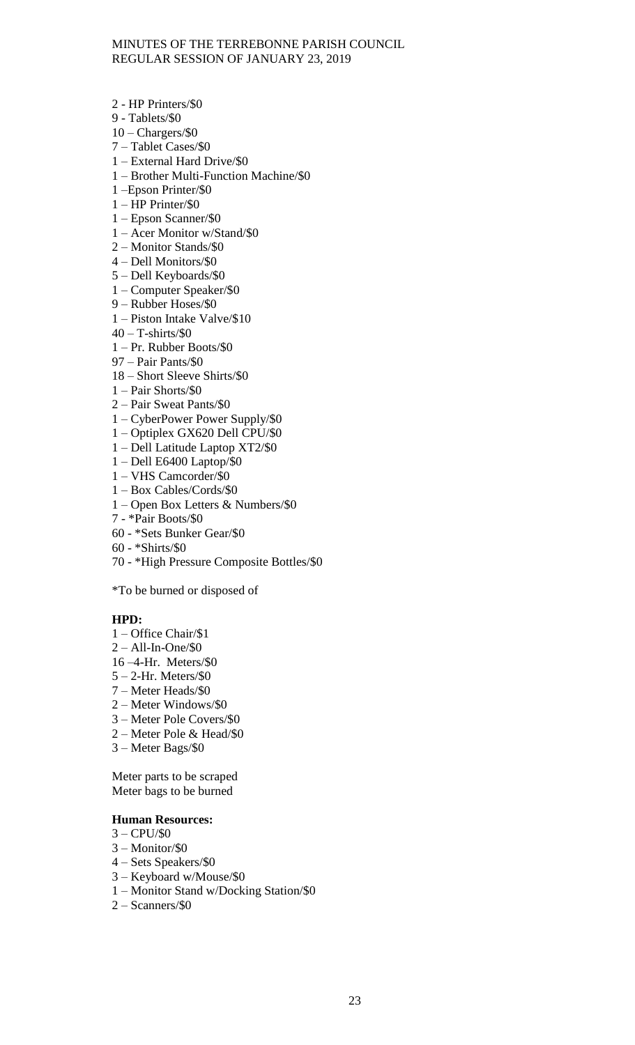- 2 HP Printers/\$0
- 9 Tablets/\$0
- $10 -$ Chargers/ $\$0$
- 7 Tablet Cases/\$0
- 1 External Hard Drive/\$0
- 1 Brother Multi-Function Machine/\$0
- 1 –Epson Printer/\$0
- 1 HP Printer/\$0
- 1 Epson Scanner/\$0
- 1 Acer Monitor w/Stand/\$0
- 2 Monitor Stands/\$0
- 4 Dell Monitors/\$0
- 5 Dell Keyboards/\$0
- 1 Computer Speaker/\$0
- 9 Rubber Hoses/\$0
- 1 Piston Intake Valve/\$10
- $40 T$ -shirts/\$0
- 1 Pr. Rubber Boots/\$0
- 97 Pair Pants/\$0
- 18 Short Sleeve Shirts/\$0
- 1 Pair Shorts/\$0
- 2 Pair Sweat Pants/\$0
- 1 CyberPower Power Supply/\$0
- 1 Optiplex GX620 Dell CPU/\$0
- 1 Dell Latitude Laptop XT2/\$0
- 1 Dell E6400 Laptop/\$0
- 1 VHS Camcorder/\$0
- 1 Box Cables/Cords/\$0
- 1 Open Box Letters & Numbers/\$0
- 7 \*Pair Boots/\$0
- 60 \*Sets Bunker Gear/\$0
- 60 \*Shirts/\$0
- 70 \*High Pressure Composite Bottles/\$0

\*To be burned or disposed of

#### **HPD:**

- 1 Office Chair/\$1
- 2 All-In-One/\$0
- 16 –4-Hr. Meters/\$0
- $5 2$ -Hr. Meters/\$0
- 7 Meter Heads/\$0
- 2 Meter Windows/\$0
- 3 Meter Pole Covers/\$0
- 2 Meter Pole & Head/\$0
- 3 Meter Bags/\$0

Meter parts to be scraped Meter bags to be burned

## **Human Resources:**

- $3 CPU/S0$
- 3 Monitor/\$0
- 4 Sets Speakers/\$0
- 3 Keyboard w/Mouse/\$0
- 1 Monitor Stand w/Docking Station/\$0
- 2 Scanners/\$0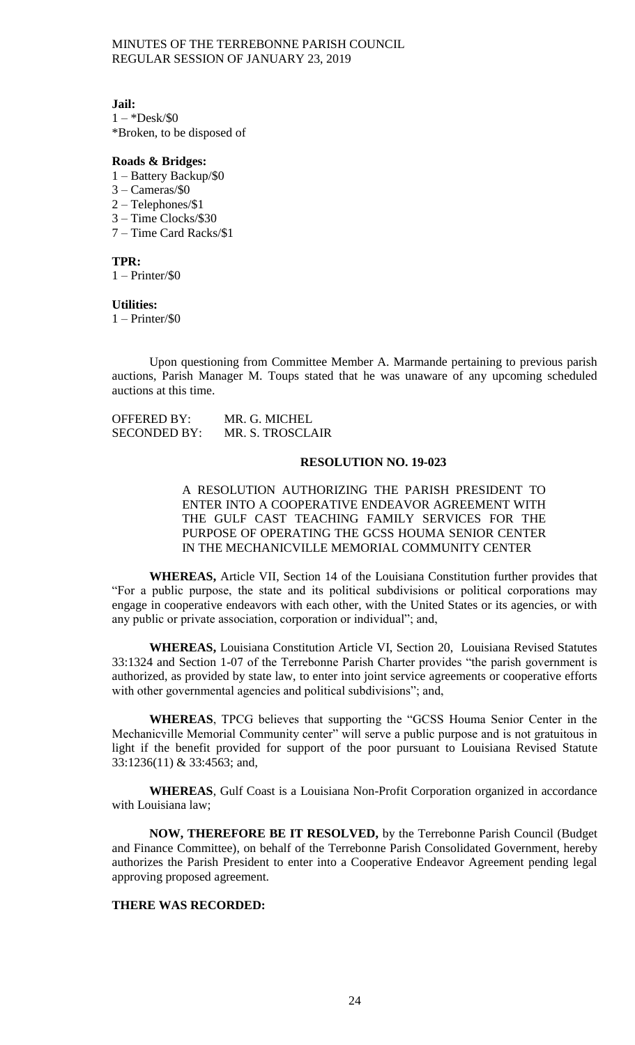### **Jail:**

 $1 - *Desk/\$0$ \*Broken, to be disposed of

## **Roads & Bridges:**

- 1 Battery Backup/\$0
- 3 Cameras/\$0
- 2 Telephones/\$1
- 3 Time Clocks/\$30
- 7 Time Card Racks/\$1

**TPR:**

1 – Printer/\$0

**Utilities:** 1 – Printer/\$0

Upon questioning from Committee Member A. Marmande pertaining to previous parish auctions, Parish Manager M. Toups stated that he was unaware of any upcoming scheduled auctions at this time.

| OFFERED BY:         | MR. G. MICHEL    |
|---------------------|------------------|
| <b>SECONDED BY:</b> | MR. S. TROSCLAIR |

## **RESOLUTION NO. 19-023**

A RESOLUTION AUTHORIZING THE PARISH PRESIDENT TO ENTER INTO A COOPERATIVE ENDEAVOR AGREEMENT WITH THE GULF CAST TEACHING FAMILY SERVICES FOR THE PURPOSE OF OPERATING THE GCSS HOUMA SENIOR CENTER IN THE MECHANICVILLE MEMORIAL COMMUNITY CENTER

**WHEREAS,** Article VII, Section 14 of the Louisiana Constitution further provides that "For a public purpose, the state and its political subdivisions or political corporations may engage in cooperative endeavors with each other, with the United States or its agencies, or with any public or private association, corporation or individual"; and,

**WHEREAS,** Louisiana Constitution Article VI, Section 20, Louisiana Revised Statutes 33:1324 and Section 1-07 of the Terrebonne Parish Charter provides "the parish government is authorized, as provided by state law, to enter into joint service agreements or cooperative efforts with other governmental agencies and political subdivisions"; and,

**WHEREAS**, TPCG believes that supporting the "GCSS Houma Senior Center in the Mechanicville Memorial Community center" will serve a public purpose and is not gratuitous in light if the benefit provided for support of the poor pursuant to Louisiana Revised Statute 33:1236(11) & 33:4563; and,

**WHEREAS**, Gulf Coast is a Louisiana Non-Profit Corporation organized in accordance with Louisiana law;

**NOW, THEREFORE BE IT RESOLVED,** by the Terrebonne Parish Council (Budget and Finance Committee), on behalf of the Terrebonne Parish Consolidated Government, hereby authorizes the Parish President to enter into a Cooperative Endeavor Agreement pending legal approving proposed agreement.

# **THERE WAS RECORDED:**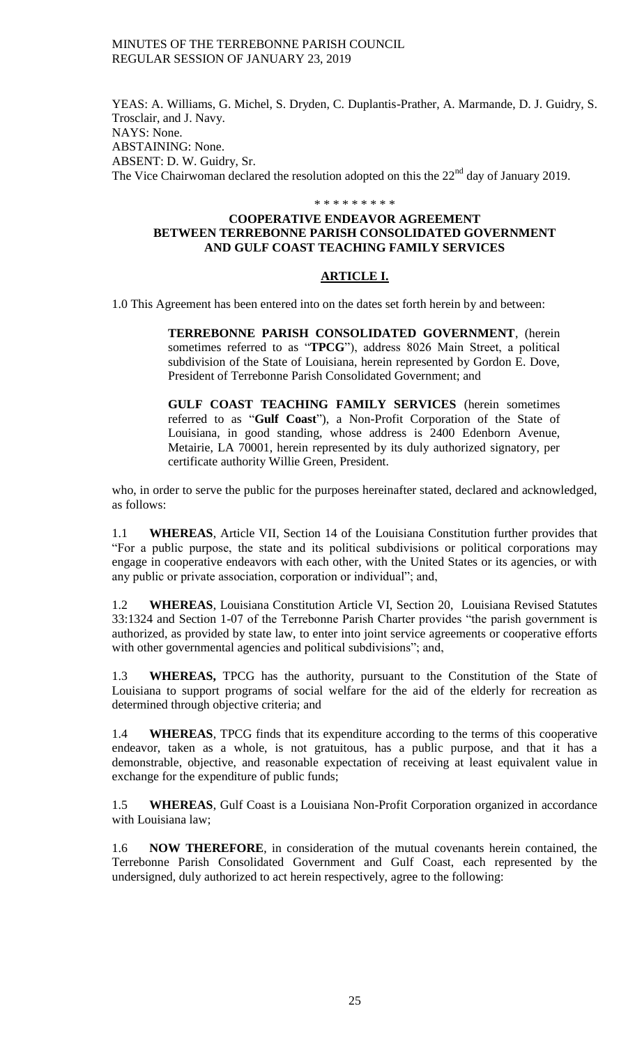YEAS: A. Williams, G. Michel, S. Dryden, C. Duplantis-Prather, A. Marmande, D. J. Guidry, S. Trosclair, and J. Navy. NAYS: None. ABSTAINING: None. ABSENT: D. W. Guidry, Sr. The Vice Chairwoman declared the resolution adopted on this the 22<sup>nd</sup> day of January 2019.

### \* \* \* \* \* \* \* \* \*

# **COOPERATIVE ENDEAVOR AGREEMENT BETWEEN TERREBONNE PARISH CONSOLIDATED GOVERNMENT AND GULF COAST TEACHING FAMILY SERVICES**

# **ARTICLE I.**

1.0 This Agreement has been entered into on the dates set forth herein by and between:

**TERREBONNE PARISH CONSOLIDATED GOVERNMENT**, (herein sometimes referred to as "**TPCG**"), address 8026 Main Street, a political subdivision of the State of Louisiana, herein represented by Gordon E. Dove, President of Terrebonne Parish Consolidated Government; and

**GULF COAST TEACHING FAMILY SERVICES** (herein sometimes referred to as "**Gulf Coast**"), a Non-Profit Corporation of the State of Louisiana, in good standing, whose address is 2400 Edenborn Avenue, Metairie, LA 70001, herein represented by its duly authorized signatory, per certificate authority Willie Green, President.

who, in order to serve the public for the purposes hereinafter stated, declared and acknowledged, as follows:

1.1 **WHEREAS**, Article VII, Section 14 of the Louisiana Constitution further provides that "For a public purpose, the state and its political subdivisions or political corporations may engage in cooperative endeavors with each other, with the United States or its agencies, or with any public or private association, corporation or individual"; and,

1.2 **WHEREAS**, Louisiana Constitution Article VI, Section 20, Louisiana Revised Statutes 33:1324 and Section 1-07 of the Terrebonne Parish Charter provides "the parish government is authorized, as provided by state law, to enter into joint service agreements or cooperative efforts with other governmental agencies and political subdivisions"; and,

1.3 **WHEREAS,** TPCG has the authority, pursuant to the Constitution of the State of Louisiana to support programs of social welfare for the aid of the elderly for recreation as determined through objective criteria; and

1.4 **WHEREAS**, TPCG finds that its expenditure according to the terms of this cooperative endeavor, taken as a whole, is not gratuitous, has a public purpose, and that it has a demonstrable, objective, and reasonable expectation of receiving at least equivalent value in exchange for the expenditure of public funds;

1.5 **WHEREAS**, Gulf Coast is a Louisiana Non-Profit Corporation organized in accordance with Louisiana law;

1.6 **NOW THEREFORE**, in consideration of the mutual covenants herein contained, the Terrebonne Parish Consolidated Government and Gulf Coast, each represented by the undersigned, duly authorized to act herein respectively, agree to the following: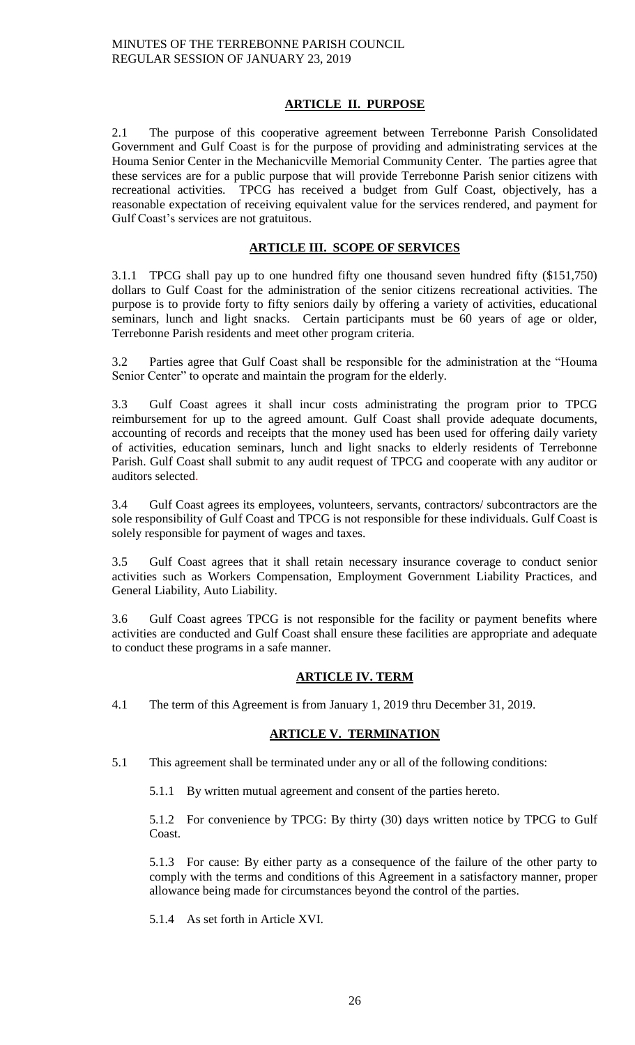# **ARTICLE II. PURPOSE**

2.1 The purpose of this cooperative agreement between Terrebonne Parish Consolidated Government and Gulf Coast is for the purpose of providing and administrating services at the Houma Senior Center in the Mechanicville Memorial Community Center. The parties agree that these services are for a public purpose that will provide Terrebonne Parish senior citizens with recreational activities. TPCG has received a budget from Gulf Coast, objectively, has a reasonable expectation of receiving equivalent value for the services rendered, and payment for Gulf Coast's services are not gratuitous.

# **ARTICLE III. SCOPE OF SERVICES**

3.1.1 TPCG shall pay up to one hundred fifty one thousand seven hundred fifty (\$151,750) dollars to Gulf Coast for the administration of the senior citizens recreational activities. The purpose is to provide forty to fifty seniors daily by offering a variety of activities, educational seminars, lunch and light snacks. Certain participants must be 60 years of age or older, Terrebonne Parish residents and meet other program criteria.

3.2 Parties agree that Gulf Coast shall be responsible for the administration at the "Houma Senior Center" to operate and maintain the program for the elderly.

3.3 Gulf Coast agrees it shall incur costs administrating the program prior to TPCG reimbursement for up to the agreed amount. Gulf Coast shall provide adequate documents, accounting of records and receipts that the money used has been used for offering daily variety of activities, education seminars, lunch and light snacks to elderly residents of Terrebonne Parish. Gulf Coast shall submit to any audit request of TPCG and cooperate with any auditor or auditors selected.

3.4 Gulf Coast agrees its employees, volunteers, servants, contractors/ subcontractors are the sole responsibility of Gulf Coast and TPCG is not responsible for these individuals. Gulf Coast is solely responsible for payment of wages and taxes.

3.5 Gulf Coast agrees that it shall retain necessary insurance coverage to conduct senior activities such as Workers Compensation, Employment Government Liability Practices, and General Liability, Auto Liability.

3.6 Gulf Coast agrees TPCG is not responsible for the facility or payment benefits where activities are conducted and Gulf Coast shall ensure these facilities are appropriate and adequate to conduct these programs in a safe manner.

# **ARTICLE IV. TERM**

4.1 The term of this Agreement is from January 1, 2019 thru December 31, 2019.

# **ARTICLE V. TERMINATION**

5.1 This agreement shall be terminated under any or all of the following conditions:

5.1.1 By written mutual agreement and consent of the parties hereto.

5.1.2 For convenience by TPCG: By thirty (30) days written notice by TPCG to Gulf Coast.

5.1.3 For cause: By either party as a consequence of the failure of the other party to comply with the terms and conditions of this Agreement in a satisfactory manner, proper allowance being made for circumstances beyond the control of the parties.

5.1.4 As set forth in Article XVI.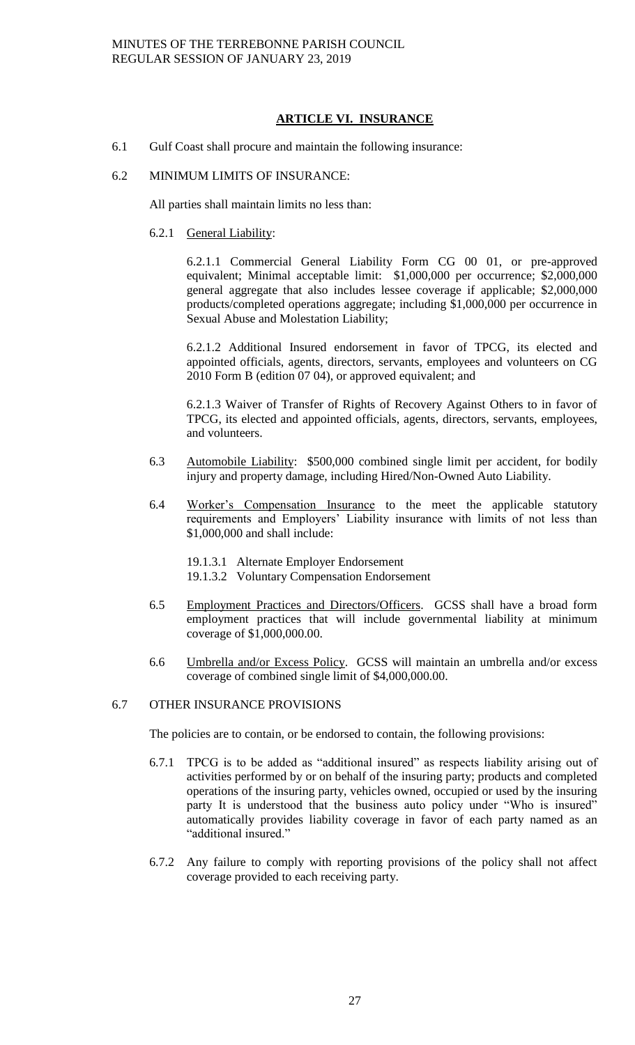# **ARTICLE VI. INSURANCE**

- 6.1 Gulf Coast shall procure and maintain the following insurance:
- 6.2 MINIMUM LIMITS OF INSURANCE:

All parties shall maintain limits no less than:

6.2.1 General Liability:

6.2.1.1 Commercial General Liability Form CG 00 01, or pre-approved equivalent; Minimal acceptable limit: \$1,000,000 per occurrence; \$2,000,000 general aggregate that also includes lessee coverage if applicable; \$2,000,000 products/completed operations aggregate; including \$1,000,000 per occurrence in Sexual Abuse and Molestation Liability;

6.2.1.2 Additional Insured endorsement in favor of TPCG, its elected and appointed officials, agents, directors, servants, employees and volunteers on CG 2010 Form B (edition 07 04), or approved equivalent; and

6.2.1.3 Waiver of Transfer of Rights of Recovery Against Others to in favor of TPCG, its elected and appointed officials, agents, directors, servants, employees, and volunteers.

- 6.3 Automobile Liability: \$500,000 combined single limit per accident, for bodily injury and property damage, including Hired/Non-Owned Auto Liability.
- 6.4 Worker's Compensation Insurance to the meet the applicable statutory requirements and Employers' Liability insurance with limits of not less than \$1,000,000 and shall include:
	- 19.1.3.1 Alternate Employer Endorsement
	- 19.1.3.2 Voluntary Compensation Endorsement
- 6.5 Employment Practices and Directors/Officers. GCSS shall have a broad form employment practices that will include governmental liability at minimum coverage of \$1,000,000.00.
- 6.6 Umbrella and/or Excess Policy. GCSS will maintain an umbrella and/or excess coverage of combined single limit of \$4,000,000.00.

# 6.7 OTHER INSURANCE PROVISIONS

The policies are to contain, or be endorsed to contain, the following provisions:

- 6.7.1 TPCG is to be added as "additional insured" as respects liability arising out of activities performed by or on behalf of the insuring party; products and completed operations of the insuring party, vehicles owned, occupied or used by the insuring party It is understood that the business auto policy under "Who is insured" automatically provides liability coverage in favor of each party named as an "additional insured."
- 6.7.2 Any failure to comply with reporting provisions of the policy shall not affect coverage provided to each receiving party.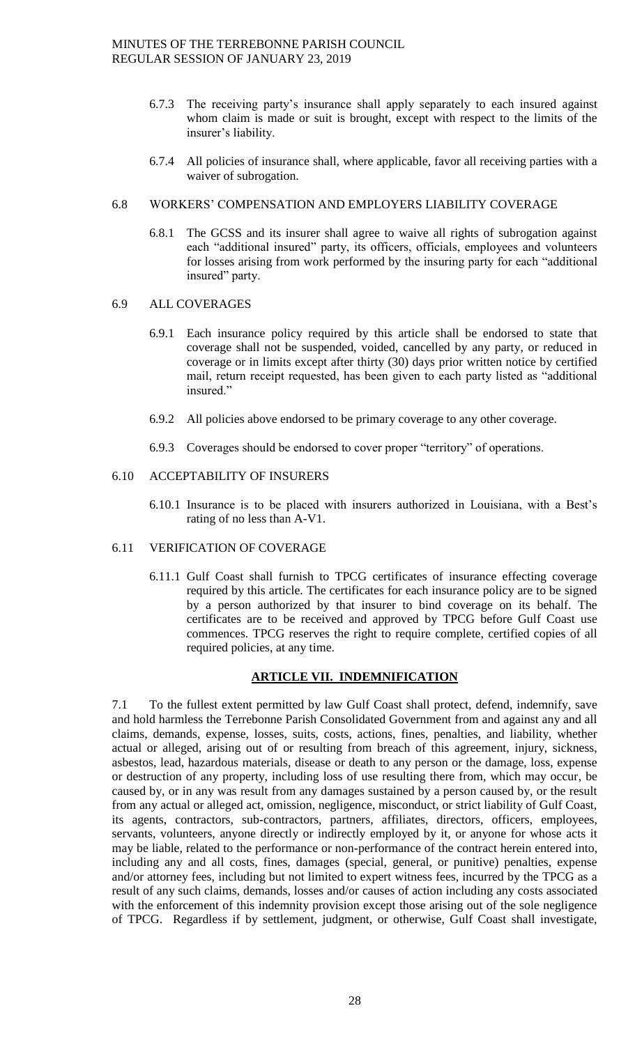- 6.7.3 The receiving party's insurance shall apply separately to each insured against whom claim is made or suit is brought, except with respect to the limits of the insurer's liability.
- 6.7.4 All policies of insurance shall, where applicable, favor all receiving parties with a waiver of subrogation.

# 6.8 WORKERS' COMPENSATION AND EMPLOYERS LIABILITY COVERAGE

6.8.1 The GCSS and its insurer shall agree to waive all rights of subrogation against each "additional insured" party, its officers, officials, employees and volunteers for losses arising from work performed by the insuring party for each "additional insured" party.

# 6.9 ALL COVERAGES

- 6.9.1 Each insurance policy required by this article shall be endorsed to state that coverage shall not be suspended, voided, cancelled by any party, or reduced in coverage or in limits except after thirty (30) days prior written notice by certified mail, return receipt requested, has been given to each party listed as "additional insured."
- 6.9.2 All policies above endorsed to be primary coverage to any other coverage.
- 6.9.3 Coverages should be endorsed to cover proper "territory" of operations.

## 6.10 ACCEPTABILITY OF INSURERS

6.10.1 Insurance is to be placed with insurers authorized in Louisiana, with a Best's rating of no less than A-V1.

# 6.11 VERIFICATION OF COVERAGE

6.11.1 Gulf Coast shall furnish to TPCG certificates of insurance effecting coverage required by this article. The certificates for each insurance policy are to be signed by a person authorized by that insurer to bind coverage on its behalf. The certificates are to be received and approved by TPCG before Gulf Coast use commences. TPCG reserves the right to require complete, certified copies of all required policies, at any time.

# **ARTICLE VII. INDEMNIFICATION**

7.1 To the fullest extent permitted by law Gulf Coast shall protect, defend, indemnify, save and hold harmless the Terrebonne Parish Consolidated Government from and against any and all claims, demands, expense, losses, suits, costs, actions, fines, penalties, and liability, whether actual or alleged, arising out of or resulting from breach of this agreement, injury, sickness, asbestos, lead, hazardous materials, disease or death to any person or the damage, loss, expense or destruction of any property, including loss of use resulting there from, which may occur, be caused by, or in any was result from any damages sustained by a person caused by, or the result from any actual or alleged act, omission, negligence, misconduct, or strict liability of Gulf Coast, its agents, contractors, sub-contractors, partners, affiliates, directors, officers, employees, servants, volunteers, anyone directly or indirectly employed by it, or anyone for whose acts it may be liable, related to the performance or non-performance of the contract herein entered into, including any and all costs, fines, damages (special, general, or punitive) penalties, expense and/or attorney fees, including but not limited to expert witness fees, incurred by the TPCG as a result of any such claims, demands, losses and/or causes of action including any costs associated with the enforcement of this indemnity provision except those arising out of the sole negligence of TPCG. Regardless if by settlement, judgment, or otherwise, Gulf Coast shall investigate,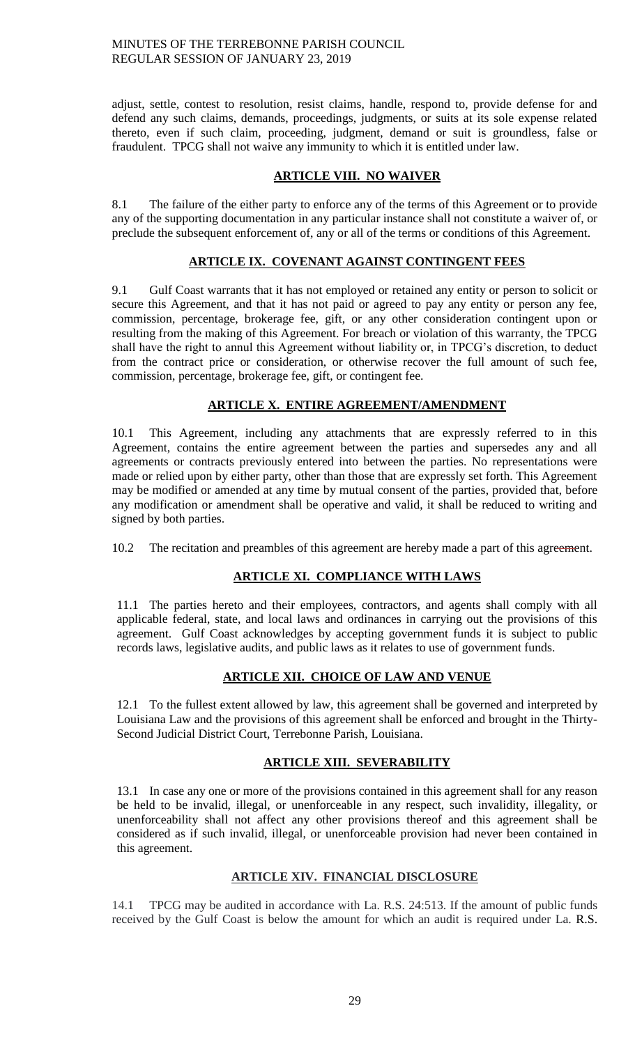adjust, settle, contest to resolution, resist claims, handle, respond to, provide defense for and defend any such claims, demands, proceedings, judgments, or suits at its sole expense related thereto, even if such claim, proceeding, judgment, demand or suit is groundless, false or fraudulent. TPCG shall not waive any immunity to which it is entitled under law.

# **ARTICLE VIII. NO WAIVER**

8.1 The failure of the either party to enforce any of the terms of this Agreement or to provide any of the supporting documentation in any particular instance shall not constitute a waiver of, or preclude the subsequent enforcement of, any or all of the terms or conditions of this Agreement.

# **ARTICLE IX. COVENANT AGAINST CONTINGENT FEES**

9.1 Gulf Coast warrants that it has not employed or retained any entity or person to solicit or secure this Agreement, and that it has not paid or agreed to pay any entity or person any fee, commission, percentage, brokerage fee, gift, or any other consideration contingent upon or resulting from the making of this Agreement. For breach or violation of this warranty, the TPCG shall have the right to annul this Agreement without liability or, in TPCG's discretion, to deduct from the contract price or consideration, or otherwise recover the full amount of such fee, commission, percentage, brokerage fee, gift, or contingent fee.

# **ARTICLE X. ENTIRE AGREEMENT/AMENDMENT**

10.1 This Agreement, including any attachments that are expressly referred to in this Agreement, contains the entire agreement between the parties and supersedes any and all agreements or contracts previously entered into between the parties. No representations were made or relied upon by either party, other than those that are expressly set forth. This Agreement may be modified or amended at any time by mutual consent of the parties, provided that, before any modification or amendment shall be operative and valid, it shall be reduced to writing and signed by both parties.

10.2 The recitation and preambles of this agreement are hereby made a part of this agreement.

# **ARTICLE XI. COMPLIANCE WITH LAWS**

11.1 The parties hereto and their employees, contractors, and agents shall comply with all applicable federal, state, and local laws and ordinances in carrying out the provisions of this agreement. Gulf Coast acknowledges by accepting government funds it is subject to public records laws, legislative audits, and public laws as it relates to use of government funds.

# **ARTICLE XII. CHOICE OF LAW AND VENUE**

12.1 To the fullest extent allowed by law, this agreement shall be governed and interpreted by Louisiana Law and the provisions of this agreement shall be enforced and brought in the Thirty-Second Judicial District Court, Terrebonne Parish, Louisiana.

# **ARTICLE XIII. SEVERABILITY**

13.1 In case any one or more of the provisions contained in this agreement shall for any reason be held to be invalid, illegal, or unenforceable in any respect, such invalidity, illegality, or unenforceability shall not affect any other provisions thereof and this agreement shall be considered as if such invalid, illegal, or unenforceable provision had never been contained in this agreement.

# **ARTICLE XIV. FINANCIAL DISCLOSURE**

14.1 TPCG may be audited in accordance with La. R.S. 24:513. If the amount of public funds received by the Gulf Coast is below the amount for which an audit is required under La. R.S.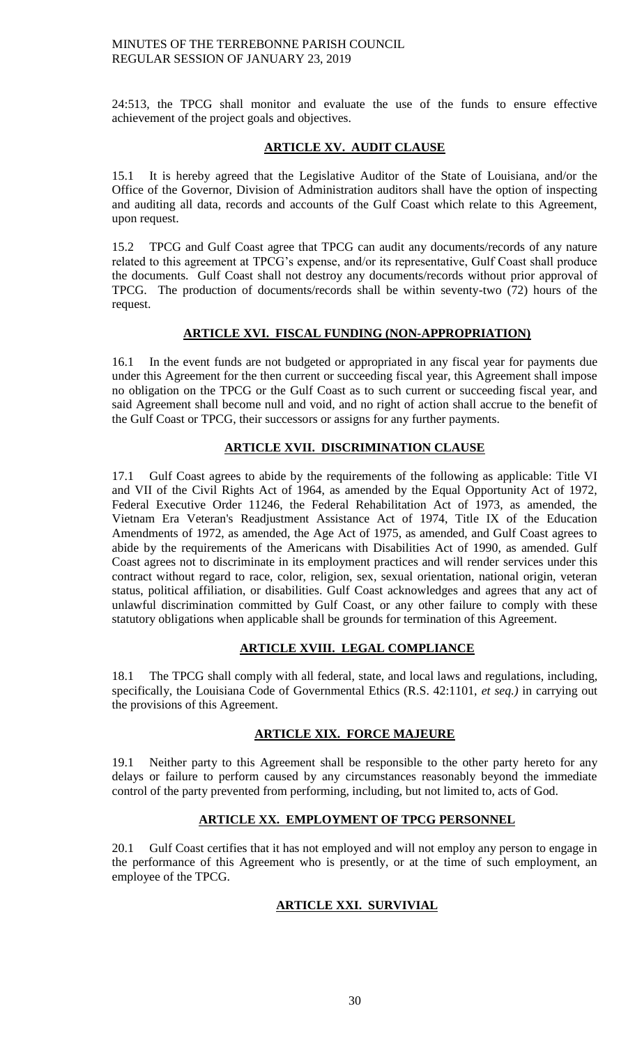24:513, the TPCG shall monitor and evaluate the use of the funds to ensure effective achievement of the project goals and objectives.

# **ARTICLE XV. AUDIT CLAUSE**

15.1 It is hereby agreed that the Legislative Auditor of the State of Louisiana, and/or the Office of the Governor, Division of Administration auditors shall have the option of inspecting and auditing all data, records and accounts of the Gulf Coast which relate to this Agreement, upon request.

15.2 TPCG and Gulf Coast agree that TPCG can audit any documents/records of any nature related to this agreement at TPCG's expense, and/or its representative, Gulf Coast shall produce the documents. Gulf Coast shall not destroy any documents/records without prior approval of TPCG. The production of documents/records shall be within seventy-two (72) hours of the request.

# **ARTICLE XVI. FISCAL FUNDING (NON-APPROPRIATION)**

16.1 In the event funds are not budgeted or appropriated in any fiscal year for payments due under this Agreement for the then current or succeeding fiscal year, this Agreement shall impose no obligation on the TPCG or the Gulf Coast as to such current or succeeding fiscal year, and said Agreement shall become null and void, and no right of action shall accrue to the benefit of the Gulf Coast or TPCG, their successors or assigns for any further payments.

# **ARTICLE XVII. DISCRIMINATION CLAUSE**

17.1 Gulf Coast agrees to abide by the requirements of the following as applicable: Title VI and VII of the Civil Rights Act of 1964, as amended by the Equal Opportunity Act of 1972, Federal Executive Order 11246, the Federal Rehabilitation Act of 1973, as amended, the Vietnam Era Veteran's Readjustment Assistance Act of 1974, Title IX of the Education Amendments of 1972, as amended, the Age Act of 1975, as amended, and Gulf Coast agrees to abide by the requirements of the Americans with Disabilities Act of 1990, as amended. Gulf Coast agrees not to discriminate in its employment practices and will render services under this contract without regard to race, color, religion, sex, sexual orientation, national origin, veteran status, political affiliation, or disabilities. Gulf Coast acknowledges and agrees that any act of unlawful discrimination committed by Gulf Coast, or any other failure to comply with these statutory obligations when applicable shall be grounds for termination of this Agreement.

# **ARTICLE XVIII. LEGAL COMPLIANCE**

18.1 The TPCG shall comply with all federal, state, and local laws and regulations, including, specifically, the Louisiana Code of Governmental Ethics (R.S. 42:1101, *et seq.)* in carrying out the provisions of this Agreement.

# **ARTICLE XIX. FORCE MAJEURE**

19.1 Neither party to this Agreement shall be responsible to the other party hereto for any delays or failure to perform caused by any circumstances reasonably beyond the immediate control of the party prevented from performing, including, but not limited to, acts of God.

# **ARTICLE XX. EMPLOYMENT OF TPCG PERSONNEL**

20.1 Gulf Coast certifies that it has not employed and will not employ any person to engage in the performance of this Agreement who is presently, or at the time of such employment, an employee of the TPCG.

# **ARTICLE XXI. SURVIVIAL**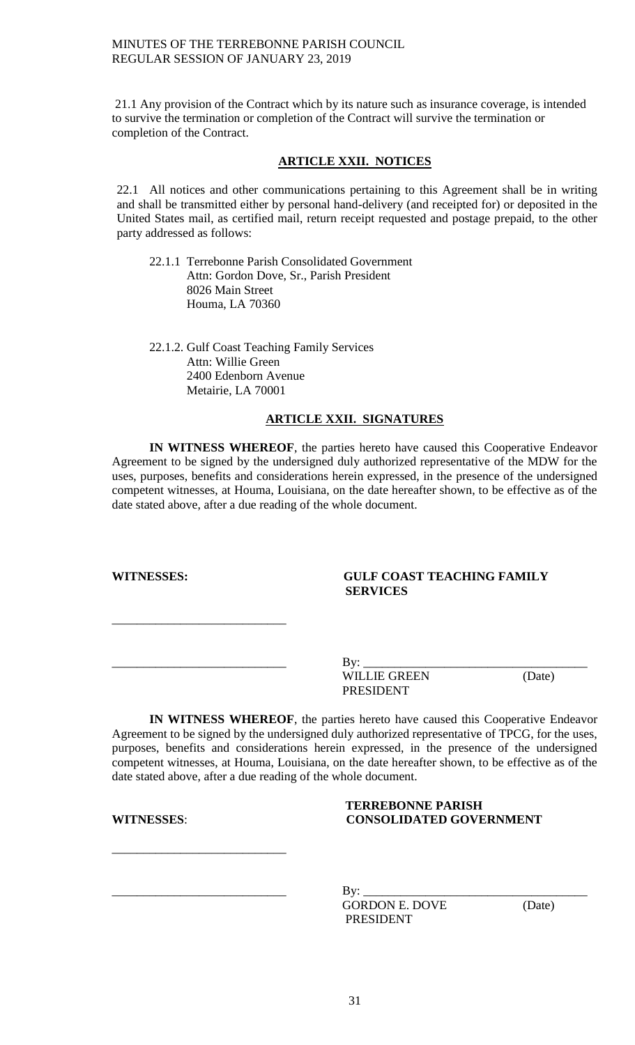21.1 Any provision of the Contract which by its nature such as insurance coverage, is intended to survive the termination or completion of the Contract will survive the termination or completion of the Contract.

# **ARTICLE XXII. NOTICES**

22.1 All notices and other communications pertaining to this Agreement shall be in writing and shall be transmitted either by personal hand-delivery (and receipted for) or deposited in the United States mail, as certified mail, return receipt requested and postage prepaid, to the other party addressed as follows:

22.1.1 Terrebonne Parish Consolidated Government Attn: Gordon Dove, Sr., Parish President 8026 Main Street Houma, LA 70360

22.1.2. Gulf Coast Teaching Family Services Attn: Willie Green 2400 Edenborn Avenue Metairie, LA 70001

# **ARTICLE XXII. SIGNATURES**

**IN WITNESS WHEREOF**, the parties hereto have caused this Cooperative Endeavor Agreement to be signed by the undersigned duly authorized representative of the MDW for the uses, purposes, benefits and considerations herein expressed, in the presence of the undersigned competent witnesses, at Houma, Louisiana, on the date hereafter shown, to be effective as of the date stated above, after a due reading of the whole document.

\_\_\_\_\_\_\_\_\_\_\_\_\_\_\_\_\_\_\_\_\_\_\_\_\_\_\_\_

# **WITNESSES: GULF COAST TEACHING FAMILY SERVICES**

| $J - r$<br>ப        |        |
|---------------------|--------|
| <b>WILLIE GREEN</b> | (Date) |
| PRESIDENT           |        |

**IN WITNESS WHEREOF**, the parties hereto have caused this Cooperative Endeavor Agreement to be signed by the undersigned duly authorized representative of TPCG, for the uses, purposes, benefits and considerations herein expressed, in the presence of the undersigned competent witnesses, at Houma, Louisiana, on the date hereafter shown, to be effective as of the date stated above, after a due reading of the whole document.

# **TERREBONNE PARISH WITNESSES**: **CONSOLIDATED GOVERNMENT**

\_\_\_\_\_\_\_\_\_\_\_\_\_\_\_\_\_\_\_\_\_\_\_\_\_\_\_\_

\_\_\_\_\_\_\_\_\_\_\_\_\_\_\_\_\_\_\_\_\_\_\_\_\_\_\_\_ By: \_\_\_\_\_\_\_\_\_\_\_\_\_\_\_\_\_\_\_\_\_\_\_\_\_\_\_\_\_\_\_\_\_\_\_\_ GORDON E. DOVE (Date) PRESIDENT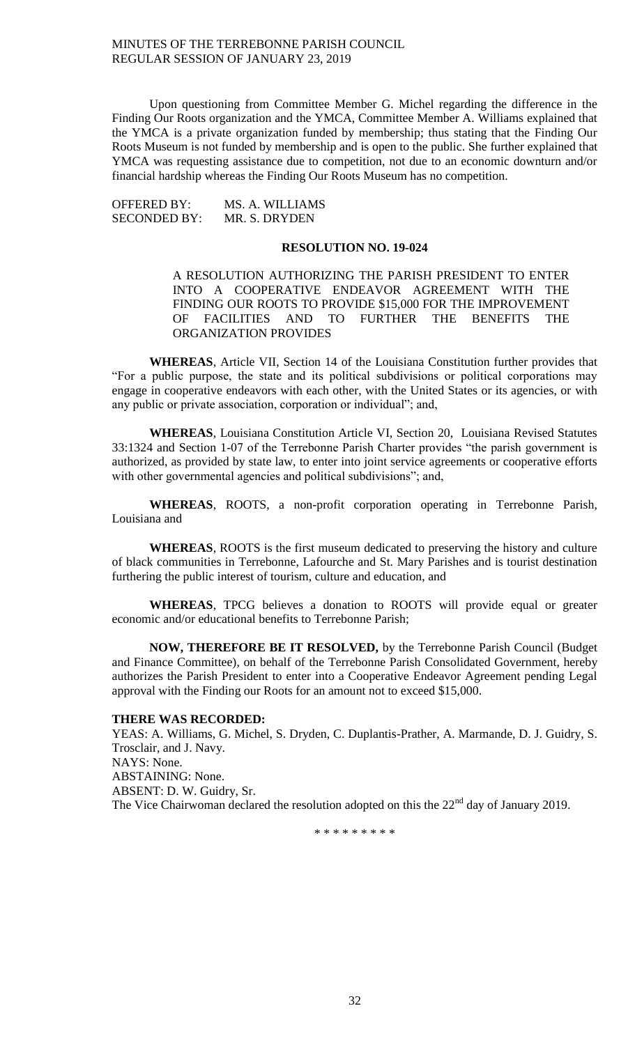Upon questioning from Committee Member G. Michel regarding the difference in the Finding Our Roots organization and the YMCA, Committee Member A. Williams explained that the YMCA is a private organization funded by membership; thus stating that the Finding Our Roots Museum is not funded by membership and is open to the public. She further explained that YMCA was requesting assistance due to competition, not due to an economic downturn and/or financial hardship whereas the Finding Our Roots Museum has no competition.

OFFERED BY: MS. A. WILLIAMS SECONDED BY: MR. S. DRYDEN

## **RESOLUTION NO. 19-024**

A RESOLUTION AUTHORIZING THE PARISH PRESIDENT TO ENTER INTO A COOPERATIVE ENDEAVOR AGREEMENT WITH THE FINDING OUR ROOTS TO PROVIDE \$15,000 FOR THE IMPROVEMENT OF FACILITIES AND TO FURTHER THE BENEFITS THE ORGANIZATION PROVIDES

**WHEREAS**, Article VII, Section 14 of the Louisiana Constitution further provides that "For a public purpose, the state and its political subdivisions or political corporations may engage in cooperative endeavors with each other, with the United States or its agencies, or with any public or private association, corporation or individual"; and,

**WHEREAS**, Louisiana Constitution Article VI, Section 20, Louisiana Revised Statutes 33:1324 and Section 1-07 of the Terrebonne Parish Charter provides "the parish government is authorized, as provided by state law, to enter into joint service agreements or cooperative efforts with other governmental agencies and political subdivisions"; and,

**WHEREAS**, ROOTS, a non-profit corporation operating in Terrebonne Parish, Louisiana and

**WHEREAS**, ROOTS is the first museum dedicated to preserving the history and culture of black communities in Terrebonne, Lafourche and St. Mary Parishes and is tourist destination furthering the public interest of tourism, culture and education, and

**WHEREAS**, TPCG believes a donation to ROOTS will provide equal or greater economic and/or educational benefits to Terrebonne Parish;

**NOW, THEREFORE BE IT RESOLVED,** by the Terrebonne Parish Council (Budget and Finance Committee), on behalf of the Terrebonne Parish Consolidated Government, hereby authorizes the Parish President to enter into a Cooperative Endeavor Agreement pending Legal approval with the Finding our Roots for an amount not to exceed \$15,000.

#### **THERE WAS RECORDED:**

YEAS: A. Williams, G. Michel, S. Dryden, C. Duplantis-Prather, A. Marmande, D. J. Guidry, S. Trosclair, and J. Navy. NAYS: None. ABSTAINING: None. ABSENT: D. W. Guidry, Sr. The Vice Chairwoman declared the resolution adopted on this the  $22<sup>nd</sup>$  day of January 2019.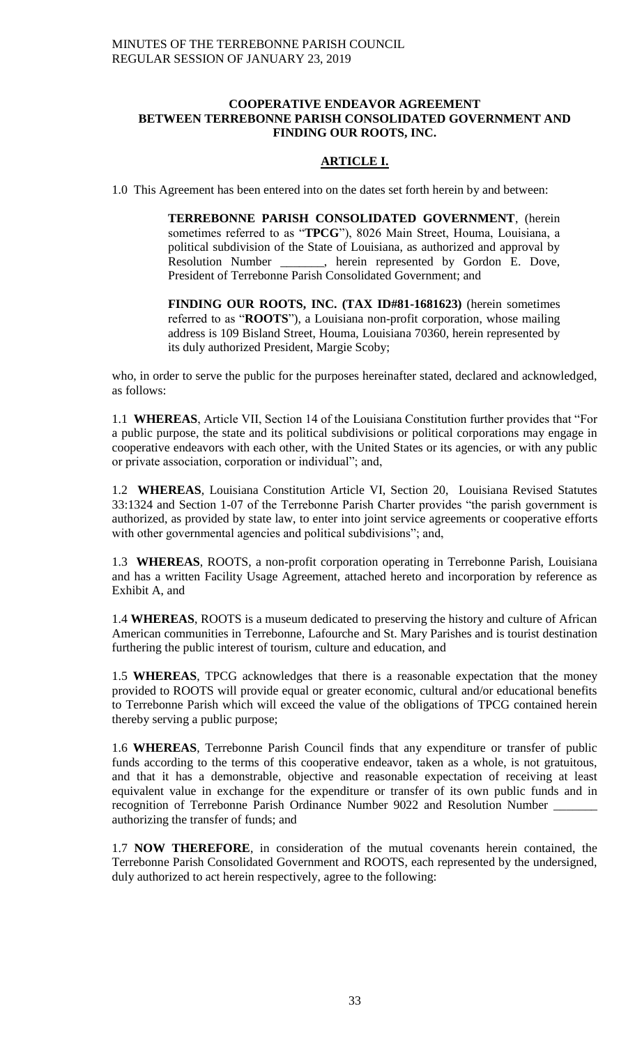## **COOPERATIVE ENDEAVOR AGREEMENT BETWEEN TERREBONNE PARISH CONSOLIDATED GOVERNMENT AND FINDING OUR ROOTS, INC.**

# **ARTICLE I.**

1.0 This Agreement has been entered into on the dates set forth herein by and between:

**TERREBONNE PARISH CONSOLIDATED GOVERNMENT**, (herein sometimes referred to as "**TPCG**"), 8026 Main Street, Houma, Louisiana, a political subdivision of the State of Louisiana, as authorized and approval by Resolution Number \_\_\_\_\_\_\_, herein represented by Gordon E. Dove, President of Terrebonne Parish Consolidated Government; and

**FINDING OUR ROOTS, INC. (TAX ID#81-1681623)** (herein sometimes referred to as "**ROOTS**"), a Louisiana non-profit corporation, whose mailing address is 109 Bisland Street, Houma, Louisiana 70360, herein represented by its duly authorized President, Margie Scoby;

who, in order to serve the public for the purposes hereinafter stated, declared and acknowledged, as follows:

1.1 **WHEREAS**, Article VII, Section 14 of the Louisiana Constitution further provides that "For a public purpose, the state and its political subdivisions or political corporations may engage in cooperative endeavors with each other, with the United States or its agencies, or with any public or private association, corporation or individual"; and,

1.2 **WHEREAS**, Louisiana Constitution Article VI, Section 20, Louisiana Revised Statutes 33:1324 and Section 1-07 of the Terrebonne Parish Charter provides "the parish government is authorized, as provided by state law, to enter into joint service agreements or cooperative efforts with other governmental agencies and political subdivisions"; and,

1.3 **WHEREAS**, ROOTS, a non-profit corporation operating in Terrebonne Parish, Louisiana and has a written Facility Usage Agreement, attached hereto and incorporation by reference as Exhibit A, and

1.4 **WHEREAS**, ROOTS is a museum dedicated to preserving the history and culture of African American communities in Terrebonne, Lafourche and St. Mary Parishes and is tourist destination furthering the public interest of tourism, culture and education, and

1.5 **WHEREAS**, TPCG acknowledges that there is a reasonable expectation that the money provided to ROOTS will provide equal or greater economic, cultural and/or educational benefits to Terrebonne Parish which will exceed the value of the obligations of TPCG contained herein thereby serving a public purpose;

1.6 **WHEREAS**, Terrebonne Parish Council finds that any expenditure or transfer of public funds according to the terms of this cooperative endeavor, taken as a whole, is not gratuitous, and that it has a demonstrable, objective and reasonable expectation of receiving at least equivalent value in exchange for the expenditure or transfer of its own public funds and in recognition of Terrebonne Parish Ordinance Number 9022 and Resolution Number authorizing the transfer of funds; and

1.7 **NOW THEREFORE**, in consideration of the mutual covenants herein contained, the Terrebonne Parish Consolidated Government and ROOTS, each represented by the undersigned, duly authorized to act herein respectively, agree to the following: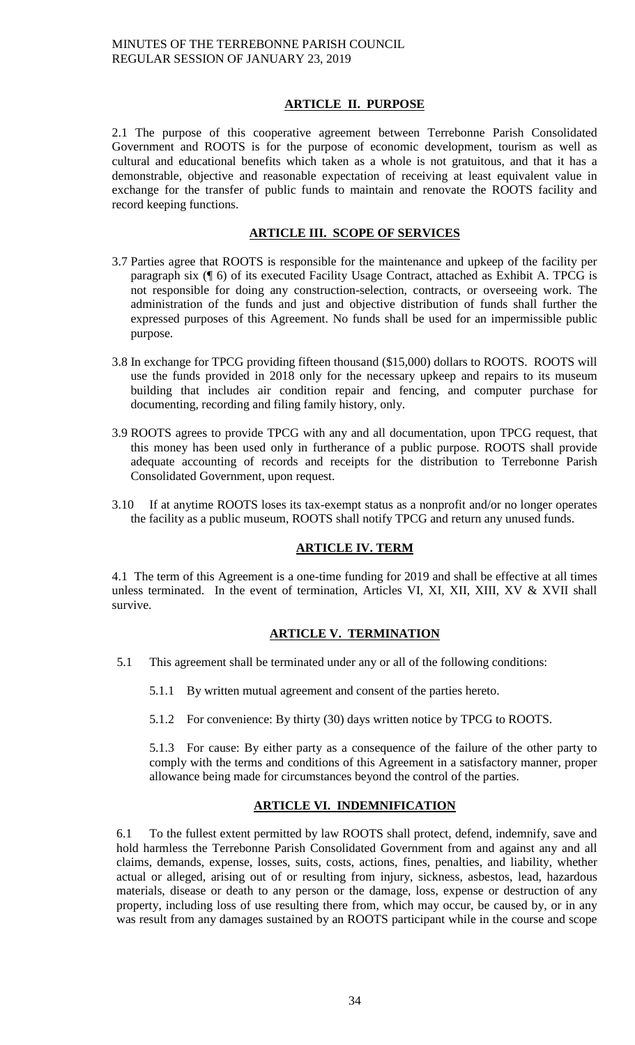# **ARTICLE II. PURPOSE**

2.1 The purpose of this cooperative agreement between Terrebonne Parish Consolidated Government and ROOTS is for the purpose of economic development, tourism as well as cultural and educational benefits which taken as a whole is not gratuitous, and that it has a demonstrable, objective and reasonable expectation of receiving at least equivalent value in exchange for the transfer of public funds to maintain and renovate the ROOTS facility and record keeping functions.

# **ARTICLE III. SCOPE OF SERVICES**

- 3.7 Parties agree that ROOTS is responsible for the maintenance and upkeep of the facility per paragraph six (¶ 6) of its executed Facility Usage Contract, attached as Exhibit A. TPCG is not responsible for doing any construction-selection, contracts, or overseeing work. The administration of the funds and just and objective distribution of funds shall further the expressed purposes of this Agreement. No funds shall be used for an impermissible public purpose.
- 3.8 In exchange for TPCG providing fifteen thousand (\$15,000) dollars to ROOTS. ROOTS will use the funds provided in 2018 only for the necessary upkeep and repairs to its museum building that includes air condition repair and fencing, and computer purchase for documenting, recording and filing family history, only.
- 3.9 ROOTS agrees to provide TPCG with any and all documentation, upon TPCG request, that this money has been used only in furtherance of a public purpose. ROOTS shall provide adequate accounting of records and receipts for the distribution to Terrebonne Parish Consolidated Government, upon request.
- 3.10 If at anytime ROOTS loses its tax-exempt status as a nonprofit and/or no longer operates the facility as a public museum, ROOTS shall notify TPCG and return any unused funds.

# **ARTICLE IV. TERM**

4.1 The term of this Agreement is a one-time funding for 2019 and shall be effective at all times unless terminated. In the event of termination, Articles VI, XI, XII, XIII, XV & XVII shall survive.

# **ARTICLE V. TERMINATION**

- 5.1 This agreement shall be terminated under any or all of the following conditions:
	- 5.1.1 By written mutual agreement and consent of the parties hereto.
	- 5.1.2 For convenience: By thirty (30) days written notice by TPCG to ROOTS.

5.1.3 For cause: By either party as a consequence of the failure of the other party to comply with the terms and conditions of this Agreement in a satisfactory manner, proper allowance being made for circumstances beyond the control of the parties.

# **ARTICLE VI. INDEMNIFICATION**

6.1 To the fullest extent permitted by law ROOTS shall protect, defend, indemnify, save and hold harmless the Terrebonne Parish Consolidated Government from and against any and all claims, demands, expense, losses, suits, costs, actions, fines, penalties, and liability, whether actual or alleged, arising out of or resulting from injury, sickness, asbestos, lead, hazardous materials, disease or death to any person or the damage, loss, expense or destruction of any property, including loss of use resulting there from, which may occur, be caused by, or in any was result from any damages sustained by an ROOTS participant while in the course and scope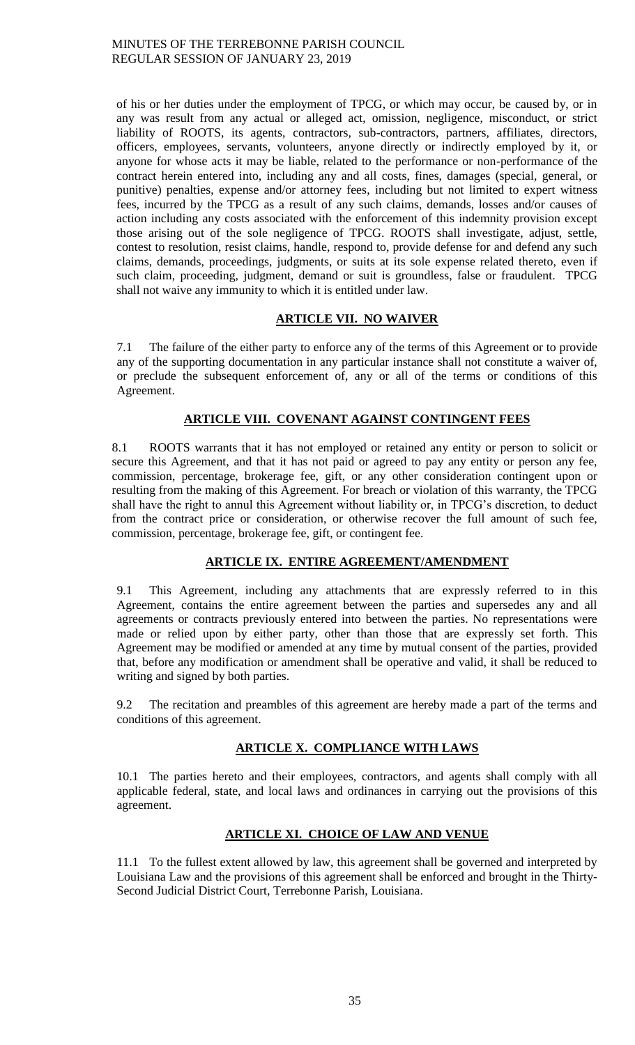of his or her duties under the employment of TPCG, or which may occur, be caused by, or in any was result from any actual or alleged act, omission, negligence, misconduct, or strict liability of ROOTS, its agents, contractors, sub-contractors, partners, affiliates, directors, officers, employees, servants, volunteers, anyone directly or indirectly employed by it, or anyone for whose acts it may be liable, related to the performance or non-performance of the contract herein entered into, including any and all costs, fines, damages (special, general, or punitive) penalties, expense and/or attorney fees, including but not limited to expert witness fees, incurred by the TPCG as a result of any such claims, demands, losses and/or causes of action including any costs associated with the enforcement of this indemnity provision except those arising out of the sole negligence of TPCG. ROOTS shall investigate, adjust, settle, contest to resolution, resist claims, handle, respond to, provide defense for and defend any such claims, demands, proceedings, judgments, or suits at its sole expense related thereto, even if such claim, proceeding, judgment, demand or suit is groundless, false or fraudulent. TPCG shall not waive any immunity to which it is entitled under law.

# **ARTICLE VII. NO WAIVER**

7.1 The failure of the either party to enforce any of the terms of this Agreement or to provide any of the supporting documentation in any particular instance shall not constitute a waiver of, or preclude the subsequent enforcement of, any or all of the terms or conditions of this Agreement.

# **ARTICLE VIII. COVENANT AGAINST CONTINGENT FEES**

8.1 ROOTS warrants that it has not employed or retained any entity or person to solicit or secure this Agreement, and that it has not paid or agreed to pay any entity or person any fee, commission, percentage, brokerage fee, gift, or any other consideration contingent upon or resulting from the making of this Agreement. For breach or violation of this warranty, the TPCG shall have the right to annul this Agreement without liability or, in TPCG's discretion, to deduct from the contract price or consideration, or otherwise recover the full amount of such fee, commission, percentage, brokerage fee, gift, or contingent fee.

# **ARTICLE IX. ENTIRE AGREEMENT/AMENDMENT**

9.1 This Agreement, including any attachments that are expressly referred to in this Agreement, contains the entire agreement between the parties and supersedes any and all agreements or contracts previously entered into between the parties. No representations were made or relied upon by either party, other than those that are expressly set forth. This Agreement may be modified or amended at any time by mutual consent of the parties, provided that, before any modification or amendment shall be operative and valid, it shall be reduced to writing and signed by both parties.

9.2 The recitation and preambles of this agreement are hereby made a part of the terms and conditions of this agreement.

# **ARTICLE X. COMPLIANCE WITH LAWS**

10.1 The parties hereto and their employees, contractors, and agents shall comply with all applicable federal, state, and local laws and ordinances in carrying out the provisions of this agreement.

# **ARTICLE XI. CHOICE OF LAW AND VENUE**

11.1 To the fullest extent allowed by law, this agreement shall be governed and interpreted by Louisiana Law and the provisions of this agreement shall be enforced and brought in the Thirty-Second Judicial District Court, Terrebonne Parish, Louisiana.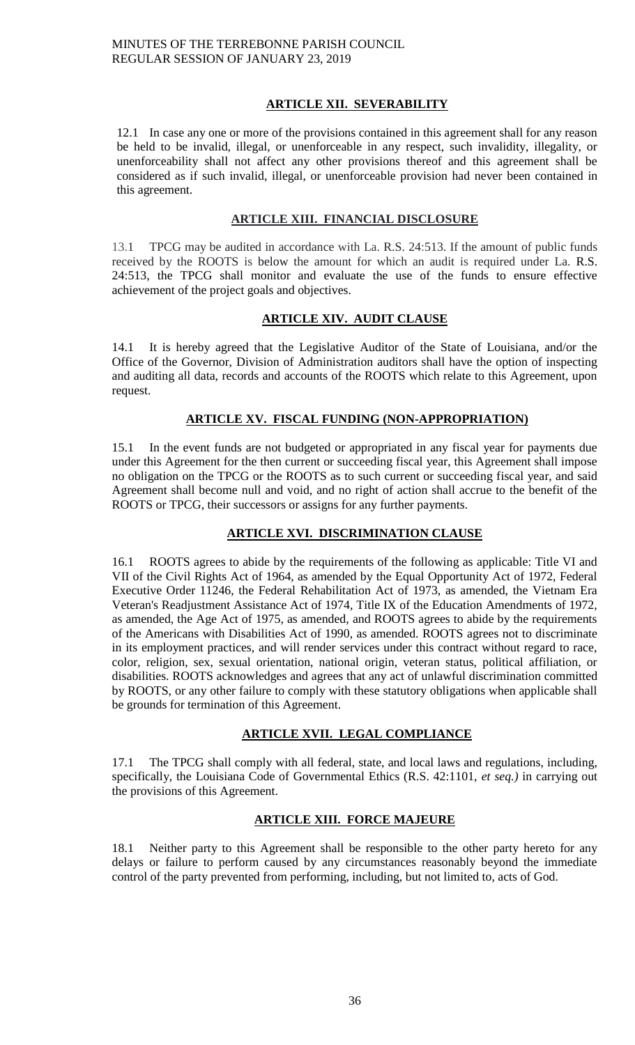# **ARTICLE XII. SEVERABILITY**

12.1 In case any one or more of the provisions contained in this agreement shall for any reason be held to be invalid, illegal, or unenforceable in any respect, such invalidity, illegality, or unenforceability shall not affect any other provisions thereof and this agreement shall be considered as if such invalid, illegal, or unenforceable provision had never been contained in this agreement.

## **ARTICLE XIII. FINANCIAL DISCLOSURE**

13.1 TPCG may be audited in accordance with La. R.S. 24:513. If the amount of public funds received by the ROOTS is below the amount for which an audit is required under La. R.S. 24:513, the TPCG shall monitor and evaluate the use of the funds to ensure effective achievement of the project goals and objectives.

# **ARTICLE XIV. AUDIT CLAUSE**

14.1 It is hereby agreed that the Legislative Auditor of the State of Louisiana, and/or the Office of the Governor, Division of Administration auditors shall have the option of inspecting and auditing all data, records and accounts of the ROOTS which relate to this Agreement, upon request.

# **ARTICLE XV. FISCAL FUNDING (NON-APPROPRIATION)**

15.1 In the event funds are not budgeted or appropriated in any fiscal year for payments due under this Agreement for the then current or succeeding fiscal year, this Agreement shall impose no obligation on the TPCG or the ROOTS as to such current or succeeding fiscal year, and said Agreement shall become null and void, and no right of action shall accrue to the benefit of the ROOTS or TPCG, their successors or assigns for any further payments.

# **ARTICLE XVI. DISCRIMINATION CLAUSE**

16.1 ROOTS agrees to abide by the requirements of the following as applicable: Title VI and VII of the Civil Rights Act of 1964, as amended by the Equal Opportunity Act of 1972, Federal Executive Order 11246, the Federal Rehabilitation Act of 1973, as amended, the Vietnam Era Veteran's Readjustment Assistance Act of 1974, Title IX of the Education Amendments of 1972, as amended, the Age Act of 1975, as amended, and ROOTS agrees to abide by the requirements of the Americans with Disabilities Act of 1990, as amended. ROOTS agrees not to discriminate in its employment practices, and will render services under this contract without regard to race, color, religion, sex, sexual orientation, national origin, veteran status, political affiliation, or disabilities. ROOTS acknowledges and agrees that any act of unlawful discrimination committed by ROOTS, or any other failure to comply with these statutory obligations when applicable shall be grounds for termination of this Agreement.

# **ARTICLE XVII. LEGAL COMPLIANCE**

17.1 The TPCG shall comply with all federal, state, and local laws and regulations, including, specifically, the Louisiana Code of Governmental Ethics (R.S. 42:1101, *et seq.)* in carrying out the provisions of this Agreement.

# **ARTICLE XIII. FORCE MAJEURE**

18.1 Neither party to this Agreement shall be responsible to the other party hereto for any delays or failure to perform caused by any circumstances reasonably beyond the immediate control of the party prevented from performing, including, but not limited to, acts of God.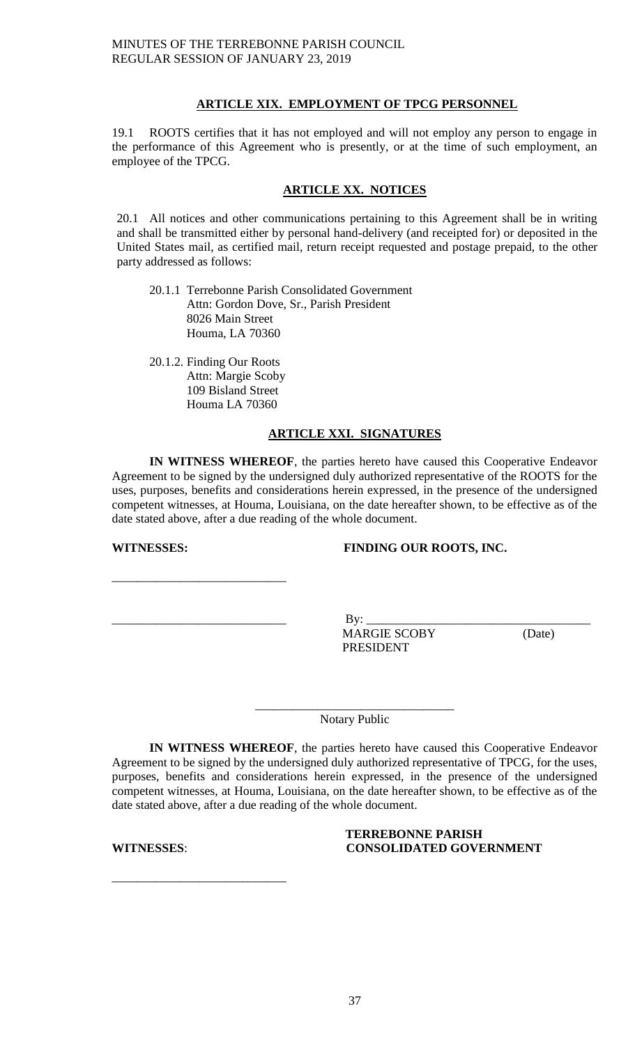# **ARTICLE XIX. EMPLOYMENT OF TPCG PERSONNEL**

19.1 ROOTS certifies that it has not employed and will not employ any person to engage in the performance of this Agreement who is presently, or at the time of such employment, an employee of the TPCG.

# **ARTICLE XX. NOTICES**

20.1 All notices and other communications pertaining to this Agreement shall be in writing and shall be transmitted either by personal hand-delivery (and receipted for) or deposited in the United States mail, as certified mail, return receipt requested and postage prepaid, to the other party addressed as follows:

20.1.1 Terrebonne Parish Consolidated Government Attn: Gordon Dove, Sr., Parish President 8026 Main Street Houma, LA 70360

20.1.2. Finding Our Roots Attn: Margie Scoby 109 Bisland Street Houma LA 70360

# **ARTICLE XXI. SIGNATURES**

**IN WITNESS WHEREOF**, the parties hereto have caused this Cooperative Endeavor Agreement to be signed by the undersigned duly authorized representative of the ROOTS for the uses, purposes, benefits and considerations herein expressed, in the presence of the undersigned competent witnesses, at Houma, Louisiana, on the date hereafter shown, to be effective as of the date stated above, after a due reading of the whole document.

\_\_\_\_\_\_\_\_\_\_\_\_\_\_\_\_\_\_\_\_\_\_\_\_\_\_\_\_

# **WITNESSES: FINDING OUR ROOTS, INC.**

\_\_\_\_\_\_\_\_\_\_\_\_\_\_\_\_\_\_\_\_\_\_\_\_\_\_\_\_ By: \_\_\_\_\_\_\_\_\_\_\_\_\_\_\_\_\_\_\_\_\_\_\_\_\_\_\_\_\_\_\_\_\_\_\_\_ MARGIE SCOBY (Date) PRESIDENT

\_\_\_\_\_\_\_\_\_\_\_\_\_\_\_\_\_\_\_\_\_\_\_\_\_\_\_\_\_\_\_\_ Notary Public

**IN WITNESS WHEREOF**, the parties hereto have caused this Cooperative Endeavor Agreement to be signed by the undersigned duly authorized representative of TPCG, for the uses, purposes, benefits and considerations herein expressed, in the presence of the undersigned competent witnesses, at Houma, Louisiana, on the date hereafter shown, to be effective as of the date stated above, after a due reading of the whole document.

\_\_\_\_\_\_\_\_\_\_\_\_\_\_\_\_\_\_\_\_\_\_\_\_\_\_\_\_

## **TERREBONNE PARISH WITNESSES**: **CONSOLIDATED GOVERNMENT**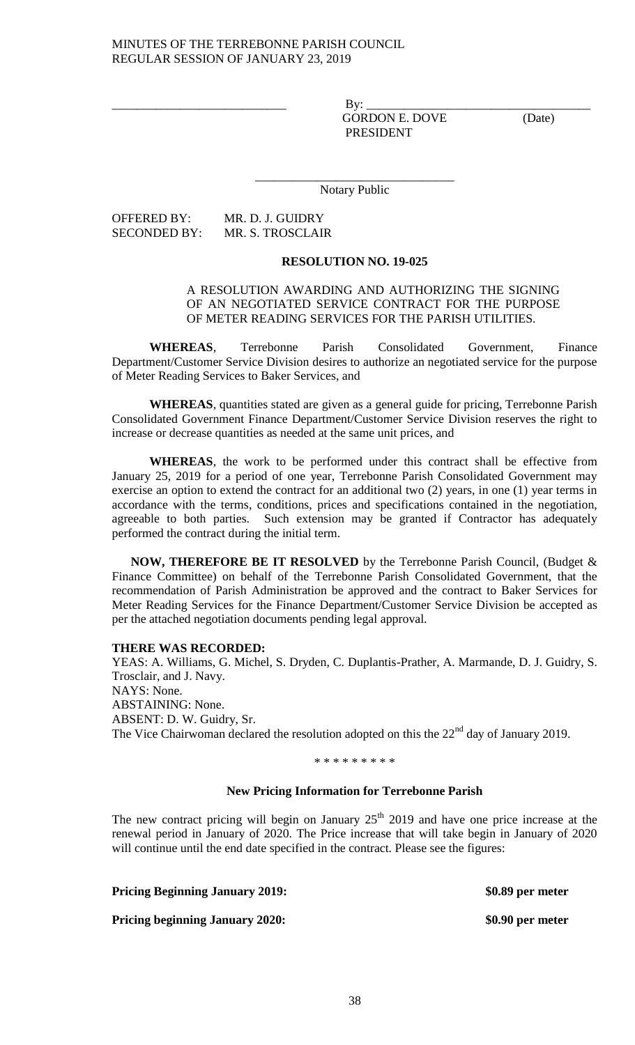\_\_\_\_\_\_\_\_\_\_\_\_\_\_\_\_\_\_\_\_\_\_\_\_\_\_\_\_ By: \_\_\_\_\_\_\_\_\_\_\_\_\_\_\_\_\_\_\_\_\_\_\_\_\_\_\_\_\_\_\_\_\_\_\_\_ GORDON E. DOVE (Date) PRESIDENT

\_\_\_\_\_\_\_\_\_\_\_\_\_\_\_\_\_\_\_\_\_\_\_\_\_\_\_\_\_\_\_\_ Notary Public

OFFERED BY: MR. D. J. GUIDRY SECONDED BY: MR. S. TROSCLAIR

## **RESOLUTION NO. 19-025**

# A RESOLUTION AWARDING AND AUTHORIZING THE SIGNING OF AN NEGOTIATED SERVICE CONTRACT FOR THE PURPOSE OF METER READING SERVICES FOR THE PARISH UTILITIES.

**WHEREAS**, Terrebonne Parish Consolidated Government, Finance Department/Customer Service Division desires to authorize an negotiated service for the purpose of Meter Reading Services to Baker Services, and

**WHEREAS**, quantities stated are given as a general guide for pricing, Terrebonne Parish Consolidated Government Finance Department/Customer Service Division reserves the right to increase or decrease quantities as needed at the same unit prices, and

**WHEREAS**, the work to be performed under this contract shall be effective from January 25, 2019 for a period of one year, Terrebonne Parish Consolidated Government may exercise an option to extend the contract for an additional two (2) years, in one (1) year terms in accordance with the terms, conditions, prices and specifications contained in the negotiation, agreeable to both parties. Such extension may be granted if Contractor has adequately performed the contract during the initial term.

**NOW, THEREFORE BE IT RESOLVED** by the Terrebonne Parish Council, (Budget & Finance Committee) on behalf of the Terrebonne Parish Consolidated Government, that the recommendation of Parish Administration be approved and the contract to Baker Services for Meter Reading Services for the Finance Department/Customer Service Division be accepted as per the attached negotiation documents pending legal approval.

# **THERE WAS RECORDED:**

YEAS: A. Williams, G. Michel, S. Dryden, C. Duplantis-Prather, A. Marmande, D. J. Guidry, S. Trosclair, and J. Navy. NAYS: None. ABSTAINING: None. ABSENT: D. W. Guidry, Sr. The Vice Chairwoman declared the resolution adopted on this the  $22<sup>nd</sup>$  day of January 2019.

\* \* \* \* \* \* \* \* \*

# **New Pricing Information for Terrebonne Parish**

The new contract pricing will begin on January  $25<sup>th</sup>$  2019 and have one price increase at the renewal period in January of 2020. The Price increase that will take begin in January of 2020 will continue until the end date specified in the contract. Please see the figures:

**Pricing Beginning January 2019: \$0.89 per meter Pricing beginning January 2020: \$0.90 per meter**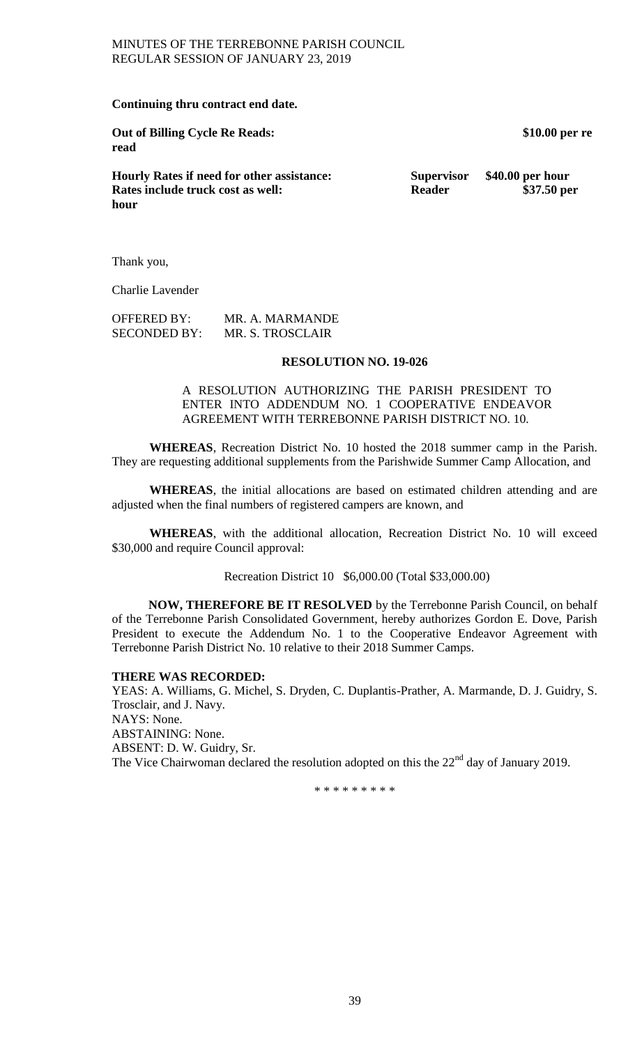## **Continuing thru contract end date.**

**Out of Billing Cycle Re Reads: \$10.00 per re read**

**Hourly Rates if need for other assistance: Supervisor \$40.00 per hour Rates include truck cost as well: Reader Reader** \$37.50 per **hour** 

Thank you,

Charlie Lavender

| <b>OFFERED BY:</b>  | MR. A. MARMANDE  |
|---------------------|------------------|
| <b>SECONDED BY:</b> | MR. S. TROSCLAIR |

## **RESOLUTION NO. 19-026**

A RESOLUTION AUTHORIZING THE PARISH PRESIDENT TO ENTER INTO ADDENDUM NO. 1 COOPERATIVE ENDEAVOR AGREEMENT WITH TERREBONNE PARISH DISTRICT NO. 10.

**WHEREAS**, Recreation District No. 10 hosted the 2018 summer camp in the Parish. They are requesting additional supplements from the Parishwide Summer Camp Allocation, and

**WHEREAS**, the initial allocations are based on estimated children attending and are adjusted when the final numbers of registered campers are known, and

**WHEREAS**, with the additional allocation, Recreation District No. 10 will exceed \$30,000 and require Council approval:

Recreation District 10 \$6,000.00 (Total \$33,000.00)

**NOW, THEREFORE BE IT RESOLVED** by the Terrebonne Parish Council, on behalf of the Terrebonne Parish Consolidated Government, hereby authorizes Gordon E. Dove, Parish President to execute the Addendum No. 1 to the Cooperative Endeavor Agreement with Terrebonne Parish District No. 10 relative to their 2018 Summer Camps.

## **THERE WAS RECORDED:**

YEAS: A. Williams, G. Michel, S. Dryden, C. Duplantis-Prather, A. Marmande, D. J. Guidry, S. Trosclair, and J. Navy. NAYS: None. ABSTAINING: None. ABSENT: D. W. Guidry, Sr. The Vice Chairwoman declared the resolution adopted on this the 22<sup>nd</sup> day of January 2019.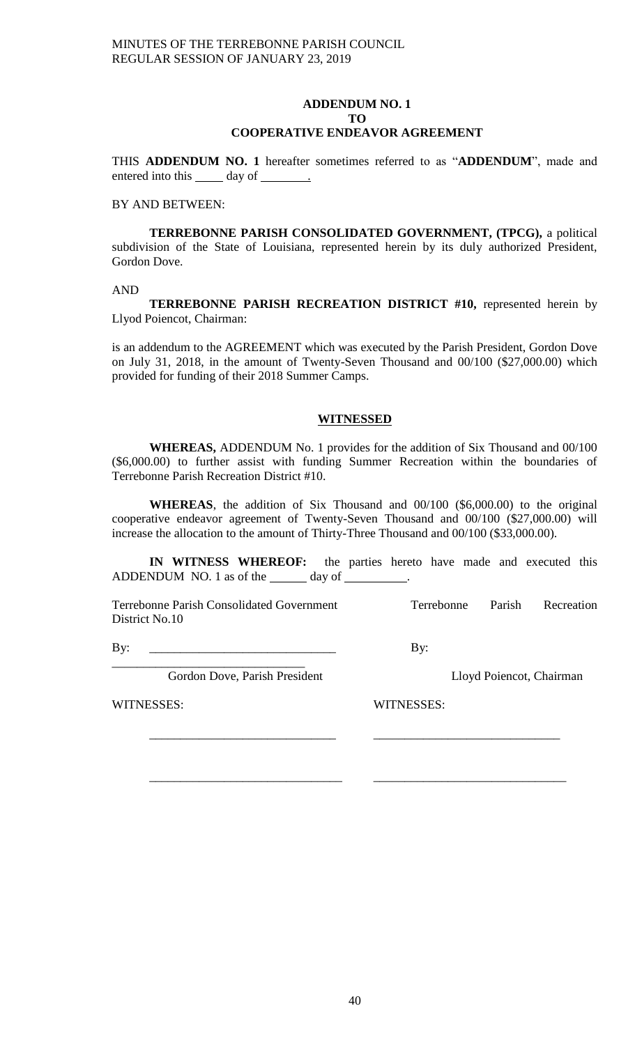## **ADDENDUM NO. 1 TO COOPERATIVE ENDEAVOR AGREEMENT**

THIS **ADDENDUM NO. 1** hereafter sometimes referred to as "**ADDENDUM**", made and entered into this \_\_\_\_\_\_ day of \_\_\_\_\_\_\_\_.

## BY AND BETWEEN:

**TERREBONNE PARISH CONSOLIDATED GOVERNMENT, (TPCG),** a political subdivision of the State of Louisiana, represented herein by its duly authorized President, Gordon Dove.

AND

**TERREBONNE PARISH RECREATION DISTRICT #10, represented herein by** Llyod Poiencot, Chairman:

is an addendum to the AGREEMENT which was executed by the Parish President, Gordon Dove on July 31, 2018, in the amount of Twenty-Seven Thousand and 00/100 (\$27,000.00) which provided for funding of their 2018 Summer Camps.

# **WITNESSED**

**WHEREAS,** ADDENDUM No. 1 provides for the addition of Six Thousand and 00/100 (\$6,000.00) to further assist with funding Summer Recreation within the boundaries of Terrebonne Parish Recreation District #10.

**WHEREAS**, the addition of Six Thousand and 00/100 (\$6,000.00) to the original cooperative endeavor agreement of Twenty-Seven Thousand and 00/100 (\$27,000.00) will increase the allocation to the amount of Thirty-Three Thousand and 00/100 (\$33,000.00).

**IN WITNESS WHEREOF:** the parties hereto have made and executed this ADDENDUM NO. 1 as of the \_\_\_\_\_\_ day of \_\_\_\_\_\_\_\_.

\_\_\_\_\_\_\_\_\_\_\_\_\_\_\_\_\_\_\_\_\_\_\_\_\_\_\_\_\_\_ \_\_\_\_\_\_\_\_\_\_\_\_\_\_\_\_\_\_\_\_\_\_\_\_\_\_\_\_\_\_

\_\_\_\_\_\_\_\_\_\_\_\_\_\_\_\_\_\_\_\_\_\_\_\_\_\_\_\_\_\_\_ \_\_\_\_\_\_\_\_\_\_\_\_\_\_\_\_\_\_\_\_\_\_\_\_\_\_\_\_\_\_\_

Terrebonne Parish Consolidated Government Terrebonne Parish Recreation District No.10

By: \_\_\_\_\_\_\_\_\_\_\_\_\_\_\_\_\_\_\_\_\_\_\_\_\_\_\_\_\_\_ By:

\_\_\_\_\_\_\_\_\_\_\_\_\_\_\_\_\_\_\_\_\_\_\_\_\_\_\_\_\_\_\_ Gordon Dove, Parish President Lloyd Poiencot, Chairman

WITNESSES: WITNESSES: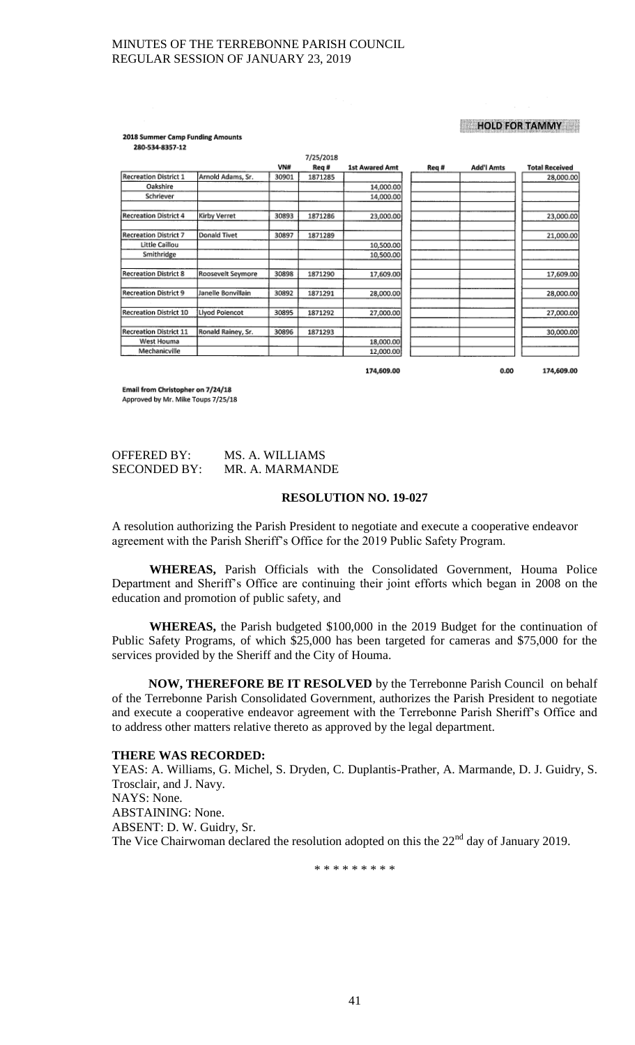## **HOLD FOR TAMMY**

 $0.00$ 

174,609.00

2018 Summer Camp Funding Amounts 280-534-8357-12

|                               |                    |       | 7/25/2018 |                       |       |                   |                       |
|-------------------------------|--------------------|-------|-----------|-----------------------|-------|-------------------|-----------------------|
|                               |                    | VN#   | Req #     | <b>1st Awared Amt</b> | Req # | <b>Add'l Amts</b> | <b>Total Received</b> |
| <b>Recreation District 1</b>  | Arnold Adams, Sr.  | 30901 | 1871285   |                       |       |                   | 28,000.00             |
| Oakshire                      |                    |       |           | 14,000.00             |       |                   |                       |
| Schriever                     |                    |       |           | 14,000.00             |       |                   |                       |
| <b>Recreation District 4</b>  | Kirby Verret       | 30893 | 1871286   | 23,000.00             |       |                   | 23,000.00             |
| Recreation District 7         | Donald Tivet       | 30897 | 1871289   |                       |       |                   | 21,000.00             |
| Little Caillou                |                    |       |           | 10,500.00             |       |                   |                       |
| Smithridge                    |                    |       |           | 10,500.00             |       |                   |                       |
| <b>Recreation District 8</b>  | Roosevelt Seymore  | 30898 | 1871290   | 17,609.00             |       |                   | 17,609.00             |
| <b>Recreation District 9</b>  | Janelle Bonvillain | 30892 | 1871291   | 28,000.00             |       |                   | 28,000.00             |
| <b>Recreation District 10</b> | Llyod Poiencot     | 30895 | 1871292   | 27,000.00             |       |                   | 27,000.00             |
| <b>Recreation District 11</b> | Ronald Rainey, Sr. | 30896 | 1871293   |                       |       |                   | 30,000.00             |
| West Houma                    |                    |       |           | 18,000.00             |       |                   |                       |
| Mechanicville                 |                    |       |           | 12,000.00             |       |                   |                       |

174,609.00

Email from Christopher on 7/24/18 Approved by Mr. Mike Toups 7/25/18

| <b>OFFERED BY:</b>  | MS. A. WILLIAMS |
|---------------------|-----------------|
| <b>SECONDED BY:</b> | MR. A. MARMANDE |

#### **RESOLUTION NO. 19-027**

A resolution authorizing the Parish President to negotiate and execute a cooperative endeavor agreement with the Parish Sheriff's Office for the 2019 Public Safety Program.

**WHEREAS,** Parish Officials with the Consolidated Government, Houma Police Department and Sheriff's Office are continuing their joint efforts which began in 2008 on the education and promotion of public safety, and

**WHEREAS,** the Parish budgeted \$100,000 in the 2019 Budget for the continuation of Public Safety Programs, of which \$25,000 has been targeted for cameras and \$75,000 for the services provided by the Sheriff and the City of Houma.

**NOW, THEREFORE BE IT RESOLVED** by the Terrebonne Parish Council on behalf of the Terrebonne Parish Consolidated Government, authorizes the Parish President to negotiate and execute a cooperative endeavor agreement with the Terrebonne Parish Sheriff's Office and to address other matters relative thereto as approved by the legal department.

## **THERE WAS RECORDED:**

YEAS: A. Williams, G. Michel, S. Dryden, C. Duplantis-Prather, A. Marmande, D. J. Guidry, S. Trosclair, and J. Navy. NAYS: None. ABSTAINING: None. ABSENT: D. W. Guidry, Sr. The Vice Chairwoman declared the resolution adopted on this the 22<sup>nd</sup> day of January 2019.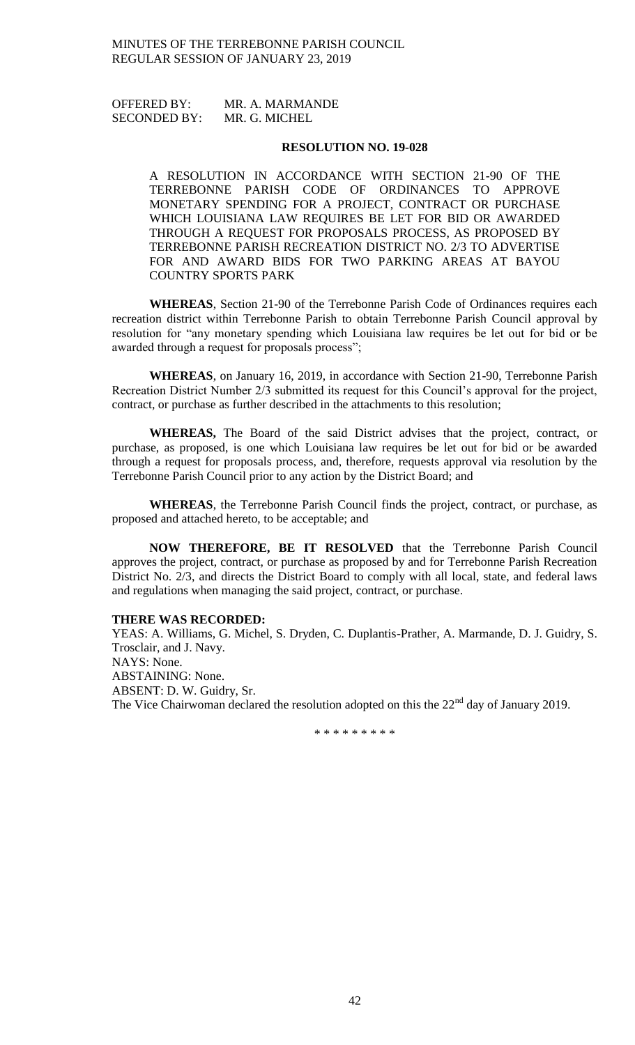OFFERED BY: MR. A. MARMANDE SECONDED BY: MR. G. MICHEL

## **RESOLUTION NO. 19-028**

A RESOLUTION IN ACCORDANCE WITH SECTION 21-90 OF THE TERREBONNE PARISH CODE OF ORDINANCES TO APPROVE MONETARY SPENDING FOR A PROJECT, CONTRACT OR PURCHASE WHICH LOUISIANA LAW REQUIRES BE LET FOR BID OR AWARDED THROUGH A REQUEST FOR PROPOSALS PROCESS, AS PROPOSED BY TERREBONNE PARISH RECREATION DISTRICT NO. 2/3 TO ADVERTISE FOR AND AWARD BIDS FOR TWO PARKING AREAS AT BAYOU COUNTRY SPORTS PARK

**WHEREAS**, Section 21-90 of the Terrebonne Parish Code of Ordinances requires each recreation district within Terrebonne Parish to obtain Terrebonne Parish Council approval by resolution for "any monetary spending which Louisiana law requires be let out for bid or be awarded through a request for proposals process";

**WHEREAS**, on January 16, 2019, in accordance with Section 21-90, Terrebonne Parish Recreation District Number 2/3 submitted its request for this Council's approval for the project, contract, or purchase as further described in the attachments to this resolution;

**WHEREAS,** The Board of the said District advises that the project, contract, or purchase, as proposed, is one which Louisiana law requires be let out for bid or be awarded through a request for proposals process, and, therefore, requests approval via resolution by the Terrebonne Parish Council prior to any action by the District Board; and

**WHEREAS**, the Terrebonne Parish Council finds the project, contract, or purchase, as proposed and attached hereto, to be acceptable; and

**NOW THEREFORE, BE IT RESOLVED** that the Terrebonne Parish Council approves the project, contract, or purchase as proposed by and for Terrebonne Parish Recreation District No. 2/3, and directs the District Board to comply with all local, state, and federal laws and regulations when managing the said project, contract, or purchase.

#### **THERE WAS RECORDED:**

YEAS: A. Williams, G. Michel, S. Dryden, C. Duplantis-Prather, A. Marmande, D. J. Guidry, S. Trosclair, and J. Navy. NAYS: None. ABSTAINING: None. ABSENT: D. W. Guidry, Sr. The Vice Chairwoman declared the resolution adopted on this the  $22<sup>nd</sup>$  day of January 2019.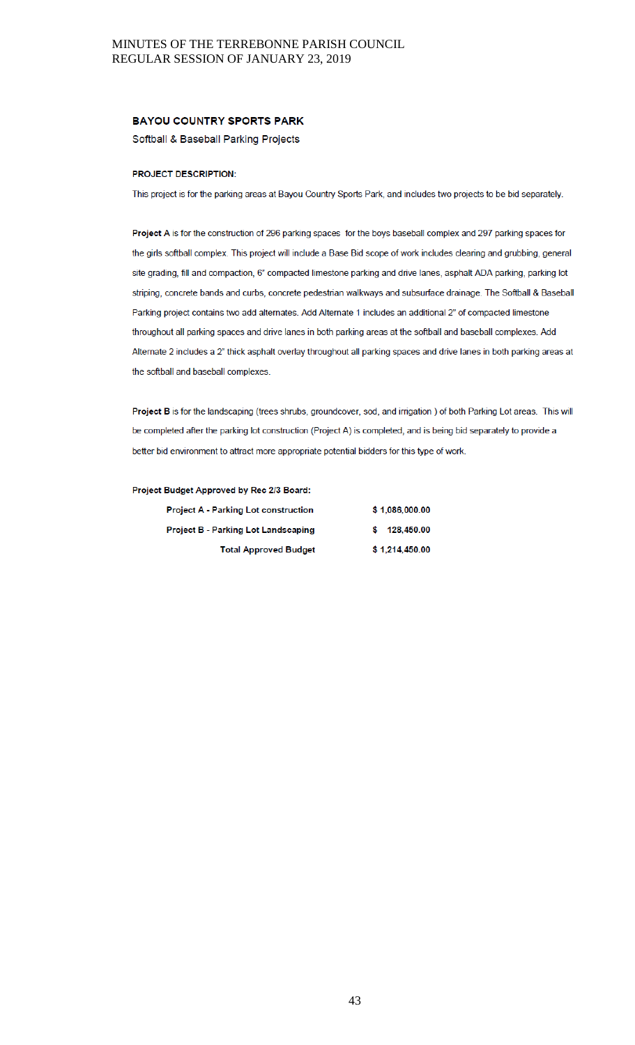#### **BAYOU COUNTRY SPORTS PARK**

Softball & Baseball Parking Projects

#### PROJECT DESCRIPTION:

This project is for the parking areas at Bayou Country Sports Park, and includes two projects to be bid separately.

Project A is for the construction of 296 parking spaces for the boys baseball complex and 297 parking spaces for the girls softball complex. This project will include a Base Bid scope of work includes clearing and grubbing, general site grading, fill and compaction, 6" compacted limestone parking and drive lanes, asphalt ADA parking, parking lot striping, concrete bands and curbs, concrete pedestrian walkways and subsurface drainage. The Softball & Baseball Parking project contains two add alternates. Add Alternate 1 includes an additional 2" of compacted limestone throughout all parking spaces and drive lanes in both parking areas at the softball and baseball complexes. Add Alternate 2 includes a 2" thick asphalt overlay throughout all parking spaces and drive lanes in both parking areas at the softball and baseball complexes.

Project B is for the landscaping (trees shrubs, groundcover, sod, and irrigation ) of both Parking Lot areas. This will be completed after the parking lot construction (Project A) is completed, and is being bid separately to provide a better bid environment to attract more appropriate potential bidders for this type of work.

#### Project Budget Approved by Rec 2/3 Board:

| <b>Project A - Parking Lot construction</b> | \$1.086,000.00   |  |  |
|---------------------------------------------|------------------|--|--|
| <b>Project B - Parking Lot Landscaping</b>  | 128.450.00<br>s. |  |  |
| <b>Total Approved Budget</b>                | \$1,214,450.00   |  |  |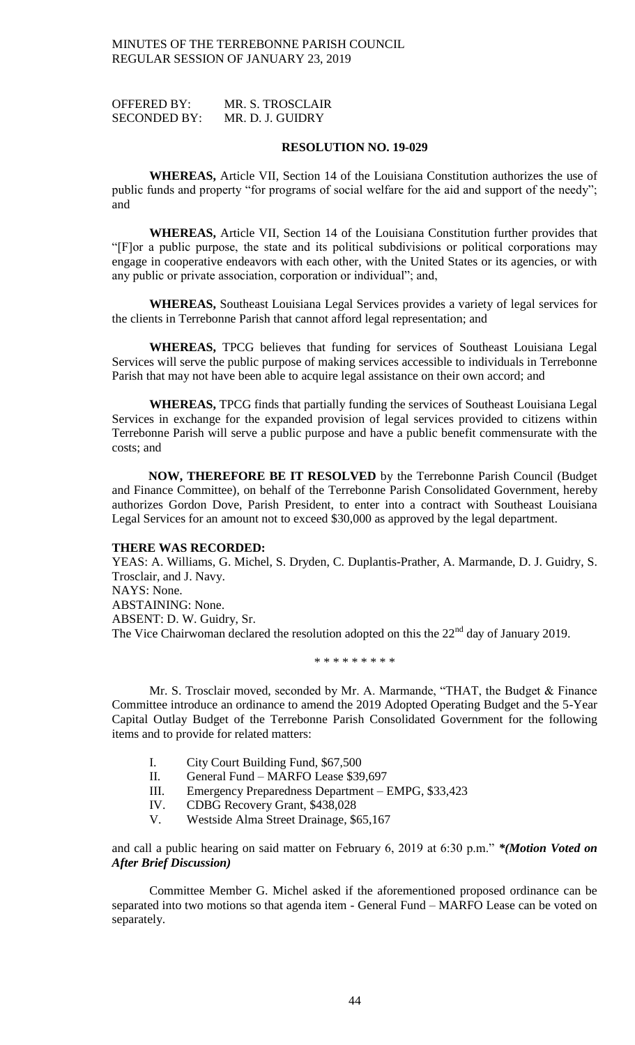OFFERED BY: MR. S. TROSCLAIR SECONDED BY: MR. D. J. GUIDRY

#### **RESOLUTION NO. 19-029**

**WHEREAS,** Article VII, Section 14 of the Louisiana Constitution authorizes the use of public funds and property "for programs of social welfare for the aid and support of the needy"; and

**WHEREAS,** Article VII, Section 14 of the Louisiana Constitution further provides that "[F]or a public purpose, the state and its political subdivisions or political corporations may engage in cooperative endeavors with each other, with the United States or its agencies, or with any public or private association, corporation or individual"; and,

**WHEREAS,** Southeast Louisiana Legal Services provides a variety of legal services for the clients in Terrebonne Parish that cannot afford legal representation; and

**WHEREAS,** TPCG believes that funding for services of Southeast Louisiana Legal Services will serve the public purpose of making services accessible to individuals in Terrebonne Parish that may not have been able to acquire legal assistance on their own accord; and

**WHEREAS,** TPCG finds that partially funding the services of Southeast Louisiana Legal Services in exchange for the expanded provision of legal services provided to citizens within Terrebonne Parish will serve a public purpose and have a public benefit commensurate with the costs; and

**NOW, THEREFORE BE IT RESOLVED** by the Terrebonne Parish Council (Budget and Finance Committee), on behalf of the Terrebonne Parish Consolidated Government, hereby authorizes Gordon Dove, Parish President, to enter into a contract with Southeast Louisiana Legal Services for an amount not to exceed \$30,000 as approved by the legal department.

### **THERE WAS RECORDED:**

YEAS: A. Williams, G. Michel, S. Dryden, C. Duplantis-Prather, A. Marmande, D. J. Guidry, S. Trosclair, and J. Navy.

NAYS: None. ABSTAINING: None. ABSENT: D. W. Guidry, Sr. The Vice Chairwoman declared the resolution adopted on this the  $22<sup>nd</sup>$  day of January 2019.

## \* \* \* \* \* \* \* \* \*

Mr. S. Trosclair moved, seconded by Mr. A. Marmande, "THAT, the Budget & Finance Committee introduce an ordinance to amend the 2019 Adopted Operating Budget and the 5-Year Capital Outlay Budget of the Terrebonne Parish Consolidated Government for the following items and to provide for related matters:

- I. City Court Building Fund, \$67,500
- II. General Fund MARFO Lease \$39,697
- III. Emergency Preparedness Department EMPG, \$33,423
- IV. CDBG Recovery Grant, \$438,028
- V. Westside Alma Street Drainage, \$65,167

and call a public hearing on said matter on February 6, 2019 at 6:30 p.m." *\*(Motion Voted on After Brief Discussion)*

Committee Member G. Michel asked if the aforementioned proposed ordinance can be separated into two motions so that agenda item - General Fund – MARFO Lease can be voted on separately.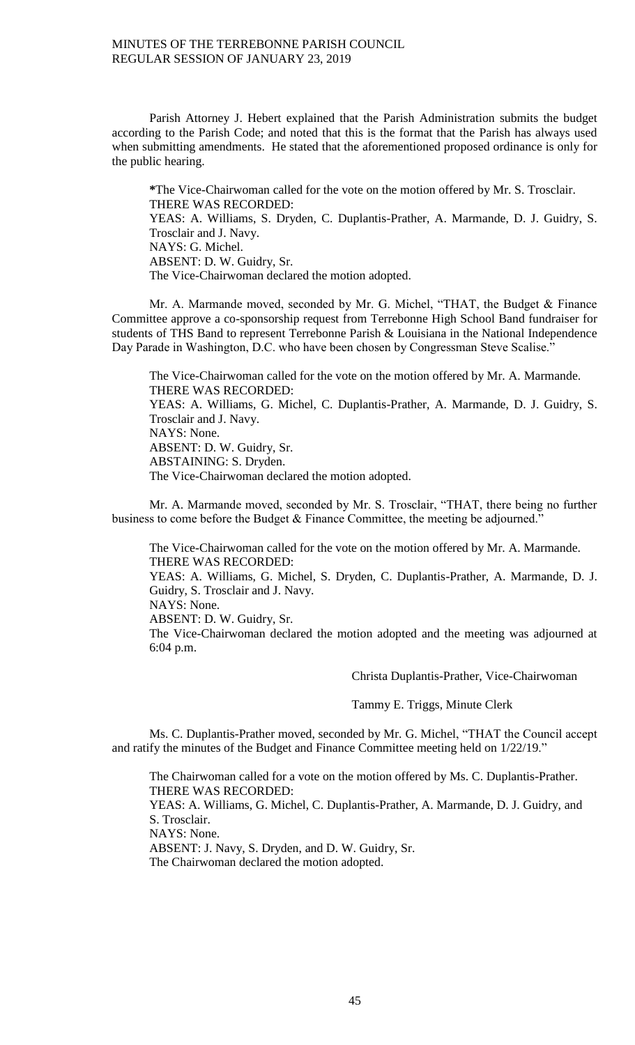Parish Attorney J. Hebert explained that the Parish Administration submits the budget according to the Parish Code; and noted that this is the format that the Parish has always used when submitting amendments. He stated that the aforementioned proposed ordinance is only for the public hearing.

**\***The Vice-Chairwoman called for the vote on the motion offered by Mr. S. Trosclair. THERE WAS RECORDED: YEAS: A. Williams, S. Dryden, C. Duplantis-Prather, A. Marmande, D. J. Guidry, S. Trosclair and J. Navy. NAYS: G. Michel. ABSENT: D. W. Guidry, Sr. The Vice-Chairwoman declared the motion adopted.

Mr. A. Marmande moved, seconded by Mr. G. Michel, "THAT, the Budget & Finance Committee approve a co-sponsorship request from Terrebonne High School Band fundraiser for students of THS Band to represent Terrebonne Parish & Louisiana in the National Independence Day Parade in Washington, D.C. who have been chosen by Congressman Steve Scalise."

The Vice-Chairwoman called for the vote on the motion offered by Mr. A. Marmande. THERE WAS RECORDED: YEAS: A. Williams, G. Michel, C. Duplantis-Prather, A. Marmande, D. J. Guidry, S. Trosclair and J. Navy. NAYS: None. ABSENT: D. W. Guidry, Sr. ABSTAINING: S. Dryden. The Vice-Chairwoman declared the motion adopted.

Mr. A. Marmande moved, seconded by Mr. S. Trosclair, "THAT, there being no further business to come before the Budget & Finance Committee, the meeting be adjourned."

The Vice-Chairwoman called for the vote on the motion offered by Mr. A. Marmande. THERE WAS RECORDED: YEAS: A. Williams, G. Michel, S. Dryden, C. Duplantis-Prather, A. Marmande, D. J. Guidry, S. Trosclair and J. Navy. NAYS: None. ABSENT: D. W. Guidry, Sr. The Vice-Chairwoman declared the motion adopted and the meeting was adjourned at 6:04 p.m.

Christa Duplantis-Prather, Vice-Chairwoman

Tammy E. Triggs, Minute Clerk

Ms. C. Duplantis-Prather moved, seconded by Mr. G. Michel, "THAT the Council accept and ratify the minutes of the Budget and Finance Committee meeting held on 1/22/19."

The Chairwoman called for a vote on the motion offered by Ms. C. Duplantis-Prather. THERE WAS RECORDED:

YEAS: A. Williams, G. Michel, C. Duplantis-Prather, A. Marmande, D. J. Guidry, and S. Trosclair.

NAYS: None.

ABSENT: J. Navy, S. Dryden, and D. W. Guidry, Sr.

The Chairwoman declared the motion adopted.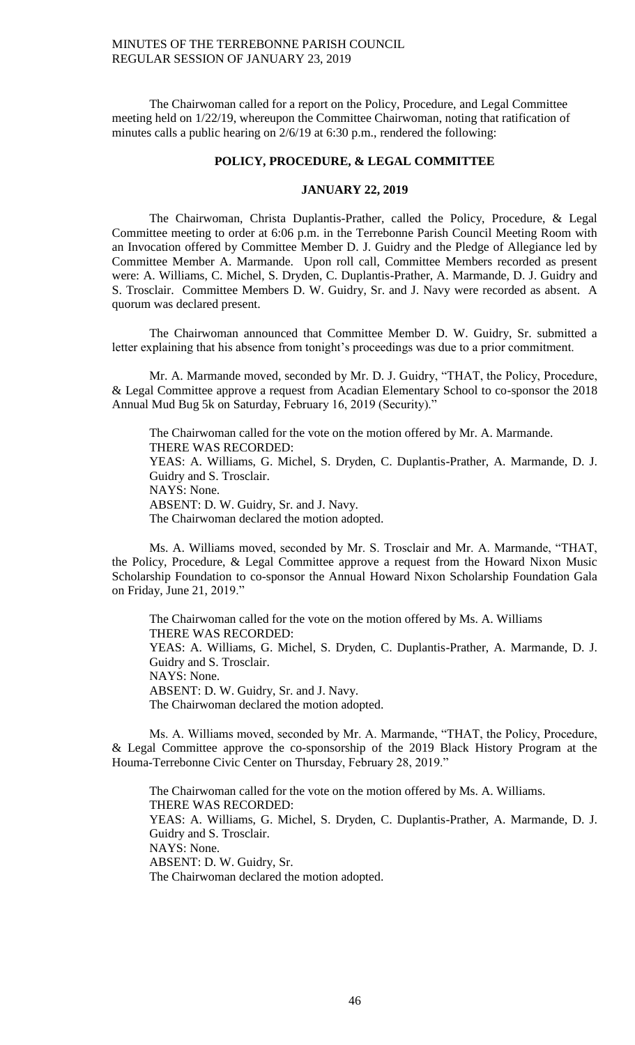The Chairwoman called for a report on the Policy, Procedure, and Legal Committee meeting held on 1/22/19, whereupon the Committee Chairwoman, noting that ratification of minutes calls a public hearing on 2/6/19 at 6:30 p.m., rendered the following:

## **POLICY, PROCEDURE, & LEGAL COMMITTEE**

#### **JANUARY 22, 2019**

The Chairwoman, Christa Duplantis-Prather, called the Policy, Procedure, & Legal Committee meeting to order at 6:06 p.m. in the Terrebonne Parish Council Meeting Room with an Invocation offered by Committee Member D. J. Guidry and the Pledge of Allegiance led by Committee Member A. Marmande. Upon roll call, Committee Members recorded as present were: A. Williams, C. Michel, S. Dryden, C. Duplantis-Prather, A. Marmande, D. J. Guidry and S. Trosclair. Committee Members D. W. Guidry, Sr. and J. Navy were recorded as absent. A quorum was declared present.

The Chairwoman announced that Committee Member D. W. Guidry, Sr. submitted a letter explaining that his absence from tonight's proceedings was due to a prior commitment.

Mr. A. Marmande moved, seconded by Mr. D. J. Guidry, "THAT, the Policy, Procedure, & Legal Committee approve a request from Acadian Elementary School to co-sponsor the 2018 Annual Mud Bug 5k on Saturday, February 16, 2019 (Security)."

The Chairwoman called for the vote on the motion offered by Mr. A. Marmande. THERE WAS RECORDED: YEAS: A. Williams, G. Michel, S. Dryden, C. Duplantis-Prather, A. Marmande, D. J. Guidry and S. Trosclair. NAYS: None. ABSENT: D. W. Guidry, Sr. and J. Navy. The Chairwoman declared the motion adopted.

Ms. A. Williams moved, seconded by Mr. S. Trosclair and Mr. A. Marmande, "THAT, the Policy, Procedure, & Legal Committee approve a request from the Howard Nixon Music Scholarship Foundation to co-sponsor the Annual Howard Nixon Scholarship Foundation Gala on Friday, June 21, 2019."

The Chairwoman called for the vote on the motion offered by Ms. A. Williams THERE WAS RECORDED: YEAS: A. Williams, G. Michel, S. Dryden, C. Duplantis-Prather, A. Marmande, D. J. Guidry and S. Trosclair. NAYS: None. ABSENT: D. W. Guidry, Sr. and J. Navy. The Chairwoman declared the motion adopted.

Ms. A. Williams moved, seconded by Mr. A. Marmande, "THAT, the Policy, Procedure, & Legal Committee approve the co-sponsorship of the 2019 Black History Program at the Houma-Terrebonne Civic Center on Thursday, February 28, 2019."

The Chairwoman called for the vote on the motion offered by Ms. A. Williams. THERE WAS RECORDED: YEAS: A. Williams, G. Michel, S. Dryden, C. Duplantis-Prather, A. Marmande, D. J. Guidry and S. Trosclair. NAYS: None. ABSENT: D. W. Guidry, Sr. The Chairwoman declared the motion adopted.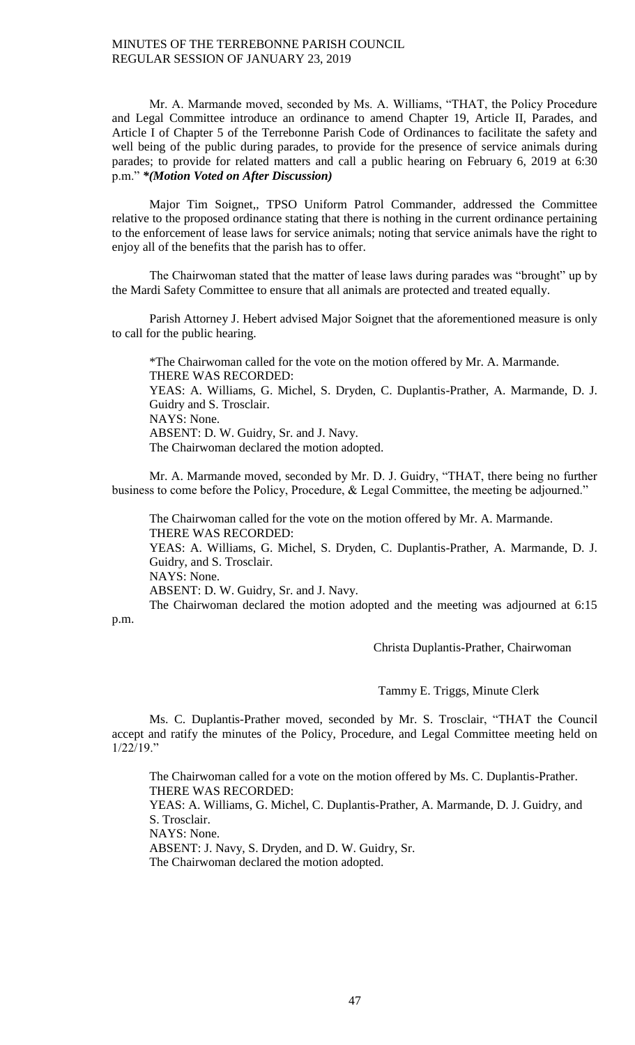Mr. A. Marmande moved, seconded by Ms. A. Williams, "THAT, the Policy Procedure and Legal Committee introduce an ordinance to amend Chapter 19, Article II, Parades, and Article I of Chapter 5 of the Terrebonne Parish Code of Ordinances to facilitate the safety and well being of the public during parades, to provide for the presence of service animals during parades; to provide for related matters and call a public hearing on February 6, 2019 at 6:30 p.m." *\*(Motion Voted on After Discussion)*

Major Tim Soignet,, TPSO Uniform Patrol Commander, addressed the Committee relative to the proposed ordinance stating that there is nothing in the current ordinance pertaining to the enforcement of lease laws for service animals; noting that service animals have the right to enjoy all of the benefits that the parish has to offer.

The Chairwoman stated that the matter of lease laws during parades was "brought" up by the Mardi Safety Committee to ensure that all animals are protected and treated equally.

Parish Attorney J. Hebert advised Major Soignet that the aforementioned measure is only to call for the public hearing.

\*The Chairwoman called for the vote on the motion offered by Mr. A. Marmande. THERE WAS RECORDED: YEAS: A. Williams, G. Michel, S. Dryden, C. Duplantis-Prather, A. Marmande, D. J. Guidry and S. Trosclair. NAYS: None. ABSENT: D. W. Guidry, Sr. and J. Navy. The Chairwoman declared the motion adopted.

Mr. A. Marmande moved, seconded by Mr. D. J. Guidry, "THAT, there being no further business to come before the Policy, Procedure, & Legal Committee, the meeting be adjourned."

The Chairwoman called for the vote on the motion offered by Mr. A. Marmande. THERE WAS RECORDED:

YEAS: A. Williams, G. Michel, S. Dryden, C. Duplantis-Prather, A. Marmande, D. J. Guidry, and S. Trosclair.

NAYS: None.

ABSENT: D. W. Guidry, Sr. and J. Navy.

The Chairwoman declared the motion adopted and the meeting was adjourned at 6:15 p.m.

Christa Duplantis-Prather, Chairwoman

Tammy E. Triggs, Minute Clerk

Ms. C. Duplantis-Prather moved, seconded by Mr. S. Trosclair, "THAT the Council accept and ratify the minutes of the Policy, Procedure, and Legal Committee meeting held on 1/22/19."

The Chairwoman called for a vote on the motion offered by Ms. C. Duplantis-Prather. THERE WAS RECORDED:

YEAS: A. Williams, G. Michel, C. Duplantis-Prather, A. Marmande, D. J. Guidry, and S. Trosclair.

NAYS: None.

ABSENT: J. Navy, S. Dryden, and D. W. Guidry, Sr.

The Chairwoman declared the motion adopted.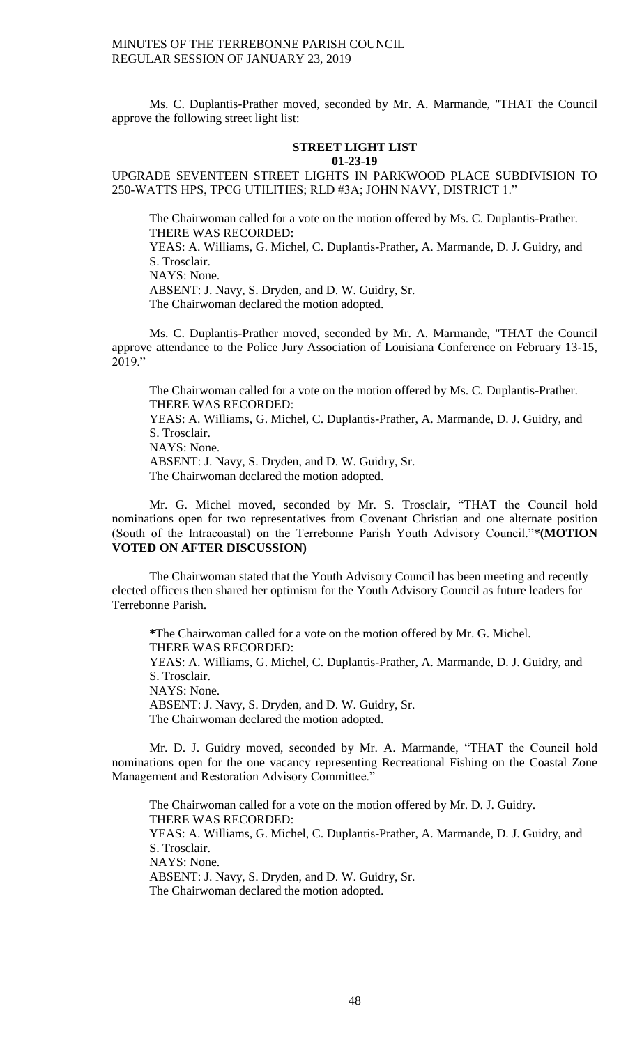Ms. C. Duplantis-Prather moved, seconded by Mr. A. Marmande, "THAT the Council approve the following street light list:

#### **STREET LIGHT LIST 01-23-19**

UPGRADE SEVENTEEN STREET LIGHTS IN PARKWOOD PLACE SUBDIVISION TO 250-WATTS HPS, TPCG UTILITIES; RLD #3A; JOHN NAVY, DISTRICT 1."

The Chairwoman called for a vote on the motion offered by Ms. C. Duplantis-Prather. THERE WAS RECORDED: YEAS: A. Williams, G. Michel, C. Duplantis-Prather, A. Marmande, D. J. Guidry, and S. Trosclair. NAYS: None.

ABSENT: J. Navy, S. Dryden, and D. W. Guidry, Sr.

The Chairwoman declared the motion adopted.

Ms. C. Duplantis-Prather moved, seconded by Mr. A. Marmande, "THAT the Council approve attendance to the Police Jury Association of Louisiana Conference on February 13-15, 2019."

The Chairwoman called for a vote on the motion offered by Ms. C. Duplantis-Prather. THERE WAS RECORDED:

YEAS: A. Williams, G. Michel, C. Duplantis-Prather, A. Marmande, D. J. Guidry, and S. Trosclair.

NAYS: None.

ABSENT: J. Navy, S. Dryden, and D. W. Guidry, Sr.

The Chairwoman declared the motion adopted.

Mr. G. Michel moved, seconded by Mr. S. Trosclair, "THAT the Council hold nominations open for two representatives from Covenant Christian and one alternate position (South of the Intracoastal) on the Terrebonne Parish Youth Advisory Council."**\*(MOTION VOTED ON AFTER DISCUSSION)**

The Chairwoman stated that the Youth Advisory Council has been meeting and recently elected officers then shared her optimism for the Youth Advisory Council as future leaders for Terrebonne Parish.

**\***The Chairwoman called for a vote on the motion offered by Mr. G. Michel. THERE WAS RECORDED: YEAS: A. Williams, G. Michel, C. Duplantis-Prather, A. Marmande, D. J. Guidry, and S. Trosclair. NAYS: None. ABSENT: J. Navy, S. Dryden, and D. W. Guidry, Sr. The Chairwoman declared the motion adopted.

Mr. D. J. Guidry moved, seconded by Mr. A. Marmande, "THAT the Council hold nominations open for the one vacancy representing Recreational Fishing on the Coastal Zone Management and Restoration Advisory Committee."

The Chairwoman called for a vote on the motion offered by Mr. D. J. Guidry. THERE WAS RECORDED: YEAS: A. Williams, G. Michel, C. Duplantis-Prather, A. Marmande, D. J. Guidry, and S. Trosclair. NAYS: None. ABSENT: J. Navy, S. Dryden, and D. W. Guidry, Sr. The Chairwoman declared the motion adopted.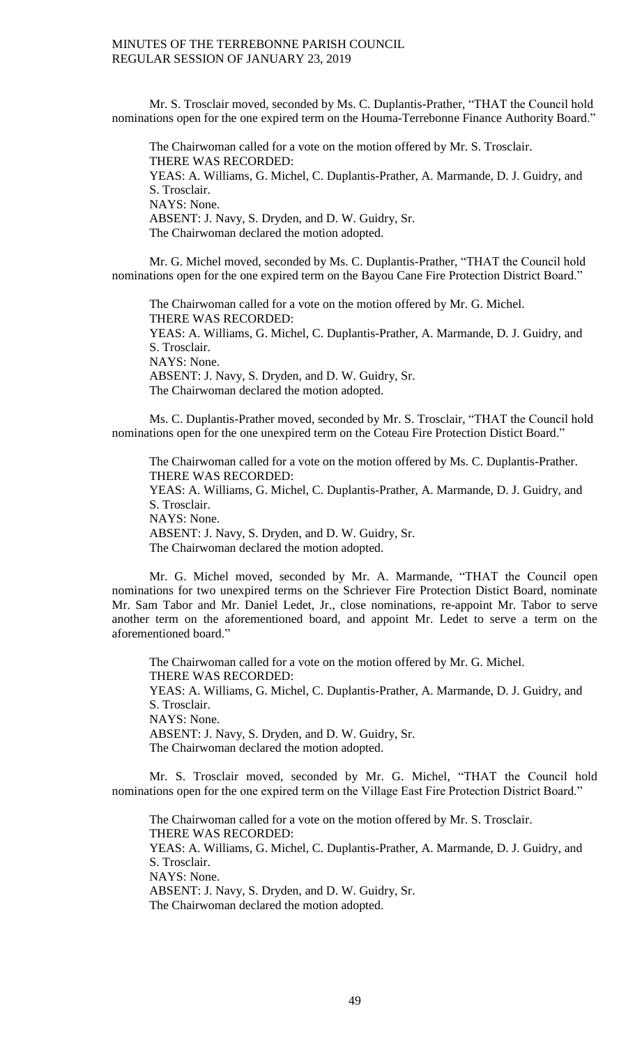Mr. S. Trosclair moved, seconded by Ms. C. Duplantis-Prather, "THAT the Council hold nominations open for the one expired term on the Houma-Terrebonne Finance Authority Board."

The Chairwoman called for a vote on the motion offered by Mr. S. Trosclair. THERE WAS RECORDED: YEAS: A. Williams, G. Michel, C. Duplantis-Prather, A. Marmande, D. J. Guidry, and S. Trosclair. NAYS: None. ABSENT: J. Navy, S. Dryden, and D. W. Guidry, Sr. The Chairwoman declared the motion adopted.

Mr. G. Michel moved, seconded by Ms. C. Duplantis-Prather, "THAT the Council hold nominations open for the one expired term on the Bayou Cane Fire Protection District Board."

The Chairwoman called for a vote on the motion offered by Mr. G. Michel. THERE WAS RECORDED: YEAS: A. Williams, G. Michel, C. Duplantis-Prather, A. Marmande, D. J. Guidry, and S. Trosclair. NAYS: None. ABSENT: J. Navy, S. Dryden, and D. W. Guidry, Sr. The Chairwoman declared the motion adopted.

Ms. C. Duplantis-Prather moved, seconded by Mr. S. Trosclair, "THAT the Council hold nominations open for the one unexpired term on the Coteau Fire Protection Distict Board."

The Chairwoman called for a vote on the motion offered by Ms. C. Duplantis-Prather. THERE WAS RECORDED: YEAS: A. Williams, G. Michel, C. Duplantis-Prather, A. Marmande, D. J. Guidry, and S. Trosclair. NAYS: None. ABSENT: J. Navy, S. Dryden, and D. W. Guidry, Sr. The Chairwoman declared the motion adopted.

Mr. G. Michel moved, seconded by Mr. A. Marmande, "THAT the Council open nominations for two unexpired terms on the Schriever Fire Protection Distict Board, nominate Mr. Sam Tabor and Mr. Daniel Ledet, Jr., close nominations, re-appoint Mr. Tabor to serve another term on the aforementioned board, and appoint Mr. Ledet to serve a term on the aforementioned board."

The Chairwoman called for a vote on the motion offered by Mr. G. Michel. THERE WAS RECORDED: YEAS: A. Williams, G. Michel, C. Duplantis-Prather, A. Marmande, D. J. Guidry, and S. Trosclair. NAYS: None. ABSENT: J. Navy, S. Dryden, and D. W. Guidry, Sr. The Chairwoman declared the motion adopted.

Mr. S. Trosclair moved, seconded by Mr. G. Michel, "THAT the Council hold nominations open for the one expired term on the Village East Fire Protection District Board."

The Chairwoman called for a vote on the motion offered by Mr. S. Trosclair. THERE WAS RECORDED: YEAS: A. Williams, G. Michel, C. Duplantis-Prather, A. Marmande, D. J. Guidry, and S. Trosclair. NAYS: None. ABSENT: J. Navy, S. Dryden, and D. W. Guidry, Sr. The Chairwoman declared the motion adopted.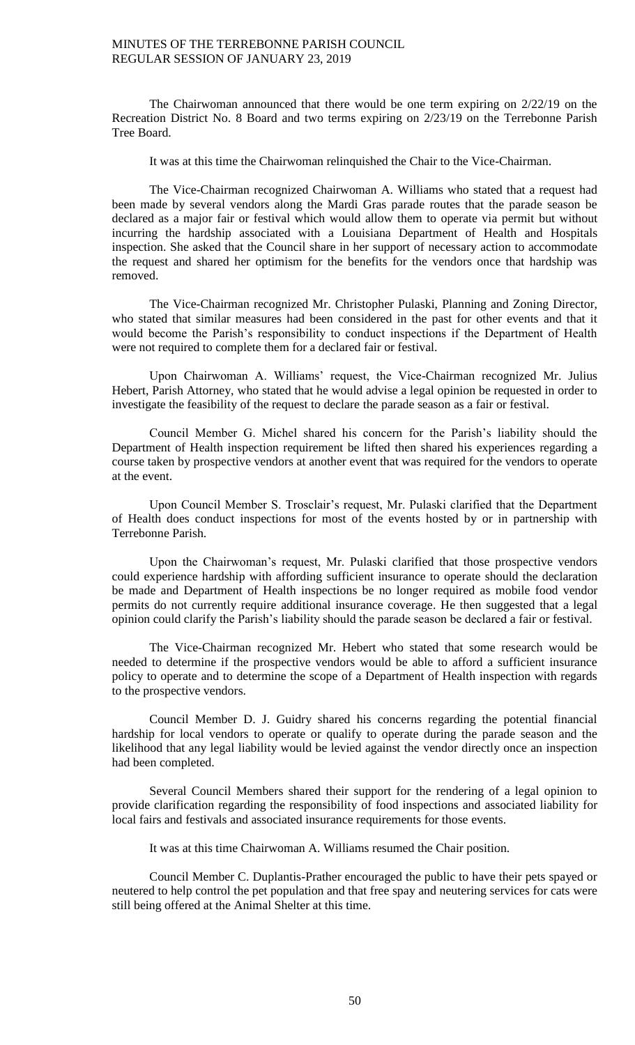The Chairwoman announced that there would be one term expiring on 2/22/19 on the Recreation District No. 8 Board and two terms expiring on 2/23/19 on the Terrebonne Parish Tree Board.

It was at this time the Chairwoman relinquished the Chair to the Vice-Chairman.

The Vice-Chairman recognized Chairwoman A. Williams who stated that a request had been made by several vendors along the Mardi Gras parade routes that the parade season be declared as a major fair or festival which would allow them to operate via permit but without incurring the hardship associated with a Louisiana Department of Health and Hospitals inspection. She asked that the Council share in her support of necessary action to accommodate the request and shared her optimism for the benefits for the vendors once that hardship was removed.

The Vice-Chairman recognized Mr. Christopher Pulaski, Planning and Zoning Director, who stated that similar measures had been considered in the past for other events and that it would become the Parish's responsibility to conduct inspections if the Department of Health were not required to complete them for a declared fair or festival.

Upon Chairwoman A. Williams' request, the Vice-Chairman recognized Mr. Julius Hebert, Parish Attorney, who stated that he would advise a legal opinion be requested in order to investigate the feasibility of the request to declare the parade season as a fair or festival.

Council Member G. Michel shared his concern for the Parish's liability should the Department of Health inspection requirement be lifted then shared his experiences regarding a course taken by prospective vendors at another event that was required for the vendors to operate at the event.

Upon Council Member S. Trosclair's request, Mr. Pulaski clarified that the Department of Health does conduct inspections for most of the events hosted by or in partnership with Terrebonne Parish.

Upon the Chairwoman's request, Mr. Pulaski clarified that those prospective vendors could experience hardship with affording sufficient insurance to operate should the declaration be made and Department of Health inspections be no longer required as mobile food vendor permits do not currently require additional insurance coverage. He then suggested that a legal opinion could clarify the Parish's liability should the parade season be declared a fair or festival.

The Vice-Chairman recognized Mr. Hebert who stated that some research would be needed to determine if the prospective vendors would be able to afford a sufficient insurance policy to operate and to determine the scope of a Department of Health inspection with regards to the prospective vendors.

Council Member D. J. Guidry shared his concerns regarding the potential financial hardship for local vendors to operate or qualify to operate during the parade season and the likelihood that any legal liability would be levied against the vendor directly once an inspection had been completed.

Several Council Members shared their support for the rendering of a legal opinion to provide clarification regarding the responsibility of food inspections and associated liability for local fairs and festivals and associated insurance requirements for those events.

It was at this time Chairwoman A. Williams resumed the Chair position.

Council Member C. Duplantis-Prather encouraged the public to have their pets spayed or neutered to help control the pet population and that free spay and neutering services for cats were still being offered at the Animal Shelter at this time.